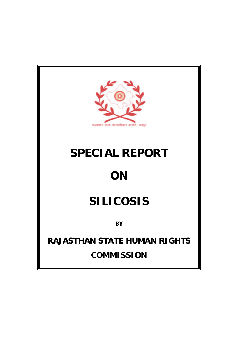

# **SPECIAL REPORT**

# **ON**

# **SILICOSIS**

**BY**

**RAJASTHAN STATE HUMAN RIGHTS COMMISSION**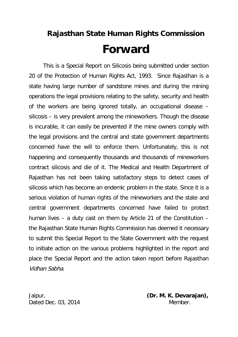## **Rajasthan State Human Rights Commission Forward**

This is a Special Report on Silicosis being submitted under section 20 of the Protection of Human Rights Act, 1993. Since Rajasthan is a state having large number of sandstone mines and during the mining operations the legal provisions relating to the safety, security and health of the workers are being ignored totally, an occupational disease – silicosis – is very prevalent among the mineworkers. Though the disease is incurable, it can easily be prevented if the mine owners comply with the legal provisions and the central and state government departments concerned have the will to enforce them. Unfortunately, this is not happening and consequently thousands and thousands of mineworkers contract silicosis and die of it. The Medical and Health Department of Rajasthan has not been taking satisfactory steps to detect cases of silicosis which has become an endemic problem in the state. Since it is a serious violation of human rights of the mineworkers and the state and central government departments concerned have failed to protect human lives – a duty cast on them by Article 21 of the Constitution – the Rajasthan State Human Rights Commission has deemed it necessary to submit this Special Report to the State Government with the request to initiate action on the various problems highlighted in the report and place the Special Report and the action taken report before Rajasthan Vidhan Sabha.

Dated Dec. 03, 2014 Member.

Jaipur, **(Dr. M. K. Devarajan),**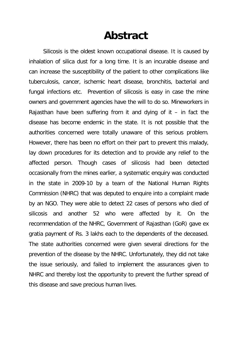## **Abstract**

Silicosis is the oldest known occupational disease. It is caused by inhalation of silica dust for a long time. It is an incurable disease and can increase the susceptibility of the patient to other complications like tuberculosis, cancer, ischemic heart disease, bronchitis, bacterial and fungal infections etc. Prevention of silicosis is easy in case the mine owners and government agencies have the will to do so. Mineworkers in Rajasthan have been suffering from it and dying of it  $-$  in fact the disease has become endemic in the state. It is not possible that the authorities concerned were totally unaware of this serious problem. However, there has been no effort on their part to prevent this malady, lay down procedures for its detection and to provide any relief to the affected person. Though cases of silicosis had been detected occasionally from the mines earlier, a systematic enquiry was conducted in the state in 2009-10 by a team of the National Human Rights Commission (NHRC) that was deputed to enquire into a complaint made by an NGO. They were able to detect 22 cases of persons who died of silicosis and another 52 who were affected by it. On the recommendation of the NHRC, Government of Rajasthan (GoR) gave ex gratia payment of Rs. 3 lakhs each to the dependents of the deceased. The state authorities concerned were given several directions for the prevention of the disease by the NHRC. Unfortunately, they did not take the issue seriously, and failed to implement the assurances given to NHRC and thereby lost the opportunity to prevent the further spread of this disease and save precious human lives.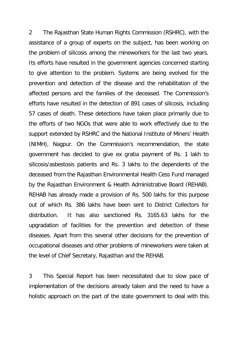2 The Rajasthan State Human Rights Commission (RSHRC), with the assistance of a group of experts on the subject, has been working on the problem of silicosis among the mineworkers for the last two years. Its efforts have resulted in the government agencies concerned starting to give attention to the problem. Systems are being evolved for the prevention and detection of the disease and the rehabilitation of the affected persons and the families of the deceased. The Commission's efforts have resulted in the detection of 891 cases of silicosis, including 57 cases of death. These detections have taken place primarily due to the efforts of two NGOs that were able to work effectively due to the support extended by RSHRC and the National Institute of Miners' Health (NIMH), Nagpur. On the Commission's recommendation, the state government has decided to give ex gratia payment of Rs. 1 lakh to silicosis/asbestosis patients and Rs. 3 lakhs to the dependents of the deceased from the Rajasthan Environmental Health Cess Fund managed by the Rajasthan Environment & Health Administrative Board (REHAB). REHAB has already made a provision of Rs. 500 lakhs for this purpose out of which Rs. 386 lakhs have been sent to District Collectors for distribution. It has also sanctioned Rs. 3165.63 lakhs for the upgradation of facilities for the prevention and detection of these diseases. Apart from this several other decisions for the prevention of occupational diseases and other problems of mineworkers were taken at the level of Chief Secretary, Rajasthan and the REHAB.

3 This Special Report has been necessitated due to slow pace of implementation of the decisions already taken and the need to have a holistic approach on the part of the state government to deal with this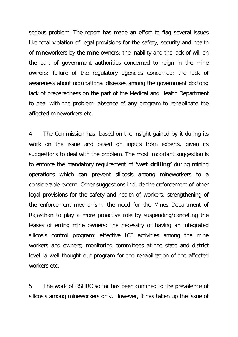serious problem. The report has made an effort to flag several issues like total violation of legal provisions for the safety, security and health of mineworkers by the mine owners; the inability and the lack of will on the part of government authorities concerned to reign in the mine owners; failure of the regulatory agencies concerned; the lack of awareness about occupational diseases among the government doctors; lack of preparedness on the part of the Medical and Health Department to deal with the problem; absence of any program to rehabilitate the affected mineworkers etc.

4 The Commission has, based on the insight gained by it during its work on the issue and based on inputs from experts, given its suggestions to deal with the problem. The most important suggestion is to enforce the mandatory requirement of **'wet drilling'** during mining operations which can prevent silicosis among mineworkers to a considerable extent. Other suggestions include the enforcement of other legal provisions for the safety and health of workers; strengthening of the enforcement mechanism; the need for the Mines Department of Rajasthan to play a more proactive role by suspending/cancelling the leases of erring mine owners; the necessity of having an integrated silicosis control program; effective ICE activities among the mine workers and owners; monitoring committees at the state and district level, a well thought out program for the rehabilitation of the affected workers etc.

5 The work of RSHRC so far has been confined to the prevalence of silicosis among mineworkers only. However, it has taken up the issue of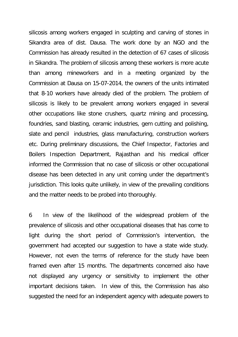silicosis among workers engaged in sculpting and carving of stones in Sikandra area of dist. Dausa. The work done by an NGO and the Commission has already resulted in the detection of 67 cases of silicosis in Sikandra. The problem of silicosis among these workers is more acute than among mineworkers and in a meeting organized by the Commission at Dausa on 15-07-2014, the owners of the units intimated that 8-10 workers have already died of the problem. The problem of silicosis is likely to be prevalent among workers engaged in several other occupations like stone crushers, quartz mining and processing, foundries, sand blasting, ceramic industries, gem cutting and polishing, slate and pencil industries, glass manufacturing, construction workers etc. During preliminary discussions, the Chief Inspector, Factories and Boilers Inspection Department, Rajasthan and his medical officer informed the Commission that no case of silicosis or other occupational disease has been detected in any unit coming under the department's jurisdiction. This looks quite unlikely, in view of the prevailing conditions and the matter needs to be probed into thoroughly.

6 In view of the likelihood of the widespread problem of the prevalence of silicosis and other occupational diseases that has come to light during the short period of Commission's intervention, the government had accepted our suggestion to have a state wide study. However, not even the terms of reference for the study have been framed even after 15 months. The departments concerned also have not displayed any urgency or sensitivity to implement the other important decisions taken. In view of this, the Commission has also suggested the need for an independent agency with adequate powers to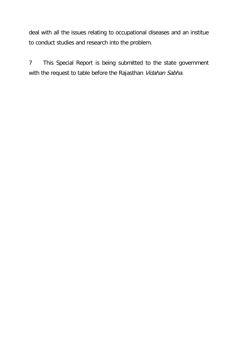deal with all the issues relating to occupational diseases and an institue to conduct studies and research into the problem.

7 This Special Report is being submitted to the state government with the request to table before the Rajasthan Vidahan Sabha.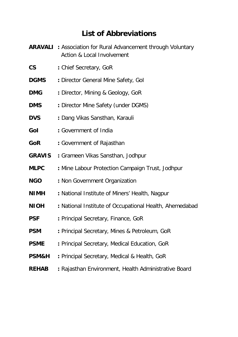### **List of Abbreviations**

- **ARAVALI :** Association for Rural Advancement through Voluntary Action & Local Involvement
- **CS :** Chief Secretary, GoR
- **DGMS** : Director General Mine Safety, Gol
- **DMG :** Director, Mining & Geology, GoR
- **DMS :** Director Mine Safety (under DGMS)
- **DVS :** Dang Vikas Sansthan, Karauli
- **GoI :** Government of India
- **GoR :** Government of Rajasthan
- **GRAVIS :** Grameen Vikas Sansthan, Jodhpur
- **MLPC :** Mine Labour Protection Campaign Trust, Jodhpur
- **NGO :** Non Government Organization
- **NIMH :** National Institute of Miners' Health, Nagpur
- **NIOH :** National Institute of Occupational Health, Ahemedabad
- **PSF :** Principal Secretary, Finance, GoR
- **PSM** : Principal Secretary, Mines & Petroleum, GoR
- **PSME :** Principal Secretary, Medical Education, GoR
- **PSM&H :** Principal Secretary, Medical & Health, GoR
- **REHAB :** Rajasthan Environment, Health Administrative Board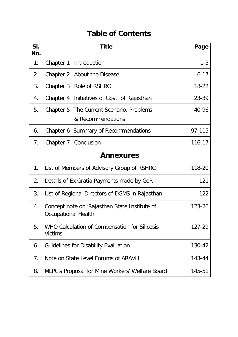### **Table of Contents**

| SI.<br>No.       | <b>Title</b>                                                                    | Page      |  |  |
|------------------|---------------------------------------------------------------------------------|-----------|--|--|
| 1.               | Chapter 1 Introduction                                                          | $1 - 5$   |  |  |
| 2.               | Chapter 2 About the Disease                                                     | $6 - 17$  |  |  |
| 3.               | Chapter 3 Role of RSHRC                                                         | $18 - 22$ |  |  |
| 4.               | Chapter 4 Initiatives of Govt. of Rajasthan                                     | 23-39     |  |  |
| 5.               | Chapter 5 The Current Scenario, Problems<br>& Recommendations                   | 40-96     |  |  |
| 6.               | Chapter 6 Summary of Recommendations                                            | 97-115    |  |  |
| 7 <sub>1</sub>   | Chapter 7 Conclusion                                                            | 116-17    |  |  |
| <b>Annexures</b> |                                                                                 |           |  |  |
| 1 <sub>1</sub>   | List of Members of Advisory Group of RSHRC                                      | 118-20    |  |  |
| 2.               | 121<br>Details of Ex Gratia Payments made by GoR                                |           |  |  |
| 3.               | 122<br>List of Regional Directors of DGMS in Rajasthan                          |           |  |  |
| 4.               | Concept note on 'Rajasthan State Institute of<br>123-26<br>Occupational Health' |           |  |  |
| 5.               | WHO Calculation of Compensation for Silicosis<br><b>Victims</b>                 | 127-29    |  |  |
| 6.               | <b>Guidelines for Disability Evaluation</b><br>130-42                           |           |  |  |
| 7.               | Note on State Level Forums of ARAVLI<br>143-44                                  |           |  |  |
| 8.               | MLPC's Proposal for Mine Workers' Welfare Board<br>145-51                       |           |  |  |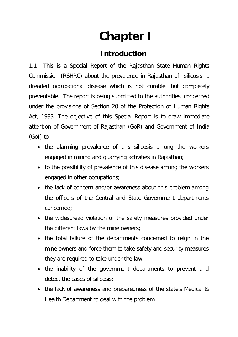# **Chapter I**

### **Introduction**

1.1 This is a Special Report of the Rajasthan State Human Rights Commission (RSHRC) about the prevalence in Rajasthan of silicosis, a dreaded occupational disease which is not curable, but completely preventable. The report is being submitted to the authorities concerned under the provisions of Section 20 of the Protection of Human Rights Act, 1993. The objective of this Special Report is to draw immediate attention of Government of Rajasthan (GoR) and Government of India (GoI) to -

- the alarming prevalence of this silicosis among the workers engaged in mining and quarrying activities in Rajasthan;
- to the possibility of prevalence of this disease among the workers engaged in other occupations;
- the lack of concern and/or awareness about this problem among the officers of the Central and State Government departments concerned;
- the widespread violation of the safety measures provided under the different laws by the mine owners;
- the total failure of the departments concerned to reign in the mine owners and force them to take safety and security measures they are required to take under the law;
- the inability of the government departments to prevent and detect the cases of silicosis;
- the lack of awareness and preparedness of the state's Medical & Health Department to deal with the problem;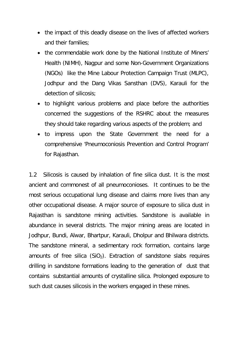- the impact of this deadly disease on the lives of affected workers and their families;
- the commendable work done by the National Institute of Miners' Health (NIMH), Nagpur and some Non-Government Organizations (NGOs) like the Mine Labour Protection Campaign Trust (MLPC), Jodhpur and the Dang Vikas Sansthan (DVS), Karauli for the detection of silicosis;
- to highlight various problems and place before the authorities concerned the suggestions of the RSHRC about the measures they should take regarding various aspects of the problem; and
- to impress upon the State Government the need for a comprehensive 'Pneumoconiosis Prevention and Control Program' for Rajasthan.

1.2 Silicosis is caused by inhalation of fine silica dust. It is the most ancient and commonest of all pneumoconioses. It continues to be the most serious occupational lung disease and claims more lives than any other occupational disease. A major source of exposure to silica dust in Rajasthan is sandstone mining activities. Sandstone is available in abundance in several districts. The major mining areas are located in Jodhpur, Bundi, Alwar, Bhartpur, Karauli, Dholpur and Bhilwara districts. The sandstone mineral, a sedimentary rock formation, contains large amounts of free silica  $(SiO<sub>2</sub>)$ . Extraction of sandstone slabs requires drilling in sandstone formations leading to the generation of dust that contains substantial amounts of crystalline silica. Prolonged exposure to such dust causes silicosis in the workers engaged in these mines.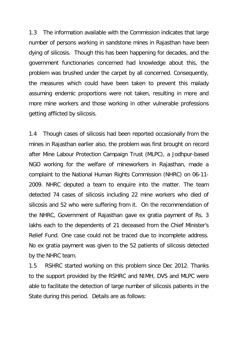1.3 The information available with the Commission indicates that large number of persons working in sandstone mines in Rajasthan have been dying of silicosis. Though this has been happening for decades, and the government functionaries concerned had knowledge about this, the problem was brushed under the carpet by all concerned. Consequently, the measures which could have been taken to prevent this malady assuming endemic proportions were not taken, resulting in more and more mine workers and those working in other vulnerable professions getting afflicted by silicosis.

1.4 Though cases of silicosis had been reported occasionally from the mines in Rajasthan earlier also, the problem was first brought on record after Mine Labour Protection Campaign Trust (MLPC), a Jodhpur-based NGO working for the welfare of mineworkers in Rajasthan, made a complaint to the National Human Rights Commission (NHRC) on 06-11- 2009. NHRC deputed a team to enquire into the matter. The team detected 74 cases of silicosis including 22 mine workers who died of silicosis and 52 who were suffering from it. On the recommendation of the NHRC, Government of Rajasthan gave ex gratia payment of Rs. 3 lakhs each to the dependents of 21 deceased from the Chief Minister's Relief Fund. One case could not be traced due to incomplete address. No ex gratia payment was given to the 52 patients of silicosis detected by the NHRC team.

1.5 RSHRC started working on this problem since Dec 2012. Thanks to the support provided by the RSHRC and NIMH, DVS and MLPC were able to facilitate the detection of large number of silicosis patients in the State during this period. Details are as follows: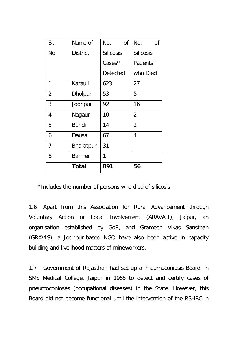| SI.            | Name of         | No.<br>0f        | No.<br>0f        |
|----------------|-----------------|------------------|------------------|
| No.            | <b>District</b> | <b>Silicosis</b> | <b>Silicosis</b> |
|                |                 | Cases*           | <b>Patients</b>  |
|                |                 | Detected         | who Died         |
| 1              | Karauli         | 623              | 27               |
| $\overline{2}$ | <b>Dholpur</b>  | 53               | 5                |
| 3              | Jodhpur         | 92               | 16               |
| $\overline{4}$ | Nagaur          | 10               | $\overline{2}$   |
| 5              | <b>Bundi</b>    | 14               | $\overline{2}$   |
| 6              | Dausa           | 67               | 4                |
| 7              | Bharatpur       | 31               |                  |
| 8              | <b>Barmer</b>   | 1                |                  |
|                | Total           | 891              | 56               |

\*Includes the number of persons who died of silicosis

1.6 Apart from this Association for Rural Advancement through Voluntary Action or Local Involvement (ARAVALI), Jaipur, an organisation established by GoR, and Grameen Vikas Sansthan (GRAVIS), a Jodhpur-based NGO have also been active in capacity building and livelihood matters of mineworkers.

1.7 Government of Rajasthan had set up a Pneumoconiosis Board, in SMS Medical College, Jaipur in 1965 to detect and certify cases of pneumoconioses (occupational diseases) in the State. However, this Board did not become functional until the intervention of the RSHRC in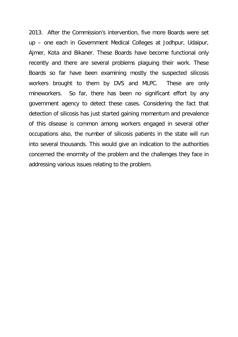2013. After the Commission's intervention, five more Boards were set up – one each in Government Medical Colleges at Jodhpur, Udaipur, Ajmer, Kota and Bikaner. These Boards have become functional only recently and there are several problems plaguing their work. These Boards so far have been examining mostly the suspected silicosis workers brought to them by DVS and MLPC. These are only mineworkers. So far, there has been no significant effort by any government agency to detect these cases. Considering the fact that detection of silicosis has just started gaining momentum and prevalence of this disease is common among workers engaged in several other occupations also, the number of silicosis patients in the state will run into several thousands. This would give an indication to the authorities concerned the enormity of the problem and the challenges they face in addressing various issues relating to the problem.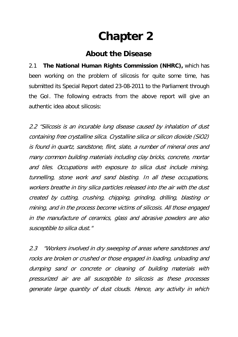# **Chapter 2**

### **About the Disease**

2.1 **The National Human Rights Commission (NHRC),** which has been working on the problem of silicosis for quite some time, has submitted its Special Report dated 23-08-2011 to the Parliament through the GoI. The following extracts from the above report will give an authentic idea about silicosis:

2.2 "Silicosis is an incurable lung disease caused by inhalation of dust containing free crystalline silica. Crystalline silica or silicon dioxide (SiO2) is found in quartz, sandstone, flint, slate, a number of mineral ores and many common building materials including clay bricks, concrete, mortar and tiles. Occupations with exposure to silica dust include mining, tunnelling, stone work and sand blasting. In all these occupations, workers breathe in tiny silica particles released into the air with the dust created by cutting, crushing, chipping, grinding, drilling, blasting or mining, and in the process become victims of silicosis. All those engaged in the manufacture of ceramics, glass and abrasive powders are also susceptible to silica dust."

2.3 "Workers involved in dry sweeping of areas where sandstones and rocks are broken or crushed or those engaged in loading, unloading and dumping sand or concrete or cleaning of building materials with pressurized air are all susceptible to silicosis as these processes generate large quantity of dust clouds. Hence, any activity in which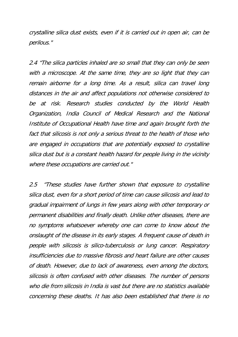crystalline silica dust exists, even if it is carried out in open air, can be perilous."

2.4 "The silica particles inhaled are so small that they can only be seen with a microscope. At the same time, they are so light that they can remain airborne for a long time. As a result, silica can travel long distances in the air and affect populations not otherwise considered to be at risk. Research studies conducted by the World Health Organization, India Council of Medical Research and the National Institute of Occupational Health have time and again brought forth the fact that silicosis is not only a serious threat to the health of those who are engaged in occupations that are potentially exposed to crystalline silica dust but is a constant health hazard for people living in the vicinity where these occupations are carried out."

2.5 "These studies have further shown that exposure to crystalline silica dust, even for a short period of time can cause silicosis and lead to gradual impairment of lungs in few years along with other temporary or permanent disabilities and finally death. Unlike other diseases, there are no symptoms whatsoever whereby one can come to know about the onslaught of the disease in its early stages. A frequent cause of death in people with silicosis is silico-tuberculosis or lung cancer. Respiratory insufficiencies due to massive fibrosis and heart failure are other causes of death. However, due to lack of awareness, even among the doctors, silicosis is often confused with other diseases. The number of persons who die from silicosis in India is vast but there are no statistics available concerning these deaths. It has also been established that there is no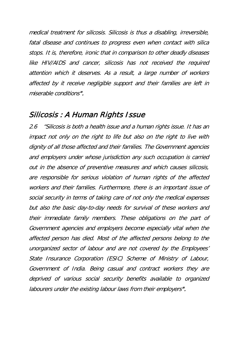medical treatment for silicosis. Silicosis is thus a disabling, irreversible, fatal disease and continues to progress even when contact with silica stops. It is, therefore, ironic that in comparison to other deadly diseases like HIV/AIDS and cancer, silicosis has not received the required attention which it deserves. As a result, a large number of workers affected by it receive negligible support and their families are left in miserable conditions".

#### Silicosis : A Human Rights Issue

2.6 "Silicosis is both a health issue and a human rights issue. It has an impact not only on the right to life but also on the right to live with dignity of all those affected and their families. The Government agencies and employers under whose jurisdiction any such occupation is carried out in the absence of preventive measures and which causes silicosis, are responsible for serious violation of human rights of the affected workers and their families. Furthermore, there is an important issue of social security in terms of taking care of not only the medical expenses but also the basic day-to-day needs for survival of these workers and their immediate family members. These obligations on the part of Government agencies and employers become especially vital when the affected person has died. Most of the affected persons belong to the unorganized sector of labour and are not covered by the Employees' State Insurance Corporation (ESIC) Scheme of Ministry of Labour, Government of India. Being casual and contract workers they are deprived of various social security benefits available to organized labourers under the existing labour laws from their employers".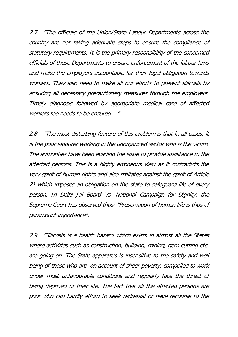2.7 *"The officials of the Union/State Labour Departments across the* country are not taking adequate steps to ensure the compliance of statutory requirements. It is the primary responsibility of the concerned officials of these Departments to ensure enforcement of the labour laws and make the employers accountable for their legal obligation towards workers. They also need to make all out efforts to prevent silicosis by ensuring all necessary precautionary measures through the employers. Timely diagnosis followed by appropriate medical care of affected workers too needs to be ensured...."

2.8 "The most disturbing feature of this problem is that in all cases, it is the poor labourer working in the unorganized sector who is the victim. The authorities have been evading the issue to provide assistance to the affected persons. This is a highly erroneous view as it contradicts the very spirit of human rights and also militates against the spirit of Article 21 which imposes an obligation on the state to safeguard life of every person. In Delhi Jal Board Vs. National Campaign for Dignity, the Supreme Court has observed thus: "Preservation of human life is thus of paramount importance".

2.9 "Silicosis is a health hazard which exists in almost all the States where activities such as construction, building, mining, gem cutting etc. are going on. The State apparatus is insensitive to the safety and well being of those who are, on account of sheer poverty, compelled to work under most unfavourable conditions and regularly face the threat of being deprived of their life. The fact that all the affected persons are poor who can hardly afford to seek redressal or have recourse to the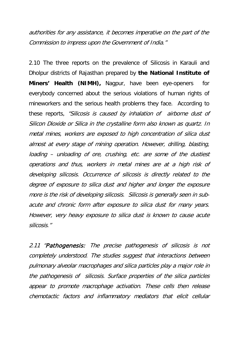authorities for any assistance, it becomes imperative on the part of the Commission to impress upon the Government of India."

2.10 The three reports on the prevalence of Silicosis in Karauli and Dholpur districts of Rajasthan prepared by **the National Institute of Miners' Health (NIMH),** Nagpur, have been eye-openers for everybody concerned about the serious violations of human rights of mineworkers and the serious health problems they face. According to these reports, "Silicosis is caused by inhalation of airborne dust of Silicon Dioxide or Silica in the crystalline form also known as quartz. In metal mines, workers are exposed to high concentration of silica dust almost at every stage of mining operation. However, drilling, blasting, loading – unloading of ore, crushing, etc. are some of the dustiest operations and thus, workers in metal mines are at a high risk of developing silicosis. Occurrence of silicosis is directly related to the degree of exposure to silica dust and higher and longer the exposure more is the risk of developing silicosis. Silicosis is generally seen in subacute and chronic form after exposure to silica dust for many years. However, very heavy exposure to silica dust is known to cause acute silicosis."

2.11 "Pathogenesis: The precise pathogenesis of silicosis is not completely understood. The studies suggest that interactions between pulmonary alveolar macrophages and silica particles play a major role in the pathogenesis of silicosis. Surface properties of the silica particles appear to promote macrophage activation. These cells then release chemotactic factors and inflammatory mediators that elicit cellular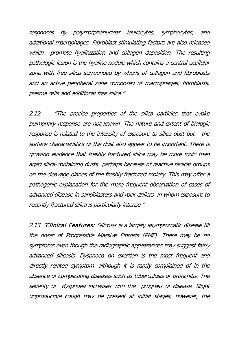responses by polymorphonuclear leukocytes, lymphocytes, and additional macrophages. Fibroblast-stimulating factors are also released which promote hyalinization and collagen deposition. The resulting pathologic lesion is the hyaline nodule which contains a central acellular zone with free silica surrounded by whorls of collagen and fibroblasts and an active peripheral zone composed of macrophages, fibroblasts, plasma cells and additional free silica."

2.12 "The precise properties of the silica particles that evoke pulmonary response are not known. The nature and extent of biologic response is related to the intensity of exposure to silica dust but the surface characteristics of the dust also appear to be important. There is growing evidence that freshly fractured silica may be more toxic than aged silica-containing dusts perhaps because of reactive radical groups on the cleavage planes of the freshly fractured moiety. This may offer a pathogenic explanation for the more frequent observation of cases of advanced disease in sandblasters and rock drillers, in whom exposure to recently fractured silica is particularly intense."

2.13 "Clinical Features: Silicosis is a largely asymptomatic disease till the onset of Progressive Massive Fibrosis (PMF). There may be no symptoms even though the radiographic appearances may suggest fairly advanced silicosis. Dyspnoea on exertion is the most frequent and directly related symptom, although it is rarely complained of in the absence of complicating diseases such as tuberculosis or bronchitis. The severity of dyspnoea increases with the progress of disease. Slight unproductive cough may be present at initial stages, however, the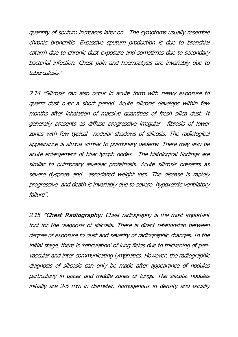quantity of sputum increases later on. The symptoms usually resemble chronic bronchitis. Excessive sputum production is due to bronchial catarrh due to chronic dust exposure and sometimes due to secondary bacterial infection. Chest pain and haemoptysis are invariably due to tuberculosis."

2.14 "Silicosis can also occur in acute form with heavy exposure to quartz dust over a short period. Acute silicosis develops within few months after inhalation of massive quantities of fresh silica dust. It generally presents as diffuse progressive irregular fibrosis of lower zones with few typical nodular shadows of silicosis. The radiological appearance is almost similar to pulmonary oedema. There may also be acute enlargement of hilar lymph nodes. The histological findings are similar to pulmonary alveolar proteinosis. Acute silicosis presents as severe dyspnea and associated weight loss. The disease is rapidly progressive and death is invariably due to severe hypoxemic ventilatory failure".

2.15 "Chest Radiography: Chest radiography is the most important tool for the diagnosis of silicosis. There is direct relationship between degree of exposure to dust and severity of radiographic changes. In the initial stage, there is 'reticulation' of lung fields due to thickening of perivascular and inter-communicating lymphatics. However, the radiographic diagnosis of silicosis can only be made after appearance of nodules particularly in upper and middle zones of lungs. The silicotic nodules initially are 2-5 mm in diameter, homogenous in density and usually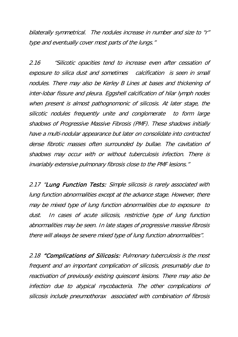bilaterally symmetrical. The nodules increase in number and size to "r" type and eventually cover most parts of the lungs."

2.16 "Silicotic opacities tend to increase even after cessation of exposure to silica dust and sometimes calcification is seen in small nodules. There may also be Kerley B Lines at bases and thickening of inter-lobar fissure and pleura. Eggshell calcification of hilar lymph nodes when present is almost pathognomonic of silicosis. At later stage, the silicotic nodules frequently unite and conglomerate to form large shadows of Progressive Massive Fibrosis (PMF). These shadows initially have a multi-nodular appearance but later on consolidate into contracted dense fibrotic masses often surrounded by bullae. The cavitation of shadows may occur with or without tuberculosis infection. There is invariably extensive pulmonary fibrosis close to the PMF lesions."

2.17 "Lung Function Tests: Simple silicosis is rarely associated with lung function abnormalities except at the advance stage. However, there may be mixed type of lung function abnormalities due to exposure to dust. In cases of acute silicosis, restrictive type of lung function abnormalities may be seen. In late stages of progressive massive fibrosis there will always be severe mixed type of lung function abnormalities".

2.18 "Complications of Silicosis: Pulmonary tuberculosis is the most frequent and an important complication of silicosis, presumably due to reactivation of previously existing quiescent lesions. There may also be infection due to atypical mycobacteria. The other complications of silicosis include pneumothorax associated with combination of fibrosis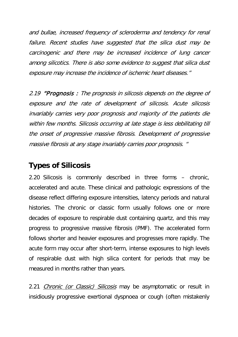and bullae, increased frequency of scleroderma and tendency for renal failure. Recent studies have suggested that the silica dust may be carcinogenic and there may be increased incidence of lung cancer among silicotics. There is also some evidence to suggest that silica dust exposure may increase the incidence of ischemic heart diseases."

2.19 **"Prognosis**: The prognosis in silicosis depends on the degree of exposure and the rate of development of silicosis. Acute silicosis invariably carries very poor prognosis and majority of the patients die within few months. Silicosis occurring at late stage is less debilitating till the onset of progressive massive fibrosis. Development of progressive massive fibrosis at any stage invariably carries poor prognosis. "

#### **Types of Silicosis**

2.20 Silicosis is commonly described in three forms – chronic, accelerated and acute. These clinical and pathologic expressions of the disease reflect differing exposure intensities, latency periods and natural histories. The chronic or classic form usually follows one or more decades of exposure to respirable dust containing quartz, and this may progress to progressive massive fibrosis (PMF). The accelerated form follows shorter and heavier exposures and progresses more rapidly. The acute form may occur after short-term, intense exposures to high levels of respirable dust with high silica content for periods that may be measured in months rather than years.

2.21 *Chronic (or Classic) Silicosis* may be asymptomatic or result in insidiously progressive exertional dyspnoea or cough (often mistakenly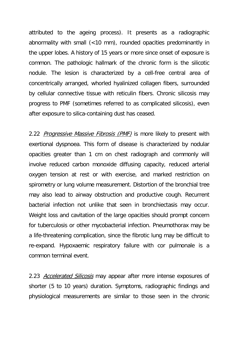attributed to the ageing process). It presents as a radiographic abnormality with small (<10 mm), rounded opacities predominantly in the upper lobes. A history of 15 years or more since onset of exposure is common. The pathologic hallmark of the chronic form is the silicotic nodule. The lesion is characterized by a cell-free central area of concentrically arranged, whorled hyalinized collagen fibers, surrounded by cellular connective tissue with reticulin fibers. Chronic silicosis may progress to PMF (sometimes referred to as complicated silicosis), even after exposure to silica-containing dust has ceased.

2.22 *Progressive Massive Fibrosis (PMF)* is more likely to present with exertional dyspnoea. This form of disease is characterized by nodular opacities greater than 1 cm on chest radiograph and commonly will involve reduced carbon monoxide diffusing capacity, reduced arterial oxygen tension at rest or with exercise, and marked restriction on spirometry or lung volume measurement. Distortion of the bronchial tree may also lead to airway obstruction and productive cough. Recurrent bacterial infection not unlike that seen in bronchiectasis may occur. Weight loss and cavitation of the large opacities should prompt concern for tuberculosis or other mycobacterial infection. Pneumothorax may be a life-threatening complication, since the fibrotic lung may be difficult to re-expand. Hypoxaemic respiratory failure with cor pulmonale is a common terminal event.

2.23 Accelerated Silicosis may appear after more intense exposures of shorter (5 to 10 years) duration. Symptoms, radiographic findings and physiological measurements are similar to those seen in the chronic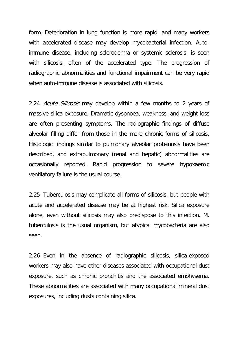form. Deterioration in lung function is more rapid, and many workers with accelerated disease may develop mycobacterial infection. Autoimmune disease, including scleroderma or systemic sclerosis, is seen with silicosis, often of the accelerated type. The progression of radiographic abnormalities and functional impairment can be very rapid when auto-immune disease is associated with silicosis.

2.24 Acute Silicosis may develop within a few months to 2 years of massive silica exposure. Dramatic dyspnoea, weakness, and weight loss are often presenting symptoms. The radiographic findings of diffuse alveolar filling differ from those in the more chronic forms of silicosis. Histologic findings similar to pulmonary alveolar proteinosis have been described, and extrapulmonary (renal and hepatic) abnormalities are occasionally reported. Rapid progression to severe hypoxaemic ventilatory failure is the usual course.

2.25 Tuberculosis may complicate all forms of silicosis, but people with acute and accelerated disease may be at highest risk. Silica exposure alone, even without silicosis may also predispose to this infection. M. tuberculosis is the usual organism, but atypical mycobacteria are also seen.

2.26 Even in the absence of radiographic silicosis, silica-exposed workers may also have other diseases associated with occupational dust exposure, such as chronic bronchitis and the associated emphysema. These abnormalities are associated with many occupational mineral dust exposures, including dusts containing silica.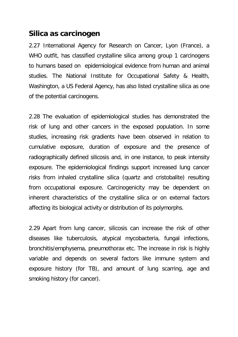#### **Silica as carcinogen**

2.27 International Agency for Research on Cancer, Lyon (France), a WHO outfit, has classified crystalline silica among group 1 carcinogens to humans based on epidemiological evidence from human and animal studies. The National Institute for Occupational Safety & Health, Washington, a US Federal Agency, has also listed crystalline silica as one of the potential carcinogens.

2.28 The evaluation of epidemiological studies has demonstrated the risk of lung and other cancers in the exposed population. In some studies, increasing risk gradients have been observed in relation to cumulative exposure, duration of exposure and the presence of radiographically defined silicosis and, in one instance, to peak intensity exposure. The epidemiological findings support increased lung cancer risks from inhaled crystalline silica (quartz and cristobalite) resulting from occupational exposure. Carcinogenicity may be dependent on inherent characteristics of the crystalline silica or on external factors affecting its biological activity or distribution of its polymorphs.

2.29 Apart from lung cancer, silicosis can increase the risk of other diseases like tuberculosis, atypical mycobacteria, fungal infections, bronchitis/emphysema, pneumothorax etc. The increase in risk is highly variable and depends on several factors like immune system and exposure history (for TB), and amount of lung scarring, age and smoking history (for cancer).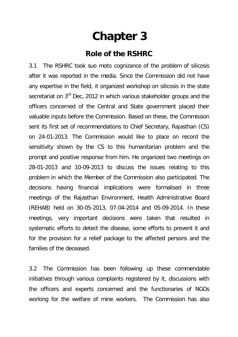## **Chapter 3**

#### **Role of the RSHRC**

3.1 The RSHRC took suo moto cognizance of the problem of silicosis after it was reported in the media. Since the Commission did not have any expertise in the field, it organized workshop on silicosis in the state secretariat on 3<sup>rd</sup> Dec, 2012 in which various stakeholder groups and the officers concerned of the Central and State government placed their valuable inputs before the Commission. Based on these, the Commission sent its first set of recommendations to Chief Secretary, Rajasthan (CS) on 24-01-2013. The Commission would like to place on record the sensitivity shown by the CS to this humanitarian problem and the prompt and positive response from him. He organized two meetings on 28-01-2013 and 10-09-2013 to discuss the issues relating to this problem in which the Member of the Commission also participated. The decisions having financial implications were formalised in three meetings of the Rajasthan Environment, Health Administrative Board (REHAB) held on 30-05-2013, 07-04-2014 and 05-09-2014. In these meetings, very important decisions were taken that resulted in systematic efforts to detect the disease, some efforts to prevent it and for the provision for a relief package to the affected persons and the families of the deceased.

3.2 The Commission has been following up these commendable initiatives through various complaints registered by it, discussions with the officers and experts concerned and the functionaries of NGOs working for the welfare of mine workers. The Commission has also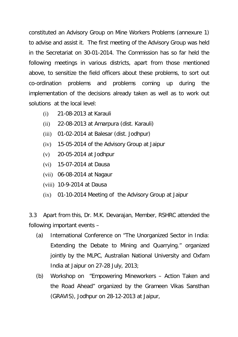constituted an Advisory Group on Mine Workers Problems (annexure 1) to advise and assist it. The first meeting of the Advisory Group was held in the Secretariat on 30-01-2014. The Commission has so far held the following meetings in various districts, apart from those mentioned above, to sensitize the field officers about these problems, to sort out co-ordination problems and problems coming up during the implementation of the decisions already taken as well as to work out solutions at the local level:

- (i) 21-08-2013 at Karauli
- (ii) 22-08-2013 at Amarpura (dist. Karauli)
- (iii) 01-02-2014 at Balesar (dist. Jodhpur)
- (iv) 15-05-2014 of the Advisory Group at Jaipur
- (v) 20-05-2014 at Jodhpur
- (vi) 15-07-2014 at Dausa
- (vii) 06-08-2014 at Nagaur
- (viii) 10-9-2014 at Dausa
- (ix) 01-10-2014 Meeting of the Advisory Group at Jaipur

3.3 Apart from this, Dr. M.K. Devarajan, Member, RSHRC attended the following important events –

- (a) International Conference on "The Unorganized Sector in India: Extending the Debate to Mining and Quarrying." organized jointly by the MLPC, Australian National University and Oxfam India at Jaipur on 27-28 July, 2013;
- (b) Workshop on "Empowering Mineworkers Action Taken and the Road Ahead" organized by the Grameen Vikas Sansthan (GRAVIS), Jodhpur on 28-12-2013 at Jaipur,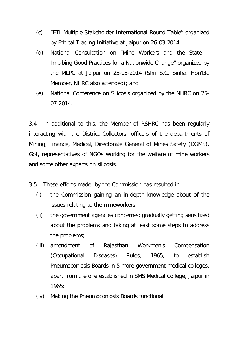- (c) "ETI Multiple Stakeholder International Round Table" organized by Ethical Trading Initiative at Jaipur on 26-03-2014;
- (d) National Consultation on "Mine Workers and the State Imbibing Good Practices for a Nationwide Change" organized by the MLPC at Jaipur on 25-05-2014 (Shri S.C. Sinha, Hon'ble Member, NHRC also attended); and
- (e) National Conference on Silicosis organized by the NHRC on 25- 07-2014.

3.4 In additional to this, the Member of RSHRC has been regularly interacting with the District Collectors, officers of the departments of Mining, Finance, Medical, Directorate General of Mines Safety (DGMS), GoI, representatives of NGOs working for the welfare of mine workers and some other experts on silicosis.

3.5 These efforts made by the Commission has resulted in –

- (i) the Commission gaining an in-depth knowledge about of the issues relating to the mineworkers;
- (ii) the government agencies concerned gradually getting sensitized about the problems and taking at least some steps to address the problems;
- (iii) amendment of Rajasthan Workmen's Compensation (Occupational Diseases) Rules, 1965, to establish Pneumoconiosis Boards in 5 more government medical colleges, apart from the one established in SMS Medical College, Jaipur in 1965;
- (iv) Making the Pneumoconiosis Boards functional;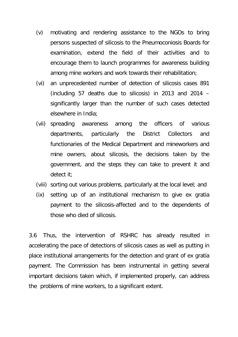- (v) motivating and rendering assistance to the NGOs to bring persons suspected of silicosis to the Pneumoconiosis Boards for examination, extend the field of their activities and to encourage them to launch programmes for awareness building among mine workers and work towards their rehabilitation;
- (vi) an unprecedented number of detection of silicosis cases 891 (including 57 deaths due to silicosis) in 2013 and 2014 – significantly larger than the number of such cases detected elsewhere in India;
- (vii) spreading awareness among the officers of various departments, particularly the District Collectors and functionaries of the Medical Department and mineworkers and mine owners, about silicosis, the decisions taken by the government, and the steps they can take to prevent it and detect it;
- (viii) sorting out various problems, particularly at the local level; and
- (ix) setting up of an institutional mechanism to give ex gratia payment to the silicosis-affected and to the dependents of those who died of silicosis.

3.6 Thus, the intervention of RSHRC has already resulted in accelerating the pace of detections of silicosis cases as well as putting in place institutional arrangements for the detection and grant of ex gratia payment. The Commission has been instrumental in getting several important decisions taken which, if implemented properly, can address the problems of mine workers, to a significant extent.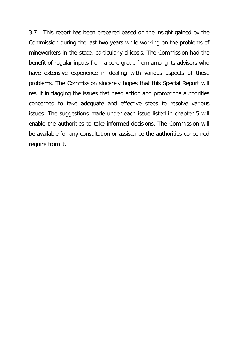3.7 This report has been prepared based on the insight gained by the Commission during the last two years while working on the problems of mineworkers in the state, particularly silicosis. The Commission had the benefit of regular inputs from a core group from among its advisors who have extensive experience in dealing with various aspects of these problems. The Commission sincerely hopes that this Special Report will result in flagging the issues that need action and prompt the authorities concerned to take adequate and effective steps to resolve various issues. The suggestions made under each issue listed in chapter 5 will enable the authorities to take informed decisions. The Commission will be available for any consultation or assistance the authorities concerned require from it.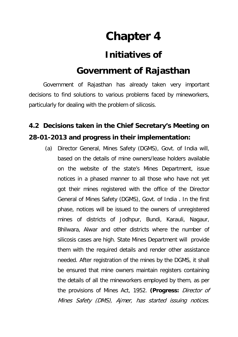# **Chapter 4**

### **Initiatives of**

### **Government of Rajasthan**

Government of Rajasthan has already taken very important decisions to find solutions to various problems faced by mineworkers, particularly for dealing with the problem of silicosis.

### **4.2 Decisions taken in the Chief Secretary's Meeting on 28-01-2013 and progress in their implementation:**

(a) Director General, Mines Safety (DGMS), Govt. of India will, based on the details of mine owners/lease holders available on the website of the state's Mines Department, issue notices in a phased manner to all those who have not yet got their mines registered with the office of the Director General of Mines Safety (DGMS), Govt. of India . In the first phase, notices will be issued to the owners of unregistered mines of districts of Jodhpur, Bundi, Karauli, Nagaur, Bhilwara, Alwar and other districts where the number of silicosis cases are high. State Mines Department will provide them with the required details and render other assistance needed. After registration of the mines by the DGMS, it shall be ensured that mine owners maintain registers containing the details of all the mineworkers employed by them, as per the provisions of Mines Act, 1952. **(Progress:** Director of Mines Safety (DMS), Ajmer, has started issuing notices.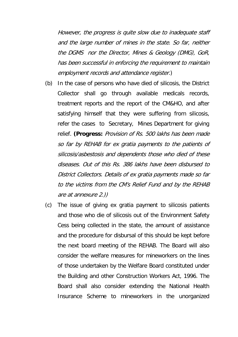However, the progress is quite slow due to inadequate staff and the large number of mines in the state. So far, neither the DGMS nor the Director, Mines & Geology (DMG), GoR, has been successful in enforcing the requirement to maintain employment records and attendance register.)

- (b) In the case of persons who have died of silicosis, the District Collector shall go through available medicals records, treatment reports and the report of the CM&HO, and after satisfying himself that they were suffering from silicosis, refer the cases to Secretary, Mines Department for giving relief. **(Progress:** Provision of Rs. 500 lakhs has been made so far by REHAB for ex gratia payments to the patients of silicosis/asbestosis and dependents those who died of these diseases. Out of this Rs. 386 lakhs have been disbursed to District Collectors. Details of ex gratia payments made so far to the victims from the CM's Relief Fund and by the REHAB are at annexure 2.))
- (c) The issue of giving ex gratia payment to silicosis patients and those who die of silicosis out of the Environment Safety Cess being collected in the state, the amount of assistance and the procedure for disbursal of this should be kept before the next board meeting of the REHAB. The Board will also consider the welfare measures for mineworkers on the lines of those undertaken by the Welfare Board constituted under the Building and other Construction Workers Act, 1996. The Board shall also consider extending the National Health Insurance Scheme to mineworkers in the unorganized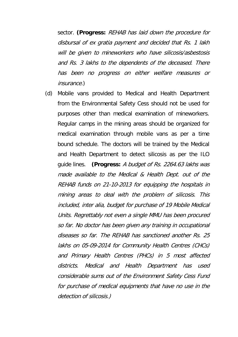sector. **(Progress:** REHAB has laid down the procedure for disbursal of ex gratia payment and decided that Rs. 1 lakh will be given to mineworkers who have silicosis/asbestosis and Rs. 3 lakhs to the dependents of the deceased. There has been no progress on either welfare measures or insurance.)

(d) Mobile vans provided to Medical and Health Department from the Environmental Safety Cess should not be used for purposes other than medical examination of mineworkers. Regular camps in the mining areas should be organized for medical examination through mobile vans as per a time bound schedule. The doctors will be trained by the Medical and Health Department to detect silicosis as per the ILO guide lines. **(Progress:** A budget of Rs. 2264.63 lakhs was made available to the Medical & Health Dept. out of the REHAB funds on 21-10-2013 for equipping the hospitals in mining areas to deal with the problem of silicosis. This included, inter alia, budget for purchase of 19 Mobile Medical Units. Regrettably not even a single MMU has been procured so far. No doctor has been given any training in occupational diseases so far. The REHAB has sanctioned another Rs. 25 lakhs on 05-09-2014 for Community Health Centres (CHCs) and Primary Health Centres (PHCs) in 5 most affected districts. Medical and Health Department has used considerable sums out of the Environment Safety Cess Fund for purchase of medical equipments that have no use in the detection of silicosis.)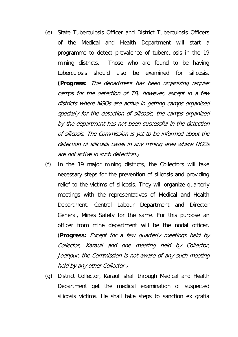- (e) State Tuberculosis Officer and District Tuberculosis Officers of the Medical and Health Department will start a programme to detect prevalence of tuberculosis in the 19 mining districts. Those who are found to be having tuberculosis should also be examined for silicosis. **(Progress:** The department has been organizing regular camps for the detection of TB; however, except in a few districts where NGOs are active in getting camps organised specially for the detection of silicosis, the camps organized by the department has not been successful in the detection of silicosis. The Commission is yet to be informed about the detection of silicosis cases in any mining area where NGOs are not active in such detection.)
- (f) In the 19 major mining districts, the Collectors will take necessary steps for the prevention of silicosis and providing relief to the victims of silicosis. They will organize quarterly meetings with the representatives of Medical and Health Department, Central Labour Department and Director General, Mines Safety for the same. For this purpose an officer from mine department will be the nodal officer. (**Progress:** Except for a few quarterly meetings held by Collector, Karauli and one meeting held by Collector, Jodhpur, the Commission is not aware of any such meeting held by any other Collector.)
- (g) District Collector, Karauli shall through Medical and Health Department get the medical examination of suspected silicosis victims. He shall take steps to sanction ex gratia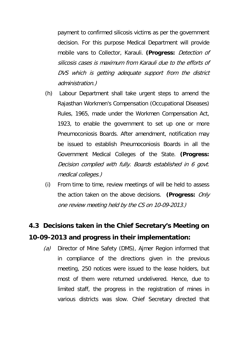payment to confirmed silicosis victims as per the government decision. For this purpose Medical Department will provide mobile vans to Collector, Karauli. **(Progress:** Detection of silicosis cases is maximum from Karauli due to the efforts of DVS which is getting adequate support from the district administration.)

- (h) Labour Department shall take urgent steps to amend the Rajasthan Workmen's Compensation (Occupational Diseases) Rules, 1965, made under the Workmen Compensation Act, 1923, to enable the government to set up one or more Pneumoconiosis Boards. After amendment, notification may be issued to establish Pneumoconiosis Boards in all the Government Medical Colleges of the State. **(Progress:** Decision complied with fully. Boards established in 6 govt. medical colleges.)
- (i) From time to time, review meetings of will be held to assess the action taken on the above decisions. **(Progress:** Only one review meeting held by the CS on 10-09-2013.)

### **4.3 Decisions taken in the Chief Secretary's Meeting on 10-09-2013 and progress in their implementation:**

(a) Director of Mine Safety (DMS), Aimer Region informed that in compliance of the directions given in the previous meeting, 250 notices were issued to the lease holders, but most of them were returned undelivered. Hence, due to limited staff, the progress in the registration of mines in various districts was slow. Chief Secretary directed that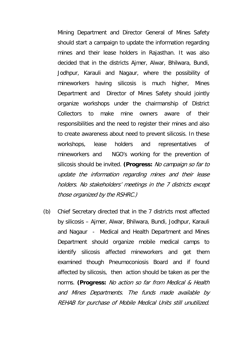Mining Department and Director General of Mines Safety should start a campaign to update the information regarding mines and their lease holders in Rajasthan. It was also decided that in the districts Ajmer, Alwar, Bhilwara, Bundi, Jodhpur, Karauli and Nagaur, where the possibility of mineworkers having silicosis is much higher, Mines Department and Director of Mines Safety should jointly organize workshops under the chairmanship of District Collectors to make mine owners aware of their responsibilities and the need to register their mines and also to create awareness about need to prevent silicosis. In these workshops, lease holders and representatives of mineworkers and NGO's working for the prevention of silicosis should be invited. **(Progress:** No campaign so far to update the information regarding mines and their lease holders. No stakeholders' meetings in the 7 districts except those organized by the RSHRC.)

(b) Chief Secretary directed that in the 7 districts most affected by silicosis – Ajmer, Alwar, Bhilwara, Bundi, Jodhpur, Karauli and Nagaur - Medical and Health Department and Mines Department should organize mobile medical camps to identify silicosis affected mineworkers and get them examined though Pneumoconiosis Board and if found affected by silicosis, then action should be taken as per the norms. **(Progress:** No action so far from Medical & Health and Mines Departments. The funds made available by REHAB for purchase of Mobile Medical Units still unutilized.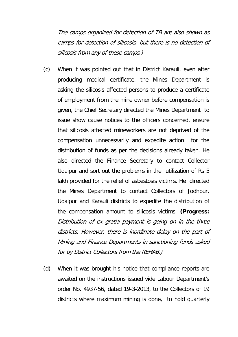The camps organized for detection of TB are also shown as camps for detection of silicosis; but there is no detection of silicosis from any of these camps.)

- (c) When it was pointed out that in District Karauli, even after producing medical certificate, the Mines Department is asking the silicosis affected persons to produce a certificate of employment from the mine owner before compensation is given, the Chief Secretary directed the Mines Department to issue show cause notices to the officers concerned, ensure that silicosis affected mineworkers are not deprived of the compensation unnecessarily and expedite action for the distribution of funds as per the decisions already taken. He also directed the Finance Secretary to contact Collector Udaipur and sort out the problems in the utilization of Rs 5 lakh provided for the relief of asbestosis victims. He directed the Mines Department to contact Collectors of Jodhpur, Udaipur and Karauli districts to expedite the distribution of the compensation amount to silicosis victims. **(Progress:** Distribution of ex gratia payment is going on in the three districts. However, there is inordinate delay on the part of Mining and Finance Departments in sanctioning funds asked for by District Collectors from the REHAB.)
- (d) When it was brought his notice that compliance reports are awaited on the instructions issued vide Labour Department's order No. 4937-56, dated 19-3-2013, to the Collectors of 19 districts where maximum mining is done, to hold quarterly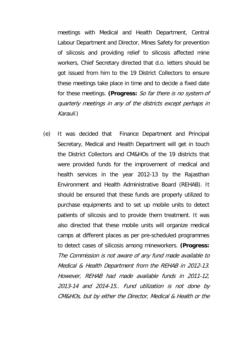meetings with Medical and Health Department, Central Labour Department and Director, Mines Safety for prevention of silicosis and providing relief to silicosis affected mine workers, Chief Secretary directed that d.o. letters should be got issued from him to the 19 District Collectors to ensure these meetings take place in time and to decide a fixed date for these meetings. **(Progress:** So far there is no system of quarterly meetings in any of the districts except perhaps in Karauli.)

(e) It was decided that Finance Department and Principal Secretary, Medical and Health Department will get in touch the District Collectors and CM&HOs of the 19 districts that were provided funds for the improvement of medical and health services in the year 2012-13 by the Rajasthan Environment and Health Administrative Board (REHAB). It should be ensured that these funds are properly utilized to purchase equipments and to set up mobile units to detect patients of silicosis and to provide them treatment. It was also directed that these mobile units will organize medical camps at different places as per pre-scheduled programmes to detect cases of silicosis among mineworkers. **(Progress:** The Commission is not aware of any fund made available to Medical & Health Department from the REHAB in 2012-13. However, REHAB had made available funds in 2011-12, 2013-14 and 2014-15.. Fund utilization is not done by CM&HOs, but by either the Director, Medical & Health or the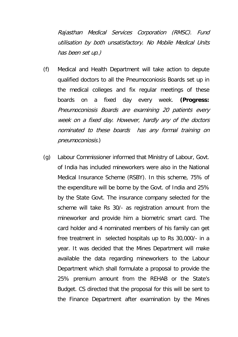Rajasthan Medical Services Corporation (RMSC). Fund utilisation by both unsatisfactory. No Mobile Medical Units has been set up.)

- (f) Medical and Health Department will take action to depute qualified doctors to all the Pneumoconiosis Boards set up in the medical colleges and fix regular meetings of these boards on a fixed day every week. **(Progress:** Pneumoconiosis Boards are examining 20 patients every week on a fixed day. However, hardly any of the doctors nominated to these boards has any formal training on pneumoconiosis.)
- (g) Labour Commissioner informed that Ministry of Labour, Govt. of India has included mineworkers were also in the National Medical Insurance Scheme (RSBY). In this scheme, 75% of the expenditure will be borne by the Govt. of India and 25% by the State Govt. The insurance company selected for the scheme will take Rs 30/- as registration amount from the mineworker and provide him a biometric smart card. The card holder and 4 nominated members of his family can get free treatment in selected hospitals up to Rs 30,000/- in a year. It was decided that the Mines Department will make available the data regarding mineworkers to the Labour Department which shall formulate a proposal to provide the 25% premium amount from the REHAB or the State's Budget. CS directed that the proposal for this will be sent to the Finance Department after examination by the Mines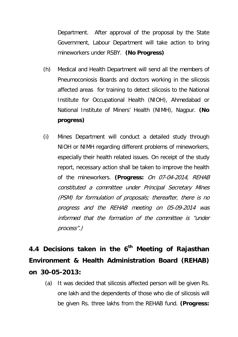Department. After approval of the proposal by the State Government, Labour Department will take action to bring mineworkers under RSBY. **(No Progress)**

- (h) Medical and Health Department will send all the members of Pneumoconiosis Boards and doctors working in the silicosis affected areas for training to detect silicosis to the National Institute for Occupational Health (NIOH), Ahmedabad or National Institute of Miners' Health (NIMH), Nagpur. **(No progress)**
- (i) Mines Department will conduct a detailed study through NIOH or NIMH regarding different problems of mineworkers, especially their health related issues. On receipt of the study report, necessary action shall be taken to improve the health of the mineworkers. **(Progress:** On 07-04-2014, REHAB constituted a committee under Principal Secretary Mines (PSM) for formulation of proposals; thereafter, there is no progress and the REHAB meeting on 05-09-2014 was informed that the formation of the committee is "under process".)

**4.4 Decisions taken in the 6th Meeting of Rajasthan Environment & Health Administration Board (REHAB) on 30-05-2013:**

(a) It was decided that silicosis affected person will be given Rs. one lakh and the dependents of those who die of silicosis will be given Rs. three lakhs from the REHAB fund. **(Progress:**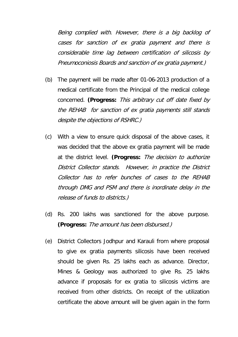Being complied with. However, there is a big backlog of cases for sanction of ex gratia payment and there is considerable time lag between certification of silicosis by Pneumoconiosis Boards and sanction of ex gratia payment.)

- (b) The payment will be made after 01-06-2013 production of a medical certificate from the Principal of the medical college concerned. **(Progress:** This arbitrary cut off date fixed by the REHAB for sanction of ex gratia payments still stands despite the objections of RSHRC.)
- (c) With a view to ensure quick disposal of the above cases, it was decided that the above ex gratia payment will be made at the district level. **(Progress:** The decision to authorize District Collector stands. However, in practice the District Collector has to refer bunches of cases to the REHAB through DMG and PSM and there is inordinate delay in the release of funds to districts.)
- (d) Rs. 200 lakhs was sanctioned for the above purpose. **(Progress:** The amount has been disbursed.)
- (e) District Collectors Jodhpur and Karauli from where proposal to give ex gratia payments silicosis have been received should be given Rs. 25 lakhs each as advance. Director, Mines & Geology was authorized to give Rs. 25 lakhs advance if proposals for ex gratia to silicosis victims are received from other districts. On receipt of the utilization certificate the above amount will be given again in the form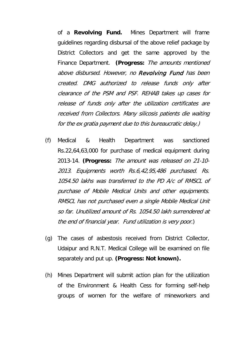of a **Revolving Fund.** Mines Department will frame guidelines regarding disbursal of the above relief package by District Collectors and get the same approved by the Finance Department. **(Progress:** The amounts mentioned above disbursed. However, no Revolving Fund has been created. DMG authorized to release funds only after clearance of the PSM and PSF. REHAB takes up cases for release of funds only after the utilization certificates are received from Collectors. Many silicosis patients die waiting for the ex gratia payment due to this bureaucratic delay.)

- (f) Medical & Health Department was sanctioned Rs.22,64,63,000 for purchase of medical equipment during 2013-14. **(Progress:** The amount was released on 21-10- 2013. Equipments worth Rs.6,42,95,486 purchased. Rs. 1054.50 lakhs was transferred to the PD A/c of RMSCL of purchase of Mobile Medical Units and other equipments. RMSCL has not purchased even a single Mobile Medical Unit so far. Unutilized amount of Rs. 1054.50 lakh surrendered at the end of financial year. Fund utilization is very poor.)
- (g) The cases of asbestosis received from District Collector, Udaipur and R.N.T. Medical College will be examined on file separately and put up. **(Progress: Not known).**
- (h) Mines Department will submit action plan for the utilization of the Environment & Health Cess for forming self-help groups of women for the welfare of mineworkers and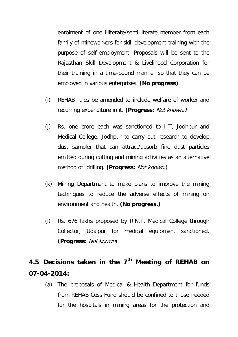enrolment of one illiterate/semi-literate member from each family of mineworkers for skill development training with the purpose of self-employment. Proposals will be sent to the Rajasthan Skill Development & Livelihood Corporation for their training in a time-bound manner so that they can be employed in various enterprises. **(No progress)**

- (i) REHAB rules be amended to include welfare of worker and recurring expenditure in it. **(Progress:** Not known.)
- (j) Rs. one crore each was sanctioned to IIT, Jodhpur and Medical College, Jodhpur to carry out research to develop dust sampler that can attract/absorb fine dust particles emitted during cutting and mining activities as an alternative method of drilling. **(Progress:** Not known.)
- (k) Mining Department to make plans to improve the mining techniques to reduce the adverse effects of mining on environment and health. **(No progress.)**
- (l) Rs. 676 lakhs proposed by R.N.T. Medical College through Collector, Udaipur for medical equipment sanctioned. **(Progress:** Not known)

# **4.5 Decisions taken in the 7th Meeting of REHAB on 07-04-2014:**

(a) The proposals of Medical & Health Department for funds from REHAB Cess Fund should be confined to those needed for the hospitals in mining areas for the protection and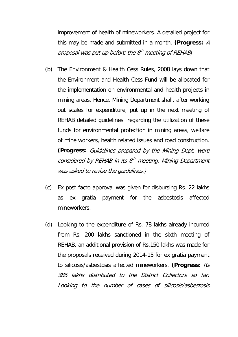improvement of health of mineworkers. A detailed project for this may be made and submitted in a month. **(Progress:** A proposal was put up before the  $8<sup>th</sup>$  meeting of REHAB)

- (b) The Environment & Health Cess Rules, 2008 lays down that the Environment and Health Cess Fund will be allocated for the implementation on environmental and health projects in mining areas. Hence, Mining Department shall, after working out scales for expenditure, put up in the next meeting of REHAB detailed guidelines regarding the utilization of these funds for environmental protection in mining areas, welfare of mine workers, health related issues and road construction. **(Progress:** Guidelines prepared by the Mining Dept. were considered by REHAB in its  $8<sup>th</sup>$  meeting. Mining Department was asked to revise the guidelines.)
- (c) Ex post facto approval was given for disbursing Rs. 22 lakhs as ex gratia payment for the asbestosis affected mineworkers.
- (d) Looking to the expenditure of Rs. 78 lakhs already incurred from Rs. 200 lakhs sanctioned in the sixth meeting of REHAB, an additional provision of Rs.150 lakhs was made for the proposals received during 2014-15 for ex gratia payment to silicosis/asbestosis affected mineworkers. **(Progress:** Rs 386 lakhs distributed to the District Collectors so far. Looking to the number of cases of silicosis/asbestosis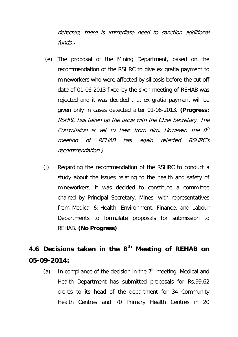detected, there is immediate need to sanction additional funds.)

- (e) The proposal of the Mining Department, based on the recommendation of the RSHRC to give ex gratia payment to mineworkers who were affected by silicosis before the cut off date of 01-06-2013 fixed by the sixth meeting of REHAB was rejected and it was decided that ex gratia payment will be given only in cases detected after 01-06-2013. **(Progress:**  RSHRC has taken up the issue with the Chief Secretary. The Commission is yet to hear from him. However, the  $8<sup>th</sup>$ meeting of REHAB has again rejected RSHRC's recommendation.)
- (j) Regarding the recommendation of the RSHRC to conduct a study about the issues relating to the health and safety of mineworkers, it was decided to constitute a committee chaired by Principal Secretary, Mines, with representatives from Medical & Health, Environment, Finance, and Labour Departments to formulate proposals for submission to REHAB. **(No Progress)**

# **4.6 Decisions taken in the 8th Meeting of REHAB on 05-09-2014:**

(a) In compliance of the decision in the  $7<sup>th</sup>$  meeting, Medical and Health Department has submitted proposals for Rs.99.62 crores to its head of the department for 34 Community Health Centres and 70 Primary Health Centres in 20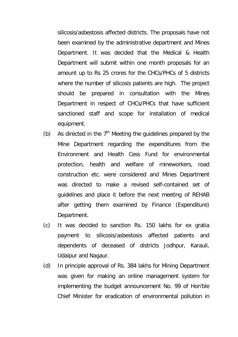silicosis/asbestosis affected districts. The proposals have not been examined by the administrative department and Mines Department. It was decided that the Medical & Health Department will submit within one month proposals for an amount up to Rs 25 crores for the CHCs/PHCs of 5 districts where the number of silicosis patients are high. The project should be prepared in consultation with the Mines Department in respect of CHCs/PHCs that have sufficient sanctioned staff and scope for installation of medical equipment.

- (b) As directed in the  $7<sup>th</sup>$  Meeting the guidelines prepared by the Mine Department regarding the expenditures from the Environment and Health Cess Fund for environmental protection, health and welfare of mineworkers, road construction etc. were considered and Mines Department was directed to make a revised self-contained set of guidelines and place it before the next meeting of REHAB after getting them examined by Finance (Expenditure) Department.
- (c) It was decided to sanction Rs. 150 lakhs for ex gratia payment to silicosis/asbestosis affected patients and dependents of deceased of districts Jodhpur, Karauli, Udaipur and Nagaur.
- (d) In principle approval of Rs. 384 lakhs for Mining Department was given for making an online management system for implementing the budget announcement No. 99 of Hon'ble Chief Minister for eradication of environmental pollution in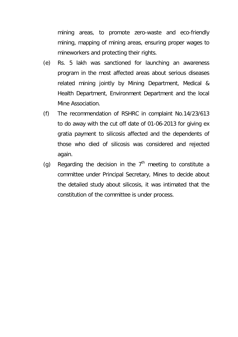mining areas, to promote zero-waste and eco-friendly mining, mapping of mining areas, ensuring proper wages to mineworkers and protecting their rights.

- (e) Rs. 5 lakh was sanctioned for launching an awareness program in the most affected areas about serious diseases related mining jointly by Mining Department, Medical & Health Department, Environment Department and the local Mine Association.
- (f) The recommendation of RSHRC in complaint No.14/23/613 to do away with the cut off date of 01-06-2013 for giving ex gratia payment to silicosis affected and the dependents of those who died of silicosis was considered and rejected again.
- (g) Regarding the decision in the  $7<sup>th</sup>$  meeting to constitute a committee under Principal Secretary, Mines to decide about the detailed study about silicosis, it was intimated that the constitution of the committee is under process.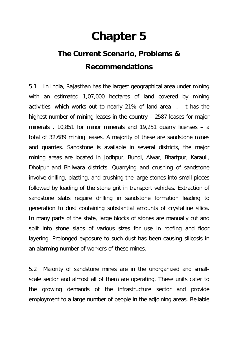# **Chapter 5**

# **The Current Scenario, Problems & Recommendations**

5.1 In India, Rajasthan has the largest geographical area under mining with an estimated 1,07,000 hectares of land covered by mining activities, which works out to nearly 21% of land area . It has the highest number of mining leases in the country – 2587 leases for major minerals , 10,851 for minor minerals and 19,251 quarry licenses – a total of 32,689 mining leases. A majority of these are sandstone mines and quarries. Sandstone is available in several districts, the major mining areas are located in Jodhpur, Bundi, Alwar, Bhartpur, Karauli, Dholpur and Bhilwara districts. Quarrying and crushing of sandstone involve drilling, blasting, and crushing the large stones into small pieces followed by loading of the stone grit in transport vehicles. Extraction of sandstone slabs require drilling in sandstone formation leading to generation to dust containing substantial amounts of crystalline silica. In many parts of the state, large blocks of stones are manually cut and split into stone slabs of various sizes for use in roofing and floor layering. Prolonged exposure to such dust has been causing silicosis in an alarming number of workers of these mines.

5.2 Majority of sandstone mines are in the unorganized and smallscale sector and almost all of them are operating. These units cater to the growing demands of the infrastructure sector and provide employment to a large number of people in the adjoining areas. Reliable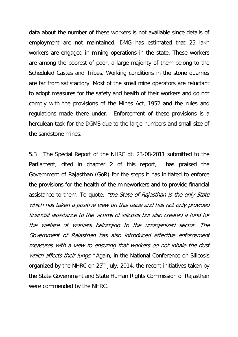data about the number of these workers is not available since details of employment are not maintained. DMG has estimated that 25 lakh workers are engaged in mining operations in the state. These workers are among the poorest of poor, a large majority of them belong to the Scheduled Castes and Tribes. Working conditions in the stone quarries are far from satisfactory. Most of the small mine operators are reluctant to adopt measures for the safety and health of their workers and do not comply with the provisions of the Mines Act, 1952 and the rules and regulations made there under. Enforcement of these provisions is a herculean task for the DGMS due to the large numbers and small size of the sandstone mines.

5.3 The Special Report of the NHRC dt. 23-08-2011 submitted to the Parliament, cited in chapter 2 of this report, has praised the Government of Rajasthan (GoR) for the steps it has initiated to enforce the provisions for the health of the mineworkers and to provide financial assistance to them. To quote: "the State of Rajasthan is the only State which has taken a positive view on this issue and has not only provided financial assistance to the victims of silicosis but also created a fund for the welfare of workers belonging to the unorganized sector. The Government of Rajasthan has also introduced effective enforcement measures with a view to ensuring that workers do not inhale the dust which affects their lungs." Again, in the National Conference on Silicosis organized by the NHRC on  $25<sup>th</sup>$  July, 2014, the recent initiatives taken by the State Government and State Human Rights Commission of Rajasthan were commended by the NHRC.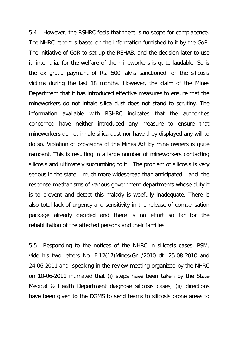5.4 However, the RSHRC feels that there is no scope for complacence. The NHRC report is based on the information furnished to it by the GoR. The initiative of GoR to set up the REHAB, and the decision later to use it, inter alia, for the welfare of the mineworkers is quite laudable. So is the ex gratia payment of Rs. 500 lakhs sanctioned for the silicosis victims during the last 18 months. However, the claim of the Mines Department that it has introduced effective measures to ensure that the mineworkers do not inhale silica dust does not stand to scrutiny. The information available with RSHRC indicates that the authorities concerned have neither introduced any measure to ensure that mineworkers do not inhale silica dust nor have they displayed any will to do so. Violation of provisions of the Mines Act by mine owners is quite rampant. This is resulting in a large number of mineworkers contacting silicosis and ultimately succumbing to it. The problem of silicosis is very serious in the state – much more widespread than anticipated – and the response mechanisms of various government departments whose duty it is to prevent and detect this malady is woefully inadequate. There is also total lack of urgency and sensitivity in the release of compensation package already decided and there is no effort so far for the rehabilitation of the affected persons and their families.

5.5 Responding to the notices of the NHRC in silicosis cases, PSM, vide his two letters No. F.12(17)Mines/Gr.I/2010 dt. 25-08-2010 and 24-06-2011 and speaking in the review meeting organized by the NHRC on 10-06-2011 intimated that (i) steps have been taken by the State Medical & Health Department diagnose silicosis cases, (ii) directions have been given to the DGMS to send teams to silicosis prone areas to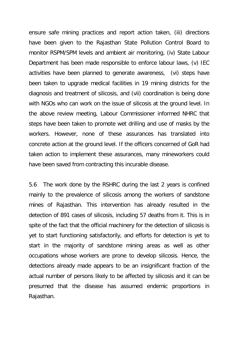ensure safe mining practices and report action taken, (iii) directions have been given to the Rajasthan State Pollution Control Board to monitor RSPM/SPM levels and ambient air monitoring, (iv) State Labour Department has been made responsible to enforce labour laws, (v) IEC activities have been planned to generate awareness, (vi) steps have been taken to upgrade medical facilities in 19 mining districts for the diagnosis and treatment of silicosis, and (vii) coordination is being done with NGOs who can work on the issue of silicosis at the ground level. In the above review meeting, Labour Commissioner informed NHRC that steps have been taken to promote wet drilling and use of masks by the workers. However, none of these assurances has translated into concrete action at the ground level. If the officers concerned of GoR had taken action to implement these assurances, many mineworkers could have been saved from contracting this incurable disease.

5.6 The work done by the RSHRC during the last 2 years is confined mainly to the prevalence of silicosis among the workers of sandstone mines of Rajasthan. This intervention has already resulted in the detection of 891 cases of silicosis, including 57 deaths from it. This is in spite of the fact that the official machinery for the detection of silicosis is yet to start functioning satisfactorily, and efforts for detection is yet to start in the majority of sandstone mining areas as well as other occupations whose workers are prone to develop silicosis. Hence, the detections already made appears to be an insignificant fraction of the actual number of persons likely to be affected by silicosis and it can be presumed that the disease has assumed endemic proportions in Rajasthan.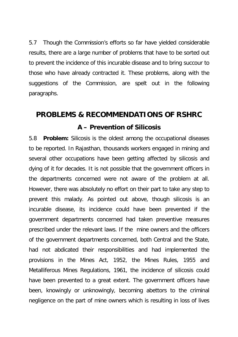5.7 Though the Commission's efforts so far have yielded considerable results, there are a large number of problems that have to be sorted out to prevent the incidence of this incurable disease and to bring succour to those who have already contracted it. These problems, along with the suggestions of the Commission, are spelt out in the following paragraphs.

# **PROBLEMS & RECOMMENDATIONS OF RSHRC A – Prevention of Silicosis**

5.8 **Problem:** Silicosis is the oldest among the occupational diseases to be reported. In Rajasthan, thousands workers engaged in mining and several other occupations have been getting affected by silicosis and dying of it for decades. It is not possible that the government officers in the departments concerned were not aware of the problem at all. However, there was absolutely no effort on their part to take any step to prevent this malady. As pointed out above, though silicosis is an incurable disease, its incidence could have been prevented if the government departments concerned had taken preventive measures prescribed under the relevant laws. If the mine owners and the officers of the government departments concerned, both Central and the State, had not abdicated their responsibilities and had implemented the provisions in the Mines Act, 1952, the Mines Rules, 1955 and Metalliferous Mines Regulations, 1961, the incidence of silicosis could have been prevented to a great extent. The government officers have been, knowingly or unknowingly, becoming abettors to the criminal negligence on the part of mine owners which is resulting in loss of lives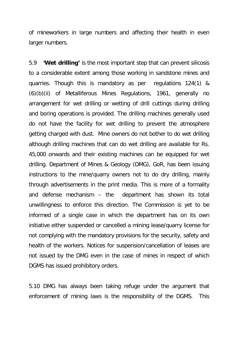of mineworkers in large numbers and affecting their health in even larger numbers.

5.9 **'Wet drilling'** is the most important step that can prevent silicosis to a considerable extent among those working in sandstone mines and quarries. Though this is mandatory as per regulations 124(1) & (6)(b)(ii) of Metalliferous Mines Regulations, 1961, generally no arrangement for wet drilling or wetting of drill cuttings during drilling and boring operations is provided. The drilling machines generally used do not have the facility for wet drilling to prevent the atmosphere getting charged with dust. Mine owners do not bother to do wet drilling although drilling machines that can do wet drilling are available for Rs. 45,000 onwards and their existing machines can be equipped for wet drilling. Department of Mines & Geology (DMG), GoR, has been issuing instructions to the mine/quarry owners not to do dry drilling, mainly through advertisements in the print media. This is more of a formality and defense mechanism – the department has shown its total unwillingness to enforce this direction. The Commission is yet to be informed of a single case in which the department has on its own initiative either suspended or cancelled a mining lease/quarry license for not complying with the mandatory provisions for the security, safety and health of the workers. Notices for suspension/cancellation of leases are not issued by the DMG even in the case of mines in respect of which DGMS has issued prohibitory orders.

5.10 DMG has always been taking refuge under the argument that enforcement of mining laws is the responsibility of the DGMS. This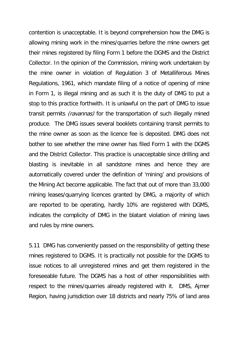contention is unacceptable. It is beyond comprehension how the DMG is allowing mining work in the mines/quarries before the mine owners get their mines registered by filing Form 1 before the DGMS and the District Collector. In the opinion of the Commission, mining work undertaken by the mine owner in violation of Regulation 3 of Metalliferous Mines Regulations, 1961, which mandate filing of a notice of opening of mine in Form 1, is illegal mining and as such it is the duty of DMG to put a stop to this practice forthwith. It is unlawful on the part of DMG to issue transit permits *(ravannas)* for the transportation of such illegally mined produce. The DMG issues several booklets containing transit permits to the mine owner as soon as the licence fee is deposited. DMG does not bother to see whether the mine owner has filed Form 1 with the DGMS and the District Collector. This practice is unacceptable since drilling and blasting is inevitable in all sandstone mines and hence they are automatically covered under the definition of 'mining' and provisions of the Mining Act become applicable. The fact that out of more than 33,000 mining leases/quarrying licences granted by DMG, a majority of which are reported to be operating, hardly 10% are registered with DGMS, indicates the complicity of DMG in the blatant violation of mining laws and rules by mine owners.

5.11 DMG has conveniently passed on the responsibility of getting these mines registered to DGMS. It is practically not possible for the DGMS to issue notices to all unregistered mines and get them registered in the foreseeable future. The DGMS has a host of other responsibilities with respect to the mines/quarries already registered with it. DMS, Ajmer Region, having jurisdiction over 18 districts and nearly 75% of land area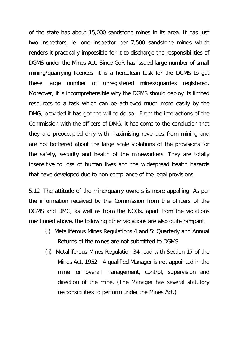of the state has about 15,000 sandstone mines in its area. It has just two inspectors, ie. one inspector per 7,500 sandstone mines which renders it practically impossible for it to discharge the responsibilities of DGMS under the Mines Act. Since GoR has issued large number of small mining/quarrying licences, it is a herculean task for the DGMS to get these large number of unregistered mines/quarries registered. Moreover, it is incomprehensible why the DGMS should deploy its limited resources to a task which can be achieved much more easily by the DMG, provided it has got the will to do so. From the interactions of the Commission with the officers of DMG, it has come to the conclusion that they are preoccupied only with maximising revenues from mining and are not bothered about the large scale violations of the provisions for the safety, security and health of the mineworkers. They are totally insensitive to loss of human lives and the widespread health hazards that have developed due to non-compliance of the legal provisions.

5.12 The attitude of the mine/quarry owners is more appalling. As per the information received by the Commission from the officers of the DGMS and DMG, as well as from the NGOs, apart from the violations mentioned above, the following other violations are also quite rampant:

- (i) Metalliferous Mines Regulations 4 and 5: Quarterly and Annual Returns of the mines are not submitted to DGMS.
- (ii) Metalliferous Mines Regulation 34 read with Section 17 of the Mines Act, 1952: A qualified Manager is not appointed in the mine for overall management, control, supervision and direction of the mine. (The Manager has several statutory responsibilities to perform under the Mines Act.)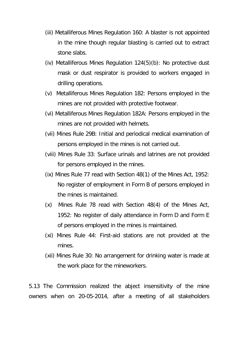- (iii) Metalliferous Mines Regulation 160: A blaster is not appointed in the mine though regular blasting is carried out to extract stone slabs.
- (iv) Metalliferous Mines Regulation 124(5)(b): No protective dust mask or dust respirator is provided to workers engaged in drilling operations.
- (v) Metalliferous Mines Regulation 182: Persons employed in the mines are not provided with protective footwear.
- (vi) Metalliferous Mines Regulation 182A: Persons employed in the mines are not provided with helmets.
- (vii) Mines Rule 29B: Initial and periodical medical examination of persons employed in the mines is not carried out.
- (viii) Mines Rule 33: Surface urinals and latrines are not provided for persons employed in the mines.
- (ix) Mines Rule 77 read with Section 48(1) of the Mines Act, 1952: No register of employment in Form B of persons employed in the mines is maintained.
- (x) Mines Rule 78 read with Section 48(4) of the Mines Act, 1952: No register of daily attendance in Form D and Form E of persons employed in the mines is maintained.
- (xi) Mines Rule 44: First-aid stations are not provided at the mines.
- (xii) Mines Rule 30: No arrangement for drinking water is made at the work place for the mineworkers.

5.13 The Commission realized the abject insensitivity of the mine owners when on 20-05-2014, after a meeting of all stakeholders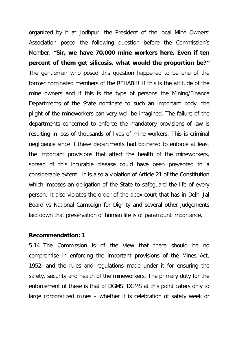organized by it at Jodhpur, the President of the local Mine Owners' Association posed the following question before the Commission's Member: **"Sir, we have 70,000 mine workers here. Even if ten percent of them get silicosis, what would the proportion be?"**  The gentleman who posed this question happened to be one of the former nominated members of the REHAB!!! If this is the attitude of the mine owners and if this is the type of persons the Mining/Finance Departments of the State nominate to such an important body, the plight of the mineworkers can very well be imagined. The failure of the departments concerned to enforce the mandatory provisions of law is resulting in loss of thousands of lives of mine workers. This is criminal negligence since if these departments had bothered to enforce at least the important provisions that affect the health of the mineworkers, spread of this incurable disease could have been prevented to a considerable extent. It is also a violation of Article 21 of the Constitution which imposes an obligation of the State to safeguard the life of every person. It also violates the order of the apex court that has in Delhi Jal Board vs National Campaign for Dignity and several other judgements laid down that preservation of human life is of paramount importance.

#### **Recommendation: 1**

5.14 The Commission is of the view that there should be no compromise in enforcing the important provisions of the Mines Act, 1952, and the rules and regulations made under it for ensuring the safety, security and health of the mineworkers. The primary duty for the enforcement of these is that of DGMS. DGMS at this point caters only to large corporatized mines – whether it is celebration of safety week or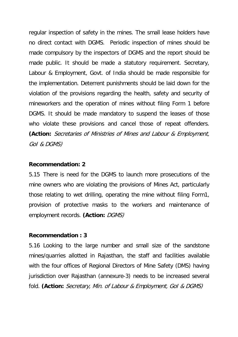regular inspection of safety in the mines. The small lease holders have no direct contact with DGMS. Periodic inspection of mines should be made compulsory by the inspectors of DGMS and the report should be made public. It should be made a statutory requirement. Secretary, Labour & Employment, Govt. of India should be made responsible for the implementation. Deterrent punishments should be laid down for the violation of the provisions regarding the health, safety and security of mineworkers and the operation of mines without filing Form 1 before DGMS. It should be made mandatory to suspend the leases of those who violate these provisions and cancel those of repeat offenders. **(Action:** Secretaries of Ministries of Mines and Labour & Employment, GoI & DGMS)

#### **Recommendation: 2**

5.15 There is need for the DGMS to launch more prosecutions of the mine owners who are violating the provisions of Mines Act, particularly those relating to wet drilling, operating the mine without filing Form1, provision of protective masks to the workers and maintenance of employment records. (Action: DGMS)

# **Recommendation : 3**

5.16 Looking to the large number and small size of the sandstone mines/quarries allotted in Rajasthan, the staff and facilities available with the four offices of Regional Directors of Mine Safety (DMS) having jurisdiction over Rajasthan (annexure-3) needs to be increased several fold. **(Action:** Secretary, Min. of Labour & Employment, GoI & DGMS)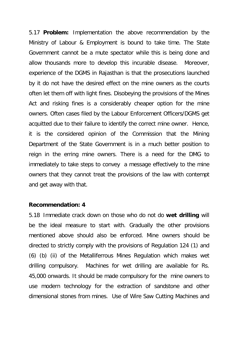5.17 **Problem:** Implementation the above recommendation by the Ministry of Labour & Employment is bound to take time. The State Government cannot be a mute spectator while this is being done and allow thousands more to develop this incurable disease. Moreover, experience of the DGMS in Rajasthan is that the prosecutions launched by it do not have the desired effect on the mine owners as the courts often let them off with light fines. Disobeying the provisions of the Mines Act and risking fines is a considerably cheaper option for the mine owners. Often cases filed by the Labour Enforcement Officers/DGMS get acquitted due to their failure to identify the correct mine owner. Hence, it is the considered opinion of the Commission that the Mining Department of the State Government is in a much better position to reign in the erring mine owners. There is a need for the DMG to immediately to take steps to convey a message effectively to the mine owners that they cannot treat the provisions of the law with contempt and get away with that.

#### **Recommendation: 4**

5.18 Immediate crack down on those who do not do **wet drilling** will be the ideal measure to start with. Gradually the other provisions mentioned above should also be enforced. Mine owners should be directed to strictly comply with the provisions of Regulation 124 (1) and (6) (b) (ii) of the Metalliferrous Mines Regulation which makes wet drilling compulsory. Machines for wet drilling are available for Rs. 45,000 onwards. It should be made compulsory for the mine owners to use modern technology for the extraction of sandstone and other dimensional stones from mines. Use of Wire Saw Cutting Machines and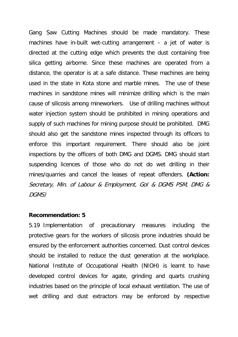Gang Saw Cutting Machines should be made mandatory. These machines have in-built wet-cutting arrangement – a jet of water is directed at the cutting edge which prevents the dust containing free silica getting airborne. Since these machines are operated from a distance, the operator is at a safe distance. These machines are being used in the state in Kota stone and marble mines. The use of these machines in sandstone mines will minimize drilling which is the main cause of silicosis among mineworkers. Use of drilling machines without water injection system should be prohibited in mining operations and supply of such machines for mining purpose should be prohibited. DMG should also get the sandstone mines inspected through its officers to enforce this important requirement. There should also be joint inspections by the officers of both DMG and DGMS. DMG should start suspending licences of those who do not do wet drilling in their mines/quarries and cancel the leases of repeat offenders. **(Action:** Secretary, Min. of Labour & Employment, GoI & DGMS PSM, DMG & DGMS)

# **Recommendation: 5**

5.19 Implementation of precautionary measures including the protective gears for the workers of silicosis prone industries should be ensured by the enforcement authorities concerned. Dust control devices should be installed to reduce the dust generation at the workplace. National Institute of Occupational Health (NIOH) is learnt to have developed control devices for agate, grinding and quarts crushing industries based on the principle of local exhaust ventilation. The use of wet drilling and dust extractors may be enforced by respective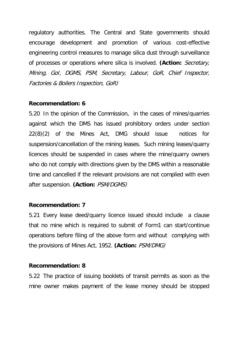regulatory authorities. The Central and State governments should encourage development and promotion of various cost-effective engineering control measures to manage silica dust through surveillance of processes or operations where silica is involved. **(Action:** Secretary, Mining, GoI, DGMS, PSM, Secretary, Labour, GoR, Chief Inspector, Factories & Boilers Inspection, GoR)

# **Recommendation: 6**

5.20 In the opinion of the Commission, in the cases of mines/quarries against which the DMS has issued prohibitory orders under section 22(8)(2) of the Mines Act, DMG should issue notices for suspension/cancellation of the mining leases. Such mining leases/quarry licences should be suspended in cases where the mine/quarry owners who do not comply with directions given by the DMS within a reasonable time and cancelled if the relevant provisions are not complied with even after suspension. **(Action:** PSM/DGMS)

# **Recommendation: 7**

5.21 Every lease deed/quarry licence issued should include a clause that no mine which is required to submit of Form1 can start/continue operations before filing of the above form and without complying with the provisions of Mines Act, 1952. **(Action:** PSM/DMG)

#### **Recommendation: 8**

5.22 The practice of issuing booklets of transit permits as soon as the mine owner makes payment of the lease money should be stopped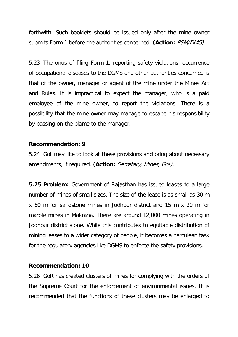forthwith. Such booklets should be issued only after the mine owner submits Form 1 before the authorities concerned. **(Action:** PSM/DMG)

5.23 The onus of filing Form 1, reporting safety violations, occurrence of occupational diseases to the DGMS and other authorities concerned is that of the owner, manager or agent of the mine under the Mines Act and Rules. It is impractical to expect the manager, who is a paid employee of the mine owner, to report the violations. There is a possibility that the mine owner may manage to escape his responsibility by passing on the blame to the manager.

#### **Recommendation: 9**

5.24 GoI may like to look at these provisions and bring about necessary amendments, if required. **(Action:** Secretary, Mines, GoI).

**5.25 Problem:** Government of Rajasthan has issued leases to a large number of mines of small sizes. The size of the lease is as small as 30 m x 60 m for sandstone mines in Jodhpur district and 15 m x 20 m for marble mines in Makrana. There are around 12,000 mines operating in Jodhpur district alone. While this contributes to equitable distribution of mining leases to a wider category of people, it becomes a herculean task for the regulatory agencies like DGMS to enforce the safety provisions.

#### **Recommendation: 10**

5.26 GoR has created clusters of mines for complying with the orders of the Supreme Court for the enforcement of environmental issues. It is recommended that the functions of these clusters may be enlarged to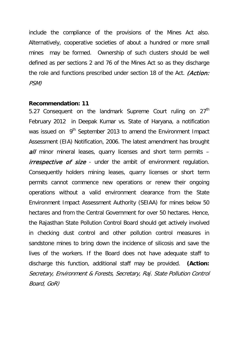include the compliance of the provisions of the Mines Act also. Alternatively, cooperative societies of about a hundred or more small mines may be formed. Ownership of such clusters should be well defined as per sections 2 and 76 of the Mines Act so as they discharge the role and functions prescribed under section 18 of the Act. *(Action:* PSM)

# **Recommendation: 11**

5.27 Consequent on the landmark Supreme Court ruling on 27<sup>th</sup> February 2012 in Deepak Kumar vs. State of Haryana, a notification was issued on 9<sup>th</sup> September 2013 to amend the Environment Impact Assessment (EIA) Notification, 2006. The latest amendment has brought  $all$  minor mineral leases, quarry licenses and short term permits  $$ *irrespective of size* - under the ambit of environment regulation. Consequently holders mining leases, quarry licenses or short term permits cannot commence new operations or renew their ongoing operations without a valid environment clearance from the State Environment Impact Assessment Authority (SEIAA) for mines below 50 hectares and from the Central Government for over 50 hectares. Hence, the Rajasthan State Pollution Control Board should get actively involved in checking dust control and other pollution control measures in sandstone mines to bring down the incidence of silicosis and save the lives of the workers. If the Board does not have adequate staff to discharge this function, additional staff may be provided. **(Action:**  Secretary, Environment & Forests, Secretary, Raj. State Pollution Control Board, GoR)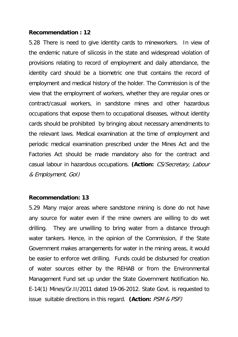#### **Recommendation : 12**

5.28 There is need to give identity cards to mineworkers. In view of the endemic nature of silicosis in the state and widespread violation of provisions relating to record of employment and daily attendance, the identity card should be a biometric one that contains the record of employment and medical history of the holder. The Commission is of the view that the employment of workers, whether they are regular ones or contract/casual workers, in sandstone mines and other hazardous occupations that expose them to occupational diseases, without identity cards should be prohibited by bringing about necessary amendments to the relevant laws. Medical examination at the time of employment and periodic medical examination prescribed under the Mines Act and the Factories Act should be made mandatory also for the contract and casual labour in hazardous occupations. **(Action:** CS/Secretary, Labour & Employment, GoI)

#### **Recommendation: 13**

5.29 Many major areas where sandstone mining is done do not have any source for water even if the mine owners are willing to do wet drilling. They are unwilling to bring water from a distance through water tankers. Hence, in the opinion of the Commission, if the State Government makes arrangements for water in the mining areas, it would be easier to enforce wet drilling. Funds could be disbursed for creation of water sources either by the REHAB or from the Environmental Management Fund set up under the State Government Notification No. E-14(1) Mines/Gr.II/2011 dated 19-06-2012. State Govt. is requested to issue suitable directions in this regard. **(Action:** PSM & PSF)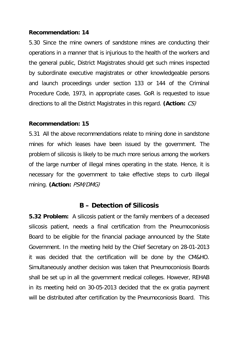# **Recommendation: 14**

5.30 Since the mine owners of sandstone mines are conducting their operations in a manner that is injurious to the health of the workers and the general public, District Magistrates should get such mines inspected by subordinate executive magistrates or other knowledgeable persons and launch proceedings under section 133 or 144 of the Criminal Procedure Code, 1973, in appropriate cases. GoR is requested to issue directions to all the District Magistrates in this regard. **(Action:** CS)

# **Recommendation: 15**

5.31 All the above recommendations relate to mining done in sandstone mines for which leases have been issued by the government. The problem of silicosis is likely to be much more serious among the workers of the large number of illegal mines operating in the state. Hence, it is necessary for the government to take effective steps to curb illegal mining. **(Action:** PSM/DMG)

# **B – Detection of Silicosis**

**5.32 Problem:** A silicosis patient or the family members of a deceased silicosis patient, needs a final certification from the Pneumoconiosis Board to be eligible for the financial package announced by the State Government. In the meeting held by the Chief Secretary on 28-01-2013 it was decided that the certification will be done by the CM&HO. Simultaneously another decision was taken that Pneumoconiosis Boards shall be set up in all the government medical colleges. However, REHAB in its meeting held on 30-05-2013 decided that the ex gratia payment will be distributed after certification by the Pneumoconiosis Board. This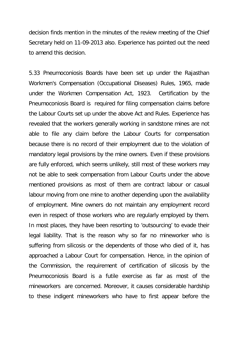decision finds mention in the minutes of the review meeting of the Chief Secretary held on 11-09-2013 also. Experience has pointed out the need to amend this decision.

5.33 Pneumoconiosis Boards have been set up under the Rajasthan Workmen's Compensation (Occupational Diseases) Rules, 1965, made under the Workmen Compensation Act, 1923. Certification by the Pneumoconiosis Board is required for filing compensation claims before the Labour Courts set up under the above Act and Rules. Experience has revealed that the workers generally working in sandstone mines are not able to file any claim before the Labour Courts for compensation because there is no record of their employment due to the violation of mandatory legal provisions by the mine owners. Even if these provisions are fully enforced, which seems unlikely, still most of these workers may not be able to seek compensation from Labour Courts under the above mentioned provisions as most of them are contract labour or casual labour moving from one mine to another depending upon the availability of employment. Mine owners do not maintain any employment record even in respect of those workers who are regularly employed by them. In most places, they have been resorting to 'outsourcing' to evade their legal liability. That is the reason why so far no mineworker who is suffering from silicosis or the dependents of those who died of it, has approached a Labour Court for compensation. Hence, in the opinion of the Commission, the requirement of certification of silicosis by the Pneumoconiosis Board is a futile exercise as far as most of the mineworkers are concerned. Moreover, it causes considerable hardship to these indigent mineworkers who have to first appear before the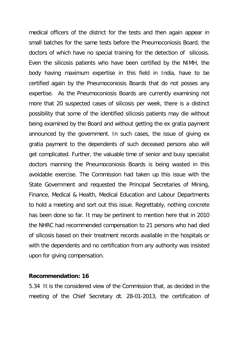medical officers of the district for the tests and then again appear in small batches for the same tests before the Pneumoconiosis Board, the doctors of which have no special training for the detection of silicosis. Even the silicosis patients who have been certified by the NIMH, the body having maximum expertise in this field in India, have to be certified again by the Pneumoconiosis Boards that do not posses any expertise. As the Pneumoconiosis Boards are currently examining not more that 20 suspected cases of silicosis per week, there is a distinct possibility that some of the identified silicosis patients may die without being examined by the Board and without getting the ex gratia payment announced by the government. In such cases, the issue of giving ex gratia payment to the dependents of such deceased persons also will get complicated. Further, the valuable time of senior and busy specialist doctors manning the Pneumoconiosis Boards is being wasted in this avoidable exercise. The Commission had taken up this issue with the State Government and requested the Principal Secretaries of Mining, Finance, Medical & Health, Medical Education and Labour Departments to hold a meeting and sort out this issue. Regrettably, nothing concrete has been done so far. It may be pertinent to mention here that in 2010 the NHRC had recommended compensation to 21 persons who had died of silicosis based on their treatment records available in the hospitals or with the dependents and no certification from any authority was insisted upon for giving compensation.

#### **Recommendation: 16**

5.34 It is the considered view of the Commission that, as decided in the meeting of the Chief Secretary dt. 28-01-2013, the certification of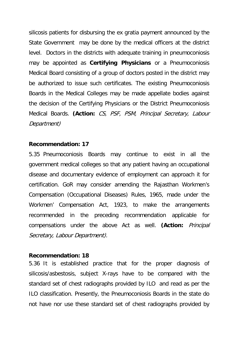silicosis patients for disbursing the ex gratia payment announced by the State Government may be done by the medical officers at the district level. Doctors in the districts with adequate training in pneumoconiosis may be appointed as **Certifying Physicians** or a Pneumoconiosis Medical Board consisting of a group of doctors posted in the district may be authorized to issue such certificates. The existing Pneumoconiosis Boards in the Medical Colleges may be made appellate bodies against the decision of the Certifying Physicians or the District Pneumoconiosis Medical Boards. **(Action:** CS, PSF, PSM, Principal Secretary, Labour Department)

# **Recommendation: 17**

5.35 Pneumoconiosis Boards may continue to exist in all the government medical colleges so that any patient having an occupational disease and documentary evidence of employment can approach it for certification. GoR may consider amending the Rajasthan Workmen's Compensation (Occupational Diseases) Rules, 1965, made under the Workmen' Compensation Act, 1923, to make the arrangements recommended in the preceding recommendation applicable for compensations under the above Act as well. **(Action:** Principal Secretary, Labour Department).

#### **Recommendation: 18**

5.36 It is established practice that for the proper diagnosis of silicosis/asbestosis, subject X-rays have to be compared with the standard set of chest radiographs provided by ILO and read as per the ILO classification. Presently, the Pneumoconiosis Boards in the state do not have nor use these standard set of chest radiographs provided by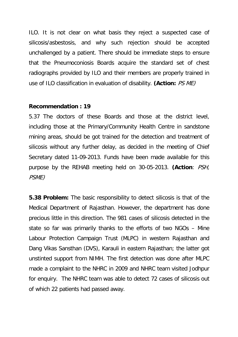ILO. It is not clear on what basis they reject a suspected case of silicosis/asbestosis, and why such rejection should be accepted unchallenged by a patient. There should be immediate steps to ensure that the Pneumoconiosis Boards acquire the standard set of chest radiographs provided by ILO and their members are properly trained in use of ILO classification in evaluation of disability. **(Action:** PS ME)

#### **Recommendation : 19**

5.37 The doctors of these Boards and those at the district level, including those at the Primary/Community Health Centre in sandstone mining areas, should be got trained for the detection and treatment of silicosis without any further delay, as decided in the meeting of Chief Secretary dated 11-09-2013. Funds have been made available for this purpose by the REHAB meeting held on 30-05-2013. **(Action**: PSH, PSME)

**5.38 Problem:** The basic responsibility to detect silicosis is that of the Medical Department of Rajasthan. However, the department has done precious little in this direction. The 981 cases of silicosis detected in the state so far was primarily thanks to the efforts of two NGOs – Mine Labour Protection Campaign Trust (MLPC) in western Rajasthan and Dang Vikas Sansthan (DVS), Karauli in eastern Rajasthan; the latter got unstinted support from NIMH. The first detection was done after MLPC made a complaint to the NHRC in 2009 and NHRC team visited Jodhpur for enquiry. The NHRC team was able to detect 72 cases of silicosis out of which 22 patients had passed away.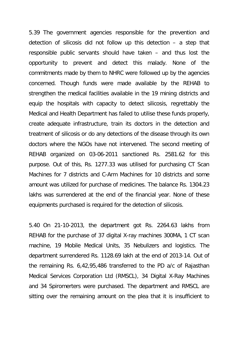5.39 The government agencies responsible for the prevention and detection of silicosis did not follow up this detection – a step that responsible public servants should have taken – and thus lost the opportunity to prevent and detect this malady. None of the commitments made by them to NHRC were followed up by the agencies concerned. Though funds were made available by the REHAB to strengthen the medical facilities available in the 19 mining districts and equip the hospitals with capacity to detect silicosis, regrettably the Medical and Health Department has failed to utilise these funds properly, create adequate infrastructure, train its doctors in the detection and treatment of silicosis or do any detections of the disease through its own doctors where the NGOs have not intervened. The second meeting of REHAB organized on 03-06-2011 sanctioned Rs. 2581.62 for this purpose. Out of this, Rs. 1277.33 was utilised for purchasing CT Scan Machines for 7 districts and C-Arm Machines for 10 districts and some amount was utilized for purchase of medicines. The balance Rs. 1304.23 lakhs was surrendered at the end of the financial year. None of these equipments purchased is required for the detection of silicosis.

5.40 On 21-10-2013, the department got Rs. 2264.63 lakhs from REHAB for the purchase of 37 digital X-ray machines 300MA, 1 CT scan machine, 19 Mobile Medical Units, 35 Nebulizers and logistics. The department surrendered Rs. 1128.69 lakh at the end of 2013-14. Out of the remaining Rs. 6,42,95,486 transferred to the PD a/c of Rajasthan Medical Services Corporation Ltd (RMSCL), 34 Digital X-Ray Machines and 34 Spiromerters were purchased. The department and RMSCL are sitting over the remaining amount on the plea that it is insufficient to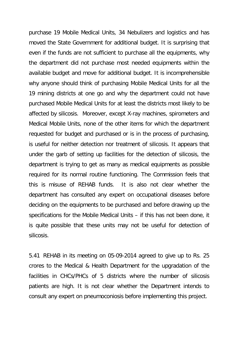purchase 19 Mobile Medical Units, 34 Nebulizers and logistics and has moved the State Government for additional budget. It is surprising that even if the funds are not sufficient to purchase all the equipments, why the department did not purchase most needed equipments within the available budget and move for additional budget. It is incomprehensible why anyone should think of purchasing Mobile Medical Units for all the 19 mining districts at one go and why the department could not have purchased Mobile Medical Units for at least the districts most likely to be affected by silicosis. Moreover, except X-ray machines, spirometers and Medical Mobile Units, none of the other items for which the department requested for budget and purchased or is in the process of purchasing, is useful for neither detection nor treatment of silicosis. It appears that under the garb of setting up facilities for the detection of silicosis, the department is trying to get as many as medical equipments as possible required for its normal routine functioning. The Commission feels that this is misuse of REHAB funds. It is also not clear whether the department has consulted any expert on occupational diseases before deciding on the equipments to be purchased and before drawing up the specifications for the Mobile Medical Units – if this has not been done, it is quite possible that these units may not be useful for detection of silicosis.

5.41 REHAB in its meeting on 05-09-2014 agreed to give up to Rs. 25 crores to the Medical & Health Department for the upgradation of the facilities in CHCs/PHCs of 5 districts where the number of silicosis patients are high. It is not clear whether the Department intends to consult any expert on pneumoconiosis before implementing this project.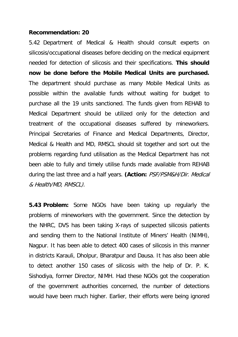## **Recommendation: 20**

5.42 Department of Medical & Health should consult experts on silicosis/occupational diseases before deciding on the medical equipment needed for detection of silicosis and their specifications. **This should now be done before the Mobile Medical Units are purchased.**  The department should purchase as many Mobile Medical Units as possible within the available funds without waiting for budget to purchase all the 19 units sanctioned. The funds given from REHAB to Medical Department should be utilized only for the detection and treatment of the occupational diseases suffered by mineworkers. Principal Secretaries of Finance and Medical Departments, Director, Medical & Health and MD, RMSCL should sit together and sort out the problems regarding fund utilisation as the Medical Department has not been able to fully and timely utilise funds made available from REHAB during the last three and a half years. **(Action:** PSF/PSM&H/Dir. Medical & Health/MD, RMSCL).

**5.43 Problem:** Some NGOs have been taking up regularly the problems of mineworkers with the government. Since the detection by the NHRC, DVS has been taking X-rays of suspected silicosis patients and sending them to the National Institute of Miners' Health (NIMH), Nagpur. It has been able to detect 400 cases of silicosis in this manner in districts Karauli, Dholpur, Bharatpur and Dausa. It has also been able to detect another 150 cases of silicosis with the help of Dr. P. K. Sishodiya, former Director, NIMH. Had these NGOs got the cooperation of the government authorities concerned, the number of detections would have been much higher. Earlier, their efforts were being ignored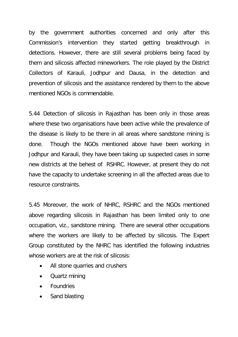by the government authorities concerned and only after this Commission's intervention they started getting breakthrough in detections. However, there are still several problems being faced by them and silicosis affected mineworkers. The role played by the District Collectors of Karauli, Jodhpur and Dausa, in the detection and prevention of silicosis and the assistance rendered by them to the above mentioned NGOs is commendable.

5.44 Detection of silicosis in Rajasthan has been only in those areas where these two organisations have been active while the prevalence of the disease is likely to be there in all areas where sandstone mining is done. Though the NGOs mentioned above have been working in Jodhpur and Karauli, they have been taking up suspected cases in some new districts at the behest of RSHRC. However, at present they do not have the capacity to undertake screening in all the affected areas due to resource constraints.

5.45 Moreover, the work of NHRC, RSHRC and the NGOs mentioned above regarding silicosis in Rajasthan has been limited only to one occupation, viz., sandstone mining. There are several other occupations where the workers are likely to be affected by silicosis. The Expert Group constituted by the NHRC has identified the following industries whose workers are at the risk of silicosis:

- All stone quarries and crushers
- Quartz mining
- **Foundries**
- Sand blasting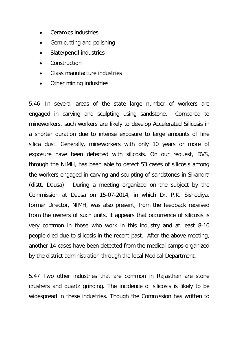- Ceramics industries
- Gem cutting and polishing
- Slate/pencil industries
- Construction
- Glass manufacture industries
- Other mining industries

5.46 In several areas of the state large number of workers are engaged in carving and sculpting using sandstone. Compared to mineworkers, such workers are likely to develop Accelerated Silicosis in a shorter duration due to intense exposure to large amounts of fine silica dust. Generally, mineworkers with only 10 years or more of exposure have been detected with silicosis. On our request, DVS, through the NIMH, has been able to detect 53 cases of silicosis among the workers engaged in carving and sculpting of sandstones in Sikandra (distt. Dausa). During a meeting organized on the subject by the Commission at Dausa on 15-07-2014, in which Dr. P.K. Sishodiya, former Director, NIMH, was also present, from the feedback received from the owners of such units, it appears that occurrence of silicosis is very common in those who work in this industry and at least 8-10 people died due to silicosis in the recent past. After the above meeting, another 14 cases have been detected from the medical camps organized by the district administration through the local Medical Department.

5.47 Two other industries that are common in Rajasthan are stone crushers and quartz grinding. The incidence of silicosis is likely to be widespread in these industries. Though the Commission has written to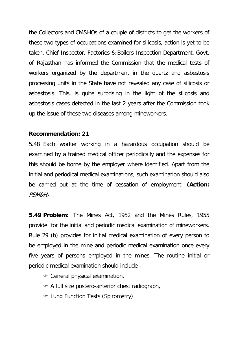the Collectors and CM&HOs of a couple of districts to get the workers of these two types of occupations examined for silicosis, action is yet to be taken. Chief Inspector, Factories & Boilers Inspection Department, Govt. of Rajasthan has informed the Commission that the medical tests of workers organized by the department in the quartz and asbestosis processing units in the State have not revealed any case of silicosis or asbestosis. This, is quite surprising in the light of the silicosis and asbestosis cases detected in the last 2 years after the Commission took up the issue of these two diseases among mineworkers.

## **Recommendation: 21**

5.48 Each worker working in a hazardous occupation should be examined by a trained medical officer periodically and the expenses for this should be borne by the employer where identified. Apart from the initial and periodical medical examinations, such examination should also be carried out at the time of cessation of employment. **(Action:**  PSM&H)

**5.49 Problem:** The Mines Act, 1952 and the Mines Rules, 1955 provide for the initial and periodic medical examination of mineworkers. Rule 29 (b) provides for initial medical examination of every person to be employed in the mine and periodic medical examination once every five years of persons employed in the mines. The routine initial or periodic medical examination should include -

- General physical examination,
- A full size postero-anterior chest radiograph,
- Lung Function Tests (Spirometry)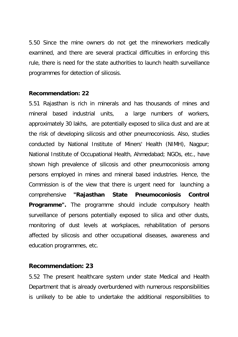5.50 Since the mine owners do not get the mineworkers medically examined, and there are several practical difficulties in enforcing this rule, there is need for the state authorities to launch health surveillance programmes for detection of silicosis.

#### **Recommendation: 22**

5.51 Rajasthan is rich in minerals and has thousands of mines and mineral based industrial units, a large numbers of workers, approximately 30 lakhs, are potentially exposed to silica dust and are at the risk of developing silicosis and other pneumoconiosis. Also, studies conducted by National Institute of Miners' Health (NIMH), Nagpur; National Institute of Occupational Health, Ahmedabad; NGOs, etc., have shown high prevalence of silicosis and other pneumoconiosis among persons employed in mines and mineral based industries. Hence, the Commission is of the view that there is urgent need for launching a comprehensive **"Rajasthan State Pneumoconiosis Control Programme".** The programme should include compulsory health surveillance of persons potentially exposed to silica and other dusts, monitoring of dust levels at workplaces, rehabilitation of persons affected by silicosis and other occupational diseases, awareness and education programmes, etc.

## **Recommendation: 23**

5.52 The present healthcare system under state Medical and Health Department that is already overburdened with numerous responsibilities is unlikely to be able to undertake the additional responsibilities to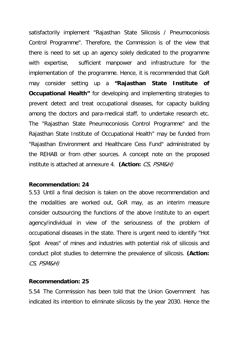satisfactorily implement "Rajasthan State Silicosis / Pneumoconiosis Control Programme". Therefore, the Commission is of the view that there is need to set up an agency solely dedicated to the programme with expertise, sufficient manpower and infrastructure for the implementation of the programme. Hence, it is recommended that GoR may consider setting up a **"Rajasthan State Institute of Occupational Health"** for developing and implementing strategies to prevent detect and treat occupational diseases, for capacity building among the doctors and para-medical staff, to undertake research etc. The "Rajasthan State Pneumoconiosis Control Programme" and the Rajasthan State Institute of Occupational Health" may be funded from "Rajasthan Environment and Healthcare Cess Fund" administrated by the REHAB or from other sources. A concept note on the proposed institute is attached at annexure 4. **(Action:** CS, PSM&H)

#### **Recommendation: 24**

5.53 Until a final decision is taken on the above recommendation and the modalities are worked out, GoR may, as an interim measure consider outsourcing the functions of the above Institute to an expert agency/individual in view of the seriousness of the problem of occupational diseases in the state. There is urgent need to identify "Hot Spot Areas" of mines and industries with potential risk of silicosis and conduct pilot studies to determine the prevalence of silicosis. **(Action:** CS, PSM&H)

#### **Recommendation: 25**

5.54 The Commission has been told that the Union Government has indicated its intention to eliminate silicosis by the year 2030. Hence the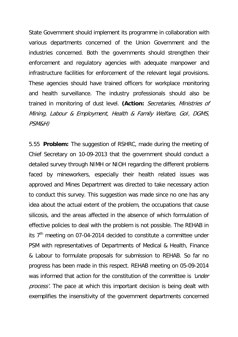State Government should implement its programme in collaboration with various departments concerned of the Union Government and the industries concerned. Both the governments should strengthen their enforcement and regulatory agencies with adequate manpower and infrastructure facilities for enforcement of the relevant legal provisions. These agencies should have trained officers for workplace monitoring and health surveillance. The industry professionals should also be trained in monitoring of dust level. **(Action:** Secretaries, Ministries of Mining, Labour & Employment, Health & Family Welfare, GoI, DGMS, PSM&H)

5.55 **Problem:** The suggestion of RSHRC, made during the meeting of Chief Secretary on 10-09-2013 that the government should conduct a detailed survey through NIMH or NIOH regarding the different problems faced by mineworkers, especially their health related issues was approved and Mines Department was directed to take necessary action to conduct this survey. This suggestion was made since no one has any idea about the actual extent of the problem, the occupations that cause silicosis, and the areas affected in the absence of which formulation of effective policies to deal with the problem is not possible. The REHAB in its  $7<sup>th</sup>$  meeting on 07-04-2014 decided to constitute a committee under PSM with representatives of Departments of Medical & Health, Finance & Labour to formulate proposals for submission to REHAB. So far no progress has been made in this respect. REHAB meeting on 05-09-2014 was informed that action for the constitution of the committee is *'under* process'. The pace at which this important decision is being dealt with exemplifies the insensitivity of the government departments concerned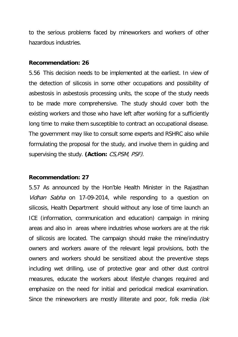to the serious problems faced by mineworkers and workers of other hazardous industries.

#### **Recommendation: 26**

5.56 This decision needs to be implemented at the earliest. In view of the detection of silicosis in some other occupations and possibility of asbestosis in asbestosis processing units, the scope of the study needs to be made more comprehensive. The study should cover both the existing workers and those who have left after working for a sufficiently long time to make them susceptible to contract an occupational disease. The government may like to consult some experts and RSHRC also while formulating the proposal for the study, and involve them in guiding and supervising the study. **(Action:** CS,PSM, PSF).

#### **Recommendation: 27**

5.57 As announced by the Hon'ble Health Minister in the Rajasthan Vidhan Sabha on 17-09-2014, while responding to a question on silicosis, Health Department should without any lose of time launch an ICE (information, communication and education) campaign in mining areas and also in areas where industries whose workers are at the risk of silicosis are located. The campaign should make the mine/industry owners and workers aware of the relevant legal provisions, both the owners and workers should be sensitized about the preventive steps including wet drilling, use of protective gear and other dust control measures, educate the workers about lifestyle changes required and emphasize on the need for initial and periodical medical examination. Since the mineworkers are mostly illiterate and poor, folk media *(lok*)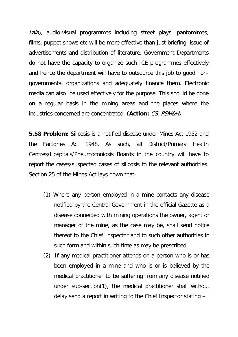kala), audio-visual programmes including street plays, pantomimes, films, puppet shows etc will be more effective than just briefing, issue of advertisements and distribution of literature. Government Departments do not have the capacity to organize such ICE programmes effectively and hence the department will have to outsource this job to good nongovernmental organizations and adequately finance them. Electronic media can also be used effectively for the purpose. This should be done on a regular basis in the mining areas and the places where the industries concerned are concentrated. **(Action:** CS, PSM&H)

**5.58 Problem:** Silicosis is a notified disease under Mines Act 1952 and the Factories Act 1948. As such, all District/Primary Health Centres/Hospitals/Pneumoconiosis Boards in the country will have to report the cases/suspected cases of silicosis to the relevant authorities. Section 25 of the Mines Act lays down that-

- (1) Where any person employed in a mine contacts any disease notified by the Central Government in the official Gazette as a disease connected with mining operations the owner, agent or manager of the mine, as the case may be, shall send notice thereof to the Chief Inspector and to such other authorities in such form and within such time as may be prescribed.
- (2) If any medical practitioner attends on a person who is or has been employed in a mine and who is or is believed by the medical practitioner to be suffering from any disease notified under sub-section(1), the medical practitioner shall without delay send a report in writing to the Chief Inspector stating –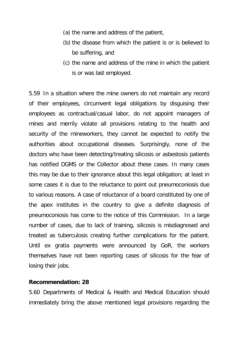- (a) the name and address of the patient,
- (b) the disease from which the patient is or is believed to be suffering, and
- (c) the name and address of the mine in which the patient is or was last employed.

5.59 In a situation where the mine owners do not maintain any record of their employees, circumvent legal obligations by disguising their employees as contractual/casual labor, do not appoint managers of mines and merrily violate all provisions relating to the health and security of the mineworkers, they cannot be expected to notify the authorities about occupational diseases. Surprisingly, none of the doctors who have been detecting/treating silicosis or asbestosis patients has notified DGMS or the Collector about these cases. In many cases this may be due to their ignorance about this legal obligation; at least in some cases it is due to the reluctance to point out pneumoconiosis due to various reasons. A case of reluctance of a board constituted by one of the apex institutes in the country to give a definite diagnosis of pneumoconiosis has come to the notice of this Commission. In a large number of cases, due to lack of training, silicosis is misdiagnosed and treated as tuberculosis creating further complications for the patient. Until ex gratia payments were announced by GoR, the workers themselves have not been reporting cases of silicosis for the fear of losing their jobs.

#### **Recommendation: 28**

5.60 Departments of Medical & Health and Medical Education should immediately bring the above mentioned legal provisions regarding the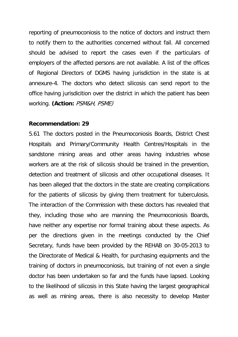reporting of pneumoconiosis to the notice of doctors and instruct them to notify them to the authorities concerned without fail. All concerned should be advised to report the cases even if the particulars of employers of the affected persons are not available. A list of the offices of Regional Directors of DGMS having jurisdiction in the state is at annexure-4. The doctors who detect silicosis can send report to the office having jurisdicition over the district in which the patient has been working. **(Action:** PSM&H, PSME)

#### **Recommendation: 29**

5.61 The doctors posted in the Pneumoconiosis Boards, District Chest Hospitals and Primary/Community Health Centres/Hospitals in the sandstone mining areas and other areas having industries whose workers are at the risk of silicosis should be trained in the prevention, detection and treatment of silicosis and other occupational diseases. It has been alleged that the doctors in the state are creating complications for the patients of silicosis by giving them treatment for tuberculosis. The interaction of the Commission with these doctors has revealed that they, including those who are manning the Pneumoconiosis Boards, have neither any expertise nor formal training about these aspects. As per the directions given in the meetings conducted by the Chief Secretary, funds have been provided by the REHAB on 30-05-2013 to the Directorate of Medical & Health, for purchasing equipments and the training of doctors in pneumoconiosis, but training of not even a single doctor has been undertaken so far and the funds have lapsed. Looking to the likelihood of silicosis in this State having the largest geographical as well as mining areas, there is also necessity to develop Master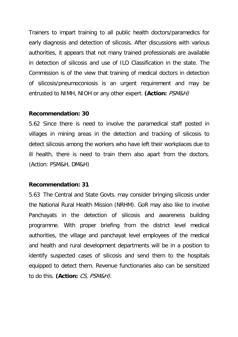Trainers to impart training to all public health doctors/paramedics for early diagnosis and detection of silicosis. After discussions with various authorities, it appears that not many trained professionals are available in detection of silicosis and use of ILO Classification in the state. The Commission is of the view that training of medical doctors in detection of silicosis/pneumoconiosis is an urgent requirement and may be entrusted to NIMH, NIOH or any other expert. **(Action:** PSM&H)

#### **Recommendation: 30**

5.62 Since there is need to involve the paramedical staff posted in villages in mining areas in the detection and tracking of silicosis to detect silicosis among the workers who have left their workplaces due to ill health, there is need to train them also apart from the doctors. (Action: PSM&H, DM&H)

#### **Recommendation: 31**

5.63 The Central and State Govts. may consider bringing silicosis under the National Rural Health Mission (NRHM). GoR may also like to involve Panchayats in the detection of silicosis and awareness building programme. With proper briefing from the district level medical authorities, the village and panchayat level employees of the medical and health and rural development departments will be in a position to identify suspected cases of silicosis and send them to the hospitals equipped to detect them. Revenue functionaries also can be sensitized to do this. **(Action:** CS, PSM&H).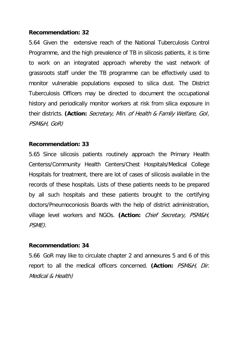## **Recommendation: 32**

5.64 Given the extensive reach of the National Tuberculosis Control Programme, and the high prevalence of TB in silicosis patients, it is time to work on an integrated approach whereby the vast network of grassroots staff under the TB programme can be effectively used to monitor vulnerable populations exposed to silica dust. The District Tuberculosis Officers may be directed to document the occupational history and periodically monitor workers at risk from silica exposure in their districts. **(Action:** Secretary, Min. of Health & Family Welfare, GoI, PSM&H, GoR)

## **Recommendation: 33**

5.65 Since silicosis patients routinely approach the Primary Health Centerss/Community Health Centers/Chest Hospitals/Medical College Hospitals for treatment, there are lot of cases of silicosis available in the records of these hospitals. Lists of these patients needs to be prepared by all such hospitals and these patients brought to the certifying doctors/Pneumoconiosis Boards with the help of district administration, village level workers and NGOs. **(Action:** Chief Secretary, PSM&H, PSME).

## **Recommendation: 34**

5.66 GoR may like to circulate chapter 2 and annexures 5 and 6 of this report to all the medical officers concerned. **(Action:** PSM&H, Dir. Medical & Health)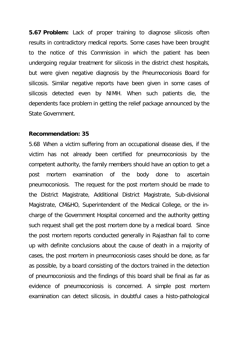**5.67 Problem:** Lack of proper training to diagnose silicosis often results in contradictory medical reports. Some cases have been brought to the notice of this Commission in which the patient has been undergoing regular treatment for silicosis in the district chest hospitals, but were given negative diagnosis by the Pneumoconiosis Board for silicosis. Similar negative reports have been given in some cases of silicosis detected even by NIMH. When such patients die, the dependents face problem in getting the relief package announced by the State Government.

## **Recommendation: 35**

5.68 When a victim suffering from an occupational disease dies, if the victim has not already been certified for pneumoconiosis by the competent authority, the family members should have an option to get a post mortem examination of the body done to ascertain pneumoconiosis. The request for the post mortem should be made to the District Magistrate, Additional District Magistrate, Sub-divisional Magistrate, CM&HO, Superintendent of the Medical College, or the incharge of the Government Hospital concerned and the authority getting such request shall get the post mortem done by a medical board. Since the post mortem reports conducted generally in Rajasthan fail to come up with definite conclusions about the cause of death in a majority of cases, the post mortem in pneumoconiosis cases should be done, as far as possible, by a board consisting of the doctors trained in the detection of pneumoconiosis and the findings of this board shall be final as far as evidence of pneumoconiosis is concerned. A simple post mortem examination can detect silicosis, in doubtful cases a histo-pathological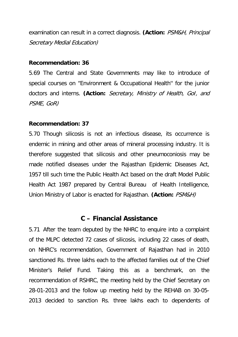examination can result in a correct diagnosis. **(Action:** PSM&H, Principal Secretary Medial Education)

## **Recommendation: 36**

5.69 The Central and State Governments may like to introduce of special courses on "Environment & Occupational Health'' for the junior doctors and interns. **(Action:** Secretary, Ministry of Health, GoI, and PSME, GoR)

## **Recommendation: 37**

5.70 Though silicosis is not an infectious disease, its occurrence is endemic in mining and other areas of mineral processing industry. It is therefore suggested that silicosis and other pneumoconiosis may be made notified diseases under the Rajasthan Epidemic Diseases Act, 1957 till such time the Public Health Act based on the draft Model Public Health Act 1987 prepared by Central Bureau of Health Intelligence, Union Ministry of Labor is enacted for Rajasthan. **(Action:** PSM&H)

## **C – Financial Assistance**

5.71 After the team deputed by the NHRC to enquire into a complaint of the MLPC detected 72 cases of silicosis, including 22 cases of death, on NHRC's recommendation, Government of Rajasthan had in 2010 sanctioned Rs. three lakhs each to the affected families out of the Chief Minister's Relief Fund. Taking this as a benchmark, on the recommendation of RSHRC, the meeting held by the Chief Secretary on 28-01-2013 and the follow up meeting held by the REHAB on 30-05- 2013 decided to sanction Rs. three lakhs each to dependents of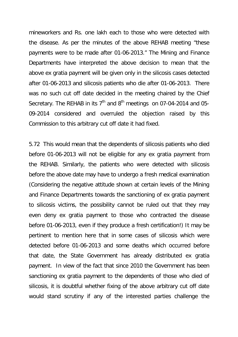mineworkers and Rs. one lakh each to those who were detected with the disease. As per the minutes of the above REHAB meeting "these payments were to be made after 01-06-2013." The Mining and Finance Departments have interpreted the above decision to mean that the above ex gratia payment will be given only in the silicosis cases detected after 01-06-2013 and silicosis patients who die after 01-06-2013. There was no such cut off date decided in the meeting chaired by the Chief Secretary. The REHAB in its  $7<sup>th</sup>$  and  $8<sup>th</sup>$  meetings on 07-04-2014 and 05-09-2014 considered and overruled the objection raised by this Commission to this arbitrary cut off date it had fixed.

5.72 This would mean that the dependents of silicosis patients who died before 01-06-2013 will not be eligible for any ex gratia payment from the REHAB. Similarly, the patients who were detected with silicosis before the above date may have to undergo a fresh medical examination (Considering the negative attitude shown at certain levels of the Mining and Finance Departments towards the sanctioning of ex gratia payment to silicosis victims, the possibility cannot be ruled out that they may even deny ex gratia payment to those who contracted the disease before 01-06-2013, even if they produce a fresh certification!) It may be pertinent to mention here that in some cases of silicosis which were detected before 01-06-2013 and some deaths which occurred before that date, the State Government has already distributed ex gratia payment. In view of the fact that since 2010 the Government has been sanctioning ex gratia payment to the dependents of those who died of silicosis, it is doubtful whether fixing of the above arbitrary cut off date would stand scrutiny if any of the interested parties challenge the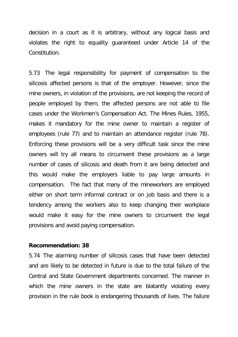decision in a court as it is arbitrary, without any logical basis and violates the right to equality guaranteed under Article 14 of the Constitution.

5.73 The legal responsibility for payment of compensation to the silicosis affected persons is that of the employer. However, since the mine owners, in violation of the provisions, are not keeping the record of people employed by them, the affected persons are not able to file cases under the Workmen's Compensation Act. The Mines Rules, 1955, makes it mandatory for the mine owner to maintain a register of employees (rule 77) and to maintain an attendance register (rule 78). Enforcing these provisions will be a very difficult task since the mine owners will try all means to circumvent these provisions as a large number of cases of silicosis and death from it are being detected and this would make the employers liable to pay large amounts in compensation. The fact that many of the mineworkers are employed either on short term informal contract or on job basis and there is a tendency among the workers also to keep changing their workplace would make it easy for the mine owners to circumvent the legal provisions and avoid paying compensation.

#### **Recommendation: 38**

5.74 The alarming number of silicosis cases that have been detected and are likely to be detected in future is due to the total failure of the Central and State Government departments concerned. The manner in which the mine owners in the state are blatantly violating every provision in the rule book is endangering thousands of lives. The failure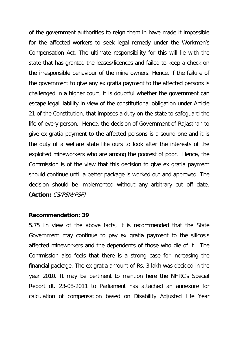of the government authorities to reign them in have made it impossible for the affected workers to seek legal remedy under the Workmen's Compensation Act. The ultimate responsibility for this will lie with the state that has granted the leases/licences and failed to keep a check on the irresponsible behaviour of the mine owners. Hence, if the failure of the government to give any ex gratia payment to the affected persons is challenged in a higher court, it is doubtful whether the government can escape legal liability in view of the constitutional obligation under Article 21 of the Constitution, that imposes a duty on the state to safeguard the life of every person. Hence, the decision of Government of Rajasthan to give ex gratia payment to the affected persons is a sound one and it is the duty of a welfare state like ours to look after the interests of the exploited mineworkers who are among the poorest of poor. Hence, the Commission is of the view that this decision to give ex gratia payment should continue until a better package is worked out and approved. The decision should be implemented without any arbitrary cut off date. **(Action:** CS/PSM/PSF)

#### **Recommendation: 39**

5.75 In view of the above facts, it is recommended that the State Government may continue to pay ex gratia payment to the silicosis affected mineworkers and the dependents of those who die of it. The Commission also feels that there is a strong case for increasing the financial package. The ex gratia amount of Rs. 3 lakh was decided in the year 2010. It may be pertinent to mention here the NHRC's Special Report dt. 23-08-2011 to Parliament has attached an annexure for calculation of compensation based on Disability Adjusted Life Year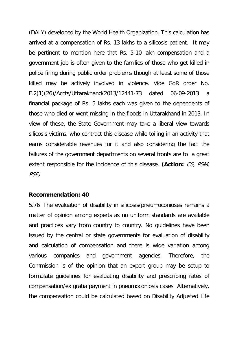(DALY) developed by the World Health Organization. This calculation has arrived at a compensation of Rs. 13 lakhs to a silicosis patient. It may be pertinent to mention here that Rs. 5-10 lakh compensation and a government job is often given to the families of those who get killed in police firing during public order problems though at least some of those killed may be actively involved in violence. Vide GoR order No. F.2(1)(26)/Accts/Uttarakhand/2013/12441-73 dated 06-09-2013 a financial package of Rs. 5 lakhs each was given to the dependents of those who died or went missing in the floods in Uttarakhand in 2013. In view of these, the State Government may take a liberal view towards silicosis victims, who contract this disease while toiling in an activity that earns considerable revenues for it and also considering the fact the failures of the government departments on several fronts are to a great extent responsible for the incidence of this disease. **(Action:** CS, PSM, PSF)

#### **Recommendation: 40**

5.76 The evaluation of disability in silicosis/pneumoconioses remains a matter of opinion among experts as no uniform standards are available and practices vary from country to country. No guidelines have been issued by the central or state governments for evaluation of disability and calculation of compensation and there is wide variation among various companies and government agencies. Therefore, the Commission is of the opinion that an expert group may be setup to formulate guidelines for evaluating disability and prescribing rates of compensation/ex gratia payment in pneumoconiosis cases Alternatively, the compensation could be calculated based on Disability Adjusted Life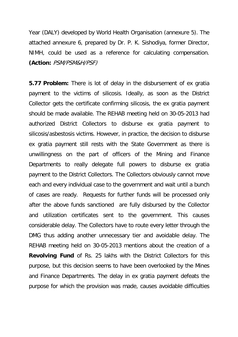Year (DALY) developed by World Health Organisation (annexure 5). The attached annexure 6, prepared by Dr. P. K. Sishodiya, former Director, NIMH, could be used as a reference for calculating compensation. **(Action:** PSM/PSM&H/PSF)

**5.77 Problem:** There is lot of delay in the disbursement of ex gratia payment to the victims of silicosis. Ideally, as soon as the District Collector gets the certificate confirming silicosis, the ex gratia payment should be made available. The REHAB meeting held on 30-05-2013 had authorized District Collectors to disburse ex gratia payment to silicosis/asbestosis victims. However, in practice, the decision to disburse ex gratia payment still rests with the State Government as there is unwillingness on the part of officers of the Mining and Finance Departments to really delegate full powers to disburse ex gratia payment to the District Collectors. The Collectors obviously cannot move each and every individual case to the government and wait until a bunch of cases are ready. Requests for further funds will be processed only after the above funds sanctioned are fully disbursed by the Collector and utilization certificates sent to the government. This causes considerable delay. The Collectors have to route every letter through the DMG thus adding another unnecessary tier and avoidable delay. The REHAB meeting held on 30-05-2013 mentions about the creation of a **Revolving Fund** of Rs. 25 lakhs with the District Collectors for this purpose, but this decision seems to have been overlooked by the Mines and Finance Departments. The delay in ex gratia payment defeats the purpose for which the provision was made, causes avoidable difficulties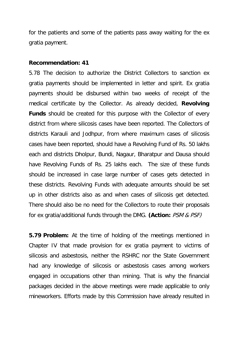for the patients and some of the patients pass away waiting for the ex gratia payment.

#### **Recommendation: 41**

5.78 The decision to authorize the District Collectors to sanction ex gratia payments should be implemented in letter and spirit. Ex gratia payments should be disbursed within two weeks of receipt of the medical certificate by the Collector. As already decided, **Revolving Funds** should be created for this purpose with the Collector of every district from where silicosis cases have been reported. The Collectors of districts Karauli and Jodhpur, from where maximum cases of silicosis cases have been reported, should have a Revolving Fund of Rs. 50 lakhs each and districts Dholpur, Bundi, Nagaur, Bharatpur and Dausa should have Revolving Funds of Rs. 25 lakhs each. The size of these funds should be increased in case large number of cases gets detected in these districts. Revolving Funds with adequate amounts should be set up in other districts also as and when cases of silicosis get detected. There should also be no need for the Collectors to route their proposals for ex gratia/additional funds through the DMG. **(Action:** PSM & PSF)

**5.79 Problem:** At the time of holding of the meetings mentioned in Chapter IV that made provision for ex gratia payment to victims of silicosis and asbestosis, neither the RSHRC nor the State Government had any knowledge of silicosis or asbestosis cases among workers engaged in occupations other than mining. That is why the financial packages decided in the above meetings were made applicable to only mineworkers. Efforts made by this Commission have already resulted in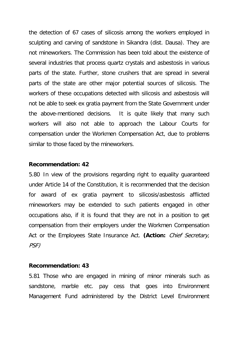the detection of 67 cases of silicosis among the workers employed in sculpting and carving of sandstone in Sikandra (dist. Dausa). They are not mineworkers. The Commission has been told about the existence of several industries that process quartz crystals and asbestosis in various parts of the state. Further, stone crushers that are spread in several parts of the state are other major potential sources of silicosis. The workers of these occupations detected with silicosis and asbestosis will not be able to seek ex gratia payment from the State Government under the above-mentioned decisions. It is quite likely that many such workers will also not able to approach the Labour Courts for compensation under the Workmen Compensation Act, due to problems similar to those faced by the mineworkers.

## **Recommendation: 42**

5.80 In view of the provisions regarding right to equality guaranteed under Article 14 of the Constitution, it is recommended that the decision for award of ex gratia payment to silicosis/asbestosis afflicted mineworkers may be extended to such patients engaged in other occupations also, if it is found that they are not in a position to get compensation from their employers under the Workmen Compensation Act or the Employees State Insurance Act. **(Action:** Chief Secretary, PSF)

#### **Recommendation: 43**

5.81 Those who are engaged in mining of minor minerals such as sandstone, marble etc. pay cess that goes into Environment Management Fund administered by the District Level Environment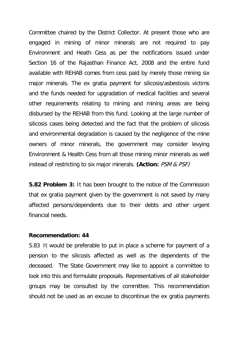Committee chaired by the District Collector. At present those who are engaged in mining of minor minerals are not required to pay Environment and Heath Cess as per the notifications issued under Section 16 of the Rajasthan Finance Act, 2008 and the entire fund available with REHAB comes from cess paid by merely those mining six major minerals. The ex gratia payment for silicosis/asbestosis victims and the funds needed for upgradation of medical facilities and several other requirements relating to mining and mining areas are being disbursed by the REHAB from this fund. Looking at the large number of silicosis cases being detected and the fact that the problem of silicosis and environmental degradation is caused by the negligence of the mine owners of minor minerals, the government may consider levying Environment & Health Cess from all those mining minor minerals as well instead of restricting to six major minerals. **(Action:** PSM & PSF)

**5.82 Problem 3:** It has been brought to the notice of the Commission that ex gratia payment given by the government is not saved by many affected persons/dependents due to their debts and other urgent financial needs.

#### **Recommendation: 44**

5.83 It would be preferable to put in place a scheme for payment of a pension to the silicosis affected as well as the dependents of the deceased. The State Government may like to appoint a committee to look into this and formulate proposals. Representatives of all stakeholder groups may be consulted by the committee. This recommendation should not be used as an excuse to discontinue the ex gratia payments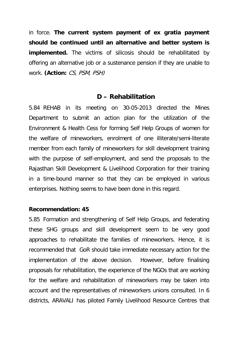in force. **The current system payment of ex gratia payment should be continued until an alternative and better system is implemented.** The victims of silicosis should be rehabilitated by offering an alternative job or a sustenance pension if they are unable to work. **(Action:** CS, PSM, PSH)

## **D – Rehabilitation**

5.84 REHAB in its meeting on 30-05-2013 directed the Mines Department to submit an action plan for the utilization of the Environment & Health Cess for forming Self Help Groups of women for the welfare of mineworkers, enrolment of one illiterate/semi-literate member from each family of mineworkers for skill development training with the purpose of self-employment, and send the proposals to the Rajasthan Skill Development & Livelihood Corporation for their training in a time-bound manner so that they can be employed in various enterprises. Nothing seems to have been done in this regard.

#### **Recommendation: 45**

5.85 Formation and strengthening of Self Help Groups, and federating these SHG groups and skill development seem to be very good approaches to rehabilitate the families of mineworkers. Hence, it is recommended that GoR should take immediate necessary action for the implementation of the above decision. However, before finalising proposals for rehabilitation, the experience of the NGOs that are working for the welfare and rehabilitation of mineworkers may be taken into account and the representatives of mineworkers unions consulted. In 6 districts, ARAVALI has piloted Family Livelihood Resource Centres that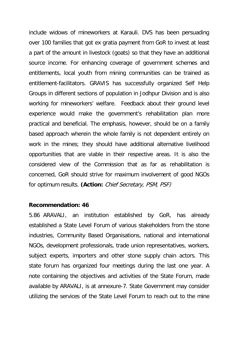include widows of mineworkers at Karauli. DVS has been persuading over 100 families that got ex gratia payment from GoR to invest at least a part of the amount in livestock (goats) so that they have an additional source income. For enhancing coverage of government schemes and entitlements, local youth from mining communities can be trained as entitlement-facilitators. GRAVIS has successfully organized Self Help Groups in different sections of population in Jodhpur Division and is also working for mineworkers' welfare. Feedback about their ground level experience would make the government's rehabilitation plan more practical and beneficial. The emphasis, however, should be on a family based approach wherein the whole family is not dependent entirely on work in the mines; they should have additional alternative livelihood opportunities that are viable in their respective areas. It is also the considered view of the Commission that as far as rehabilitation is concerned, GoR should strive for maximum involvement of good NGOs for optimum results. **(Action:** Chief Secretary, PSM, PSF)

#### **Recommendation: 46**

5.86 ARAVALI, an institution established by GoR, has already established a State Level Forum of various stakeholders from the stone industries, Community Based Organisations, national and international NGOs, development professionals, trade union representatives, workers, subject experts, importers and other stone supply chain actors. This state forum has organized four meetings during the last one year. A note containing the objectives and activities of the State Forum, made available by ARAVALI, is at annexure-7. State Government may consider utilizing the services of the State Level Forum to reach out to the mine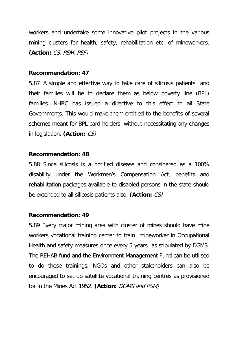workers and undertake some innovative pilot projects in the various mining clusters for health, safety, rehabilitation etc. of mineworkers. **(Action:** CS, PSM, PSF)

#### **Recommendation: 47**

5.87 A simple and effective way to take care of silicosis patients and their families will be to declare them as below poverty line (BPL) families. NHRC has issued a directive to this effect to all State Governments. This would make them entitled to the benefits of several schemes meant for BPL card holders, without necessitating any changes in legislation. **(Action:** CS)

## **Recommendation: 48**

5.88 Since silicosis is a notified disease and considered as a 100% disability under the Workmen's Compensation Act, benefits and rehabilitation packages available to disabled persons in the state should be extended to all silicosis patients also. **(Action:** CS)

#### **Recommendation: 49**

5.89 Every major mining area with cluster of mines should have mine workers vocational training center to train mineworker in Occupational Health and safety measures once every 5 years as stipulated by DGMS. The REHAB fund and the Environment Management Fund can be utilised to do these trainings. NGOs and other stakeholders can also be encouraged to set up satellite vocational training centres as provisioned for in the Mines Act 1952. **(Action:** DGMS and PSM)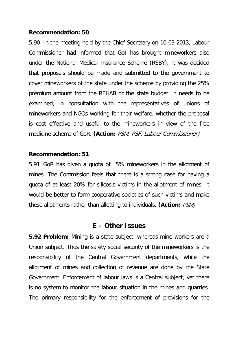## **Recommendation: 50**

5.90 In the meeting held by the Chief Secretary on 10-09-2013, Labour Commissioner had informed that GoI has brought mineworkers also under the National Medical Insurance Scheme (RSBY). It was decided that proposals should be made and submitted to the government to cover mineworkers of the state under the scheme by providing the 25% premium amount from the REHAB or the state budget. It needs to be examined, in consultation with the representatives of unions of mineworkers and NGOs working for their welfare, whether the proposal is cost effective and useful to the mineworkers in view of the free medicine scheme of GoR. **(Action:** PSM, PSF, Labour Commissioner)

## **Recommendation: 51**

5.91 GoR has given a quota of 5% mineworkers in the allotment of mines. The Commission feels that there is a strong case for having a quota of at least 20% for silicosis victims in the allotment of mines. It would be better to form cooperative societies of such victims and make these allotments rather than allotting to individuals. **(Action:** PSM)

## **E – Other Issues**

**5.92 Problem:** Mining is a state subject, whereas mine workers are a Union subject. Thus the safety social security of the mineworkers is the responsibility of the Central Government departments, while the allotment of mines and collection of revenue are done by the State Government. Enforcement of labour laws is a Central subject, yet there is no system to monitor the labour situation in the mines and quarries. The primary responsibility for the enforcement of provisions for the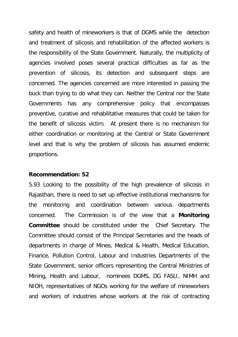safety and health of mineworkers is that of DGMS while the detection and treatment of silicosis and rehabilitation of the affected workers is the responsibility of the State Government. Naturally, the multiplicity of agencies involved poses several practical difficulties as far as the prevention of silicosis, its detection and subsequent steps are concerned. The agencies concerned are more interested in passing the buck than trying to do what they can. Neither the Central nor the State Governments has any comprehensive policy that encompasses preventive, curative and rehabilitative measures that could be taken for the benefit of silicosis victim. At present there is no mechanism for either coordination or monitoring at the Central or State Government level and that is why the problem of silicosis has assumed endemic proportions.

#### **Recommendation: 52**

5.93 Looking to the possibility of the high prevalence of silicosis in Rajasthan, there is need to set up effective institutional mechanisms for the monitoring and coordination between various departments concerned. The Commission is of the view that a **Monitoring Committee** should be constituted under the Chief Secretary. The Committee should consist of the Principal Secretaries and the heads of departments in charge of Mines, Medical & Health, Medical Education, Finance, Pollution Control, Labour and Industries Departments of the State Government, senior officers representing the Central Ministries of Mining, Health and Labour, nominees DGMS, DG FASLI, NIMH and NIOH, representatives of NGOs working for the welfare of mineworkers and workers of industries whose workers at the risk of contracting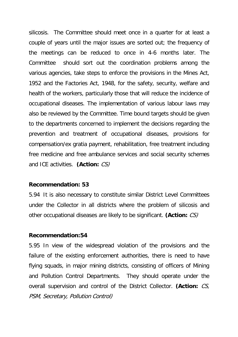silicosis. The Committee should meet once in a quarter for at least a couple of years until the major issues are sorted out; the frequency of the meetings can be reduced to once in 4-6 months later. The Committee should sort out the coordination problems among the various agencies, take steps to enforce the provisions in the Mines Act, 1952 and the Factories Act, 1948, for the safety, security, welfare and health of the workers, particularly those that will reduce the incidence of occupational diseases. The implementation of various labour laws may also be reviewed by the Committee. Time bound targets should be given to the departments concerned to implement the decisions regarding the prevention and treatment of occupational diseases, provisions for compensation/ex gratia payment, rehabilitation, free treatment including free medicine and free ambulance services and social security schemes and ICE activities. **(Action:** CS)

#### **Recommendation: 53**

5.94 It is also necessary to constitute similar District Level Committees under the Collector in all districts where the problem of silicosis and other occupational diseases are likely to be significant. **(Action:** CS)

## **Recommendation:54**

5.95 In view of the widespread violation of the provisions and the failure of the existing enforcement authorities, there is need to have flying squads, in major mining districts, consisting of officers of Mining and Pollution Control Departments. They should operate under the overall supervision and control of the District Collector. **(Action:** CS, PSM, Secretary, Pollution Control)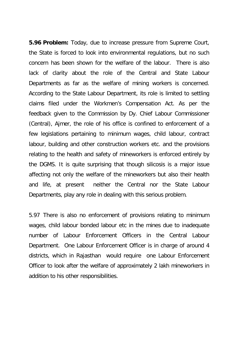**5.96 Problem:** Today, due to increase pressure from Supreme Court, the State is forced to look into environmental regulations, but no such concern has been shown for the welfare of the labour. There is also lack of clarity about the role of the Central and State Labour Departments as far as the welfare of mining workers is concerned. According to the State Labour Department, its role is limited to settling claims filed under the Workmen's Compensation Act. As per the feedback given to the Commission by Dy. Chief Labour Commissioner (Central), Ajmer, the role of his office is confined to enforcement of a few legislations pertaining to minimum wages, child labour, contract labour, building and other construction workers etc. and the provisions relating to the health and safety of mineworkers is enforced entirely by the DGMS. It is quite surprising that though silicosis is a major issue affecting not only the welfare of the mineworkers but also their health and life, at present neither the Central nor the State Labour Departments, play any role in dealing with this serious problem.

5.97 There is also no enforcement of provisions relating to minimum wages, child labour bonded labour etc in the mines due to inadequate number of Labour Enforcement Officers in the Central Labour Department. One Labour Enforcement Officer is in charge of around 4 districts, which in Rajasthan would require one Labour Enforcement Officer to look after the welfare of approximately 2 lakh mineworkers in addition to his other responsibilities.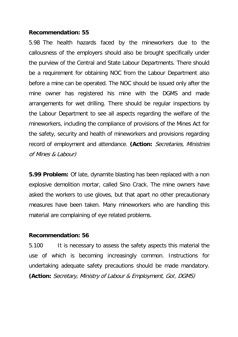## **Recommendation: 55**

5.98 The health hazards faced by the mineworkers due to the callousness of the employers should also be brought specifically under the purview of the Central and State Labour Departments. There should be a requirement for obtaining NOC from the Labour Department also before a mine can be operated. The NOC should be issued only after the mine owner has registered his mine with the DGMS and made arrangements for wet drilling. There should be regular inspections by the Labour Department to see all aspects regarding the welfare of the mineworkers, including the compliance of provisions of the Mines Act for the safety, security and health of mineworkers and provisions regarding record of employment and attendance. **(Action:** Secretaries, Ministries of Mines & Labour)

**5.99 Problem:** Of late, dynamite blasting has been replaced with a non explosive demolition mortar, called Sino Crack. The mine owners have asked the workers to use gloves, but that apart no other precautionary measures have been taken. Many mineworkers who are handling this material are complaining of eye related problems.

## **Recommendation: 56**

5.100 It is necessary to assess the safety aspects this material the use of which is becoming increasingly common. Instructions for undertaking adequate safety precautions should be made mandatory. **(Action:** Secretary, Ministry of Labour & Employment, GoI, DGMS)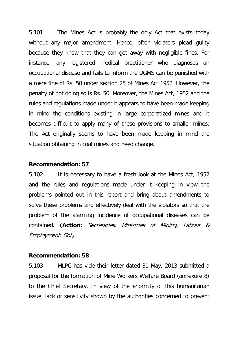5.101 The Mines Act is probably the only Act that exists today without any major amendment. Hence, often violators plead guilty because they know that they can get away with negligible fines. For instance, any registered medical practitioner who diagnoses an occupational disease and fails to inform the DGMS can be punished with a mere fine of Rs. 50 under section 25 of Mines Act 1952. However, the penalty of not doing so is Rs. 50. Moreover, the Mines Act, 1952 and the rules and regulations made under it appears to have been made keeping in mind the conditions existing in large corporatized mines and it becomes difficult to apply many of these provisions to smaller mines. The Act originally seems to have been made keeping in mind the situation obtaining in coal mines and need change.

#### **Recommendation: 57**

5.102 It is necessary to have a fresh look at the Mines Act, 1952 and the rules and regulations made under it keeping in view the problems pointed out in this report and bring about amendments to solve these problems and effectively deal with the violators so that the problem of the alarming incidence of occupational diseases can be contained. **(Action:** Secretaries, Ministries of Mining, Labour & Employment, GoI)

#### **Recommendation: 58**

5.103 MLPC has vide their letter dated 31 May, 2013 submitted a proposal for the formation of Mine Workers Welfare Board (annexure 8) to the Chief Secretary. In view of the enormity of this humanitarian issue, lack of sensitivity shown by the authorities concerned to prevent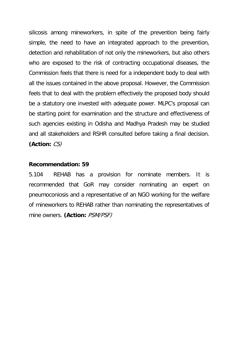silicosis among mineworkers, in spite of the prevention being fairly simple, the need to have an integrated approach to the prevention, detection and rehabilitation of not only the mineworkers, but also others who are exposed to the risk of contracting occupational diseases, the Commission feels that there is need for a independent body to deal with all the issues contained in the above proposal. However, the Commission feels that to deal with the problem effectively the proposed body should be a statutory one invested with adequate power. MLPC's proposal can be starting point for examination and the structure and effectiveness of such agencies existing in Odisha and Madhya Pradesh may be studied and all stakeholders and RSHR consulted before taking a final decision. **(Action:** CS)

#### **Recommendation: 59**

5.104 REHAB has a provision for nominate members. It is recommended that GoR may consider nominating an expert on pneumoconiosis and a representative of an NGO working for the welfare of mineworkers to REHAB rather than nominating the representatives of mine owners. **(Action:** PSM/PSF)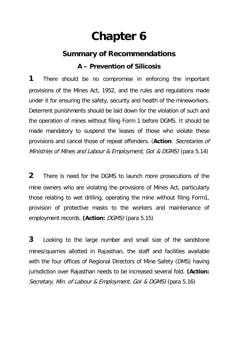# **Chapter 6**

## **Summary of Recommendations A – Prevention of Silicosis**

**1** There should be no compromise in enforcing the important provisions of the Mines Act, 1952, and the rules and regulations made under it for ensuring the safety, security and health of the mineworkers. Deterrent punishments should be laid down for the violation of such and the operation of mines without filing Form 1 before DGMS. It should be made mandatory to suspend the leases of those who violate these provisions and cancel those of repeat offenders. (**Action**: Secretaries of Ministries of Mines and Labour & Employment, GoI & DGMS) (para 5.14)

**2** There is need for the DGMS to launch more prosecutions of the mine owners who are violating the provisions of Mines Act, particularly those relating to wet drilling, operating the mine without filing Form1, provision of protective masks to the workers and maintenance of employment records. **(Action:** DGMS) (para 5.15)

**3** Looking to the large number and small size of the sandstone mines/quarries allotted in Rajasthan, the staff and facilities available with the four offices of Regional Directors of Mine Safety (DMS) having jurisdiction over Rajasthan needs to be increased several fold. **(Action:** Secretary, Min. of Labour & Employment, Gol & DGMS) (para 5.16)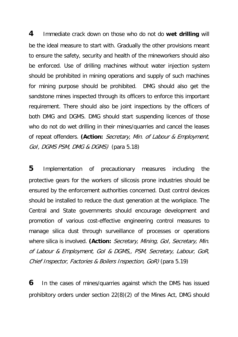**4** Immediate crack down on those who do not do **wet drilling** will be the ideal measure to start with. Gradually the other provisions meant to ensure the safety, security and health of the mineworkers should also be enforced. Use of drilling machines without water injection system should be prohibited in mining operations and supply of such machines for mining purpose should be prohibited. DMG should also get the sandstone mines inspected through its officers to enforce this important requirement. There should also be joint inspections by the officers of both DMG and DGMS. DMG should start suspending licences of those who do not do wet drilling in their mines/quarries and cancel the leases of repeat offenders. **(Action:** Secretary, Min. of Labour & Employment, GoI, DGMS PSM, DMG & DGMS) (para 5.18)

**5** Implementation of precautionary measures including the protective gears for the workers of silicosis prone industries should be ensured by the enforcement authorities concerned. Dust control devices should be installed to reduce the dust generation at the workplace. The Central and State governments should encourage development and promotion of various cost-effective engineering control measures to manage silica dust through surveillance of processes or operations where silica is involved. **(Action:** Secretary, Mining, GoI, Secretary, Min. of Labour & Employment, GoI & DGMS,, PSM, Secretary, Labour, GoR, Chief Inspector, Factories & Boilers Inspection, GoR) (para 5.19)

**6** In the cases of mines/quarries against which the DMS has issued prohibitory orders under section 22(8)(2) of the Mines Act, DMG should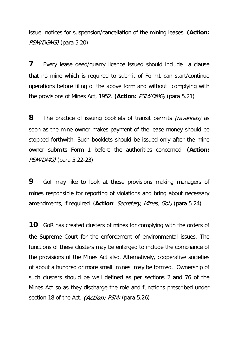issue notices for suspension/cancellation of the mining leases. **(Action:** PSM/DGMS) (para 5.20)

**7** Every lease deed/quarry licence issued should include a clause that no mine which is required to submit of Form1 can start/continue operations before filing of the above form and without complying with the provisions of Mines Act, 1952. **(Action:** PSM/DMG) (para 5.21)

**8** The practice of issuing booklets of transit permits *(ravannas)* as soon as the mine owner makes payment of the lease money should be stopped forthwith. Such booklets should be issued only after the mine owner submits Form 1 before the authorities concerned. **(Action:** PSM/DMG) (para 5.22-23)

**9** GoI may like to look at these provisions making managers of mines responsible for reporting of violations and bring about necessary amendments, if required. (**Action**: Secretary, Mines, GoI) (para 5.24)

**10** GoR has created clusters of mines for complying with the orders of the Supreme Court for the enforcement of environmental issues. The functions of these clusters may be enlarged to include the compliance of the provisions of the Mines Act also. Alternatively, cooperative societies of about a hundred or more small mines may be formed. Ownership of such clusters should be well defined as per sections 2 and 76 of the Mines Act so as they discharge the role and functions prescribed under section 18 of the Act. *(Action: PSM)* (para 5.26)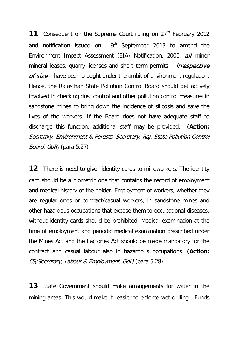**11** Consequent on the Supreme Court ruling on 27<sup>th</sup> February 2012 and notification issued on  $9<sup>th</sup>$  September 2013 to amend the Environment Impact Assessment (EIA) Notification, 2006, all minor mineral leases, quarry licenses and short term permits – *irrespective* of size – have been brought under the ambit of environment regulation. Hence, the Rajasthan State Pollution Control Board should get actively involved in checking dust control and other pollution control measures in sandstone mines to bring down the incidence of silicosis and save the lives of the workers. If the Board does not have adequate staff to discharge this function, additional staff may be provided. **(Action:**  Secretary, Environment & Forests, Secretary, Raj. State Pollution Control Board, GoR) (para 5.27)

**12** There is need to give identity cards to mineworkers. The identity card should be a biometric one that contains the record of employment and medical history of the holder. Employment of workers, whether they are regular ones or contract/casual workers, in sandstone mines and other hazardous occupations that expose them to occupational diseases, without identity cards should be prohibited. Medical examination at the time of employment and periodic medical examination prescribed under the Mines Act and the Factories Act should be made mandatory for the contract and casual labour also in hazardous occupations. **(Action:**  CS/Secretary, Labour & Employment, GoI) (para 5.28)

**13** State Government should make arrangements for water in the mining areas. This would make it easier to enforce wet drilling. Funds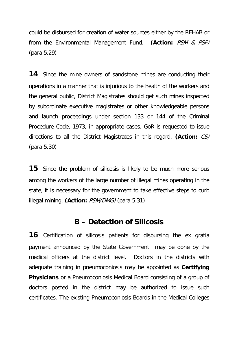could be disbursed for creation of water sources either by the REHAB or from the Environmental Management Fund. **(Action:** PSM & PSF) (para 5.29)

**14** Since the mine owners of sandstone mines are conducting their operations in a manner that is injurious to the health of the workers and the general public, District Magistrates should get such mines inspected by subordinate executive magistrates or other knowledgeable persons and launch proceedings under section 133 or 144 of the Criminal Procedure Code, 1973, in appropriate cases. GoR is requested to issue directions to all the District Magistrates in this regard. **(Action:** CS) (para 5.30)

**15** Since the problem of silicosis is likely to be much more serious among the workers of the large number of illegal mines operating in the state, it is necessary for the government to take effective steps to curb illegal mining. **(Action:** PSM/DMG) (para 5.31)

### **B – Detection of Silicosis**

**16** Certification of silicosis patients for disbursing the ex gratia payment announced by the State Government may be done by the medical officers at the district level. Doctors in the districts with adequate training in pneumoconiosis may be appointed as **Certifying Physicians** or a Pneumoconiosis Medical Board consisting of a group of doctors posted in the district may be authorized to issue such certificates. The existing Pneumoconiosis Boards in the Medical Colleges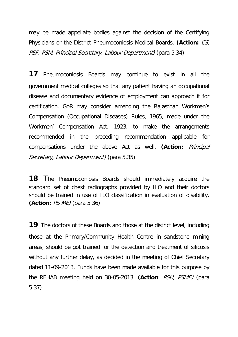may be made appellate bodies against the decision of the Certifying Physicians or the District Pneumoconiosis Medical Boards. **(Action:** CS, PSF, PSM, Principal Secretary, Labour Department) (para 5.34)

**17** Pneumoconiosis Boards may continue to exist in all the government medical colleges so that any patient having an occupational disease and documentary evidence of employment can approach it for certification. GoR may consider amending the Rajasthan Workmen's Compensation (Occupational Diseases) Rules, 1965, made under the Workmen' Compensation Act, 1923, to make the arrangements recommended in the preceding recommendation applicable for compensations under the above Act as well. **(Action:** Principal Secretary, Labour Department) (para 5.35)

**18** The Pneumoconiosis Boards should immediately acquire the standard set of chest radiographs provided by ILO and their doctors should be trained in use of ILO classification in evaluation of disability. **(Action:** PS ME) (para 5.36)

**19** The doctors of these Boards and those at the district level, including those at the Primary/Community Health Centre in sandstone mining areas, should be got trained for the detection and treatment of silicosis without any further delay, as decided in the meeting of Chief Secretary dated 11-09-2013. Funds have been made available for this purpose by the REHAB meeting held on 30-05-2013. **(Action**: PSH, PSME) (para 5.37)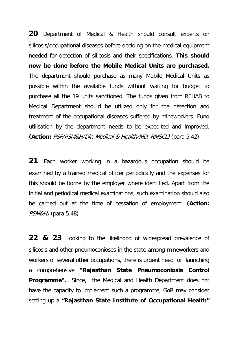**20** Department of Medical & Health should consult experts on silicosis/occupational diseases before deciding on the medical equipment needed for detection of silicosis and their specifications. **This should now be done before the Mobile Medical Units are purchased.**  The department should purchase as many Mobile Medical Units as possible within the available funds without waiting for budget to purchase all the 19 units sanctioned. The funds given from REHAB to Medical Department should be utilized only for the detection and treatment of the occupational diseases suffered by mineworkers. Fund utilisation by the department needs to be expedited and improved. **(Action:** PSF/PSM&H/Dir. Medical & Health/MD, RMSCL) (para 5.42)

**21** Each worker working in a hazardous occupation should be examined by a trained medical officer periodically and the expenses for this should be borne by the employer where identified. Apart from the initial and periodical medical examinations, such examination should also be carried out at the time of cessation of employment. **(Action:**  PSM&H) (para 5.48)

**22 & 23** Looking to the likelihood of widespread prevalence of silicosis and other pneumoconioses in the state among mineworkers and workers of several other occupations, there is urgent need for launching a comprehensive **"Rajasthan State Pneumoconiosis Control Programme".** Since, the Medical and Health Department does not have the capacity to implement such a programme, GoR may consider setting up a **"Rajasthan State Institute of Occupational Health"**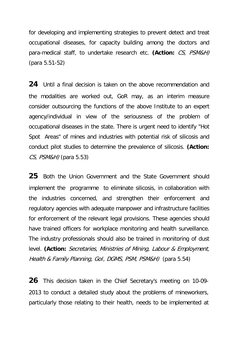for developing and implementing strategies to prevent detect and treat occupational diseases, for capacity building among the doctors and para-medical staff, to undertake research etc. **(Action:** CS, PSM&H) (para 5.51-52)

**24** Until a final decision is taken on the above recommendation and the modalities are worked out, GoR may, as an interim measure consider outsourcing the functions of the above Institute to an expert agency/individual in view of the seriousness of the problem of occupational diseases in the state. There is urgent need to identify "Hot Spot Areas" of mines and industries with potential risk of silicosis and conduct pilot studies to determine the prevalence of silicosis. **(Action:**  $CS$ , PSM&H) (para 5.53)

**25** Both the Union Government and the State Government should implement the programme to eliminate silicosis, in collaboration with the industries concerned, and strengthen their enforcement and regulatory agencies with adequate manpower and infrastructure facilities for enforcement of the relevant legal provisions. These agencies should have trained officers for workplace monitoring and health surveillance. The industry professionals should also be trained in monitoring of dust level. **(Action:** Secretaries, Ministries of Mining, Labour & Employment, Health & Family Planning, GoI, DGMS, PSM, PSM&H) (para 5.54)

**26** This decision taken in the Chief Secretary's meeting on 10-09- 2013 to conduct a detailed study about the problems of mineworkers, particularly those relating to their health, needs to be implemented at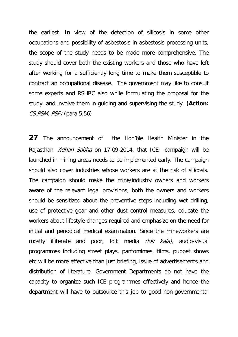the earliest. In view of the detection of silicosis in some other occupations and possibility of asbestosis in asbestosis processing units, the scope of the study needs to be made more comprehensive. The study should cover both the existing workers and those who have left after working for a sufficiently long time to make them susceptible to contract an occupational disease. The government may like to consult some experts and RSHRC also while formulating the proposal for the study, and involve them in guiding and supervising the study. **(Action:**  CS,PSM, PSF) (para 5.56)

**27** The announcement of the Hon'ble Health Minister in the Rajasthan Vidhan Sabha on 17-09-2014, that ICE campaign will be launched in mining areas needs to be implemented early. The campaign should also cover industries whose workers are at the risk of silicosis. The campaign should make the mine/industry owners and workers aware of the relevant legal provisions, both the owners and workers should be sensitized about the preventive steps including wet drilling, use of protective gear and other dust control measures, educate the workers about lifestyle changes required and emphasize on the need for initial and periodical medical examination. Since the mineworkers are mostly illiterate and poor, folk media *(lok kala)*, audio-visual programmes including street plays, pantomimes, films, puppet shows etc will be more effective than just briefing, issue of advertisements and distribution of literature. Government Departments do not have the capacity to organize such ICE programmes effectively and hence the department will have to outsource this job to good non-governmental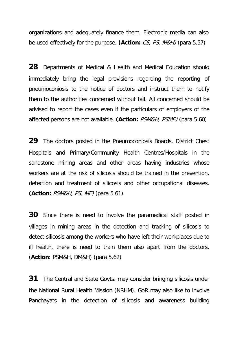organizations and adequately finance them. Electronic media can also be used effectively for the purpose. **(Action:** CS, PS, M&H) (para 5.57)

**28** Departments of Medical & Health and Medical Education should immediately bring the legal provisions regarding the reporting of pneumoconiosis to the notice of doctors and instruct them to notify them to the authorities concerned without fail. All concerned should be advised to report the cases even if the particulars of employers of the affected persons are not available. **(Action:** PSM&H, PSME) (para 5.60)

**29** The doctors posted in the Pneumoconiosis Boards, District Chest Hospitals and Primary/Community Health Centres/Hospitals in the sandstone mining areas and other areas having industries whose workers are at the risk of silicosis should be trained in the prevention, detection and treatment of silicosis and other occupational diseases. **(Action:** *PSM&H, PS, ME*) (para 5.61)

**30** Since there is need to involve the paramedical staff posted in villages in mining areas in the detection and tracking of silicosis to detect silicosis among the workers who have left their workplaces due to ill health, there is need to train them also apart from the doctors. (**Action**: PSM&H, DM&H) (para 5.62)

**31** The Central and State Govts. may consider bringing silicosis under the National Rural Health Mission (NRHM). GoR may also like to involve Panchayats in the detection of silicosis and awareness building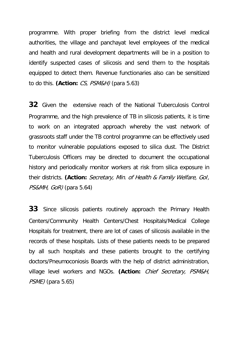programme. With proper briefing from the district level medical authorities, the village and panchayat level employees of the medical and health and rural development departments will be in a position to identify suspected cases of silicosis and send them to the hospitals equipped to detect them. Revenue functionaries also can be sensitized to do this. **(Action:** CS, PSM&H) (para 5.63)

**32** Given the extensive reach of the National Tuberculosis Control Programme, and the high prevalence of TB in silicosis patients, it is time to work on an integrated approach whereby the vast network of grassroots staff under the TB control programme can be effectively used to monitor vulnerable populations exposed to silica dust. The District Tuberculosis Officers may be directed to document the occupational history and periodically monitor workers at risk from silica exposure in their districts. **(Action:** Secretary, Min. of Health & Family Welfare, GoI, PS&MH, GoR) (para 5.64)

**33** Since silicosis patients routinely approach the Primary Health Centers/Community Health Centers/Chest Hospitals/Medical College Hospitals for treatment, there are lot of cases of silicosis available in the records of these hospitals. Lists of these patients needs to be prepared by all such hospitals and these patients brought to the certifying doctors/Pneumoconiosis Boards with the help of district administration, village level workers and NGOs. **(Action:** Chief Secretary, PSM&H, PSME) (para 5.65)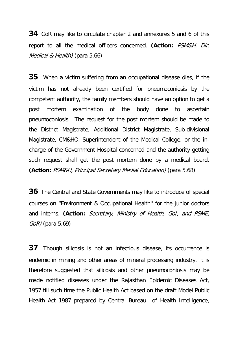**34** GoR may like to circulate chapter 2 and annexures 5 and 6 of this report to all the medical officers concerned. **(Action:** PSM&H, Dir. Medical & Health) (para 5.66)

**35** When a victim suffering from an occupational disease dies, if the victim has not already been certified for pneumoconiosis by the competent authority, the family members should have an option to get a post mortem examination of the body done to ascertain pneumoconiosis. The request for the post mortem should be made to the District Magistrate, Additional District Magistrate, Sub-divisional Magistrate, CM&HO, Superintendent of the Medical College, or the incharge of the Government Hospital concerned and the authority getting such request shall get the post mortem done by a medical board. **(Action:** PSM&H, Principal Secretary Medial Education) (para 5.68)

**36** The Central and State Governments may like to introduce of special courses on "Environment & Occupational Health'' for the junior doctors and interns. **(Action:** Secretary, Ministry of Health, GoI, and PSME, GoR) (para 5.69)

**37** Though silicosis is not an infectious disease, its occurrence is endemic in mining and other areas of mineral processing industry. It is therefore suggested that silicosis and other pneumoconiosis may be made notified diseases under the Rajasthan Epidemic Diseases Act, 1957 till such time the Public Health Act based on the draft Model Public Health Act 1987 prepared by Central Bureau of Health Intelligence,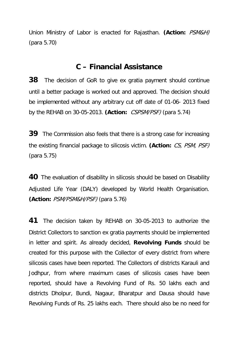Union Ministry of Labor is enacted for Rajasthan. **(Action:** PSM&H) (para 5.70)

### **C – Financial Assistance**

**38** The decision of GoR to give ex gratia payment should continue until a better package is worked out and approved. The decision should be implemented without any arbitrary cut off date of 01-06- 2013 fixed by the REHAB on 30-05-2013. **(Action:** CSPSM/PSF) (para 5.74)

**39** The Commission also feels that there is a strong case for increasing the existing financial package to silicosis victim. **(Action:** CS, PSM, PSF) (para 5.75)

**40** The evaluation of disability in silicosis should be based on Disability Adjusted Life Year (DALY) developed by World Health Organisation. **(Action:** PSM/PSM&H/PSF) (para 5.76)

**41** The decision taken by REHAB on 30-05-2013 to authorize the District Collectors to sanction ex gratia payments should be implemented in letter and spirit. As already decided, **Revolving Funds** should be created for this purpose with the Collector of every district from where silicosis cases have been reported. The Collectors of districts Karauli and Jodhpur, from where maximum cases of silicosis cases have been reported, should have a Revolving Fund of Rs. 50 lakhs each and districts Dholpur, Bundi, Nagaur, Bharatpur and Dausa should have Revolving Funds of Rs. 25 lakhs each. There should also be no need for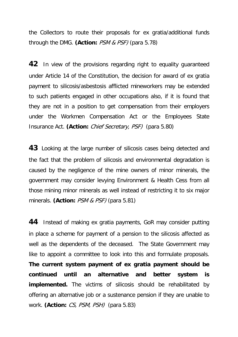the Collectors to route their proposals for ex gratia/additional funds through the DMG. **(Action:** PSM & PSF) (para 5.78)

**42** In view of the provisions regarding right to equality guaranteed under Article 14 of the Constitution, the decision for award of ex gratia payment to silicosis/asbestosis afflicted mineworkers may be extended to such patients engaged in other occupations also, if it is found that they are not in a position to get compensation from their employers under the Workmen Compensation Act or the Employees State Insurance Act. **(Action:** Chief Secretary, PSF) (para 5.80)

**43** Looking at the large number of silicosis cases being detected and the fact that the problem of silicosis and environmental degradation is caused by the negligence of the mine owners of minor minerals, the government may consider levying Environment & Health Cess from all those mining minor minerals as well instead of restricting it to six major minerals. **(Action:** PSM & PSF) (para 5.81)

**44** Instead of making ex gratia payments, GoR may consider putting in place a scheme for payment of a pension to the silicosis affected as well as the dependents of the deceased. The State Government may like to appoint a committee to look into this and formulate proposals. **The current system payment of ex gratia payment should be continued until an alternative and better system is implemented.** The victims of silicosis should be rehabilitated by offering an alternative job or a sustenance pension if they are unable to work. **(Action:** CS, PSM, PSH) (para 5.83)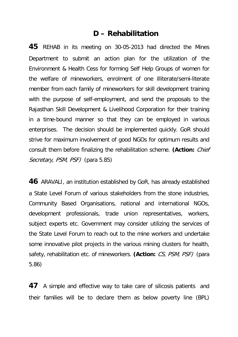### **D – Rehabilitation**

**45** REHAB in its meeting on 30-05-2013 had directed the Mines Department to submit an action plan for the utilization of the Environment & Health Cess for forming Self Help Groups of women for the welfare of mineworkers, enrolment of one illiterate/semi-literate member from each family of mineworkers for skill development training with the purpose of self-employment, and send the proposals to the Rajasthan Skill Development & Livelihood Corporation for their training in a time-bound manner so that they can be employed in various enterprises. The decision should be implemented quickly. GoR should strive for maximum involvement of good NGOs for optimum results and consult them before finalizing the rehabilitation scheme. **(Action:** Chief Secretary, PSM, PSF) (para 5.85)

**46** ARAVALI, an institution established by GoR, has already established a State Level Forum of various stakeholders from the stone industries, Community Based Organisations, national and international NGOs, development professionals, trade union representatives, workers, subject experts etc. Government may consider utilizing the services of the State Level Forum to reach out to the mine workers and undertake some innovative pilot projects in the various mining clusters for health, safety, rehabilitation etc. of mineworkers. **(Action:** CS, PSM, PSF) (para 5.86)

**47** A simple and effective way to take care of silicosis patients and their families will be to declare them as below poverty line (BPL)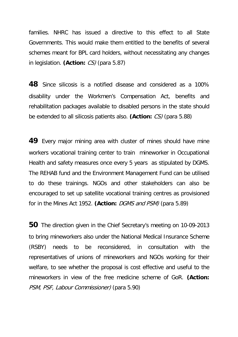families. NHRC has issued a directive to this effect to all State Governments. This would make them entitled to the benefits of several schemes meant for BPL card holders, without necessitating any changes in legislation. **(Action:** CS) (para 5.87)

**48** Since silicosis is a notified disease and considered as a 100% disability under the Workmen's Compensation Act, benefits and rehabilitation packages available to disabled persons in the state should be extended to all silicosis patients also. **(Action:** CS) (para 5.88)

**49** Every major mining area with cluster of mines should have mine workers vocational training center to train mineworker in Occupational Health and safety measures once every 5 years as stipulated by DGMS. The REHAB fund and the Environment Management Fund can be utilised to do these trainings. NGOs and other stakeholders can also be encouraged to set up satellite vocational training centres as provisioned for in the Mines Act 1952. **(Action:** DGMS and PSM) (para 5.89)

**50** The direction given in the Chief Secretary's meeting on 10-09-2013 to bring mineworkers also under the National Medical Insurance Scheme (RSBY) needs to be reconsidered, in consultation with the representatives of unions of mineworkers and NGOs working for their welfare, to see whether the proposal is cost effective and useful to the mineworkers in view of the free medicine scheme of GoR. **(Action:** PSM, PSF, Labour Commissioner) (para 5.90)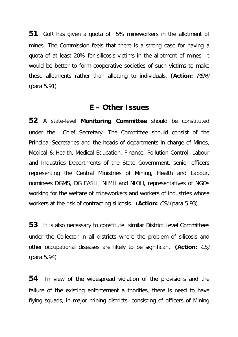**51** GoR has given a quota of 5% mineworkers in the allotment of mines. The Commission feels that there is a strong case for having a quota of at least 20% for silicosis victims in the allotment of mines. It would be better to form cooperative societies of such victims to make these allotments rather than allotting to individuals. **(Action:** PSM) (para 5.91)

### **E – Other Issues**

**52** A state-level **Monitoring Committee** should be constituted under the Chief Secretary. The Committee should consist of the Principal Secretaries and the heads of departments in charge of Mines, Medical & Health, Medical Education, Finance, Pollution Control, Labour and Industries Departments of the State Government, senior officers representing the Central Ministries of Mining, Health and Labour, nominees DGMS, DG FASLI, NIMH and NIOH, representatives of NGOs working for the welfare of mineworkers and workers of industries whose workers at the risk of contracting silicosis. (**Action:** CS) (para 5.93)

**53** It is also necessary to constitute similar District Level Committees under the Collector in all districts where the problem of silicosis and other occupational diseases are likely to be significant. **(Action:** CS) (para 5.94)

**54** In view of the widespread violation of the provisions and the failure of the existing enforcement authorities, there is need to have flying squads, in major mining districts, consisting of officers of Mining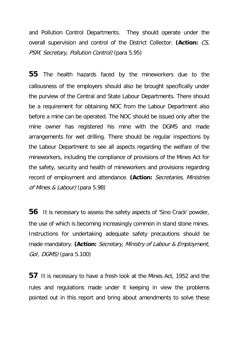and Pollution Control Departments. They should operate under the overall supervision and control of the District Collector. **(Action:** CS, PSM, Secretary, Pollution Control) (para 5.95)

**55** The health hazards faced by the mineworkers due to the callousness of the employers should also be brought specifically under the purview of the Central and State Labour Departments. There should be a requirement for obtaining NOC from the Labour Department also before a mine can be operated. The NOC should be issued only after the mine owner has registered his mine with the DGMS and made arrangements for wet drilling. There should be regular inspections by the Labour Department to see all aspects regarding the welfare of the mineworkers, including the compliance of provisions of the Mines Act for the safety, security and health of mineworkers and provisions regarding record of employment and attendance. **(Action:** Secretaries, Ministries of Mines & Labour) (para 5.98)

**56** It is necessary to assess the safety aspects of 'Sino Crack' powder, the use of which is becoming increasingly common in stand stone mines. Instructions for undertaking adequate safety precautions should be made mandatory. **(Action:** Secretary, Ministry of Labour & Employment, GoI, DGMS) (para 5.100)

**57** It is necessary to have a fresh look at the Mines Act, 1952 and the rules and regulations made under it keeping in view the problems pointed out in this report and bring about amendments to solve these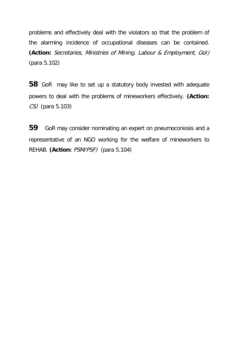problems and effectively deal with the violators so that the problem of the alarming incidence of occupational diseases can be contained. **(Action:** Secretaries, Ministries of Mining, Labour & Employment, GoI) (para 5.102)

**58** GoR may like to set up a statutory body invested with adequate powers to deal with the problems of mineworkers effectively. **(Action:**  CS) (para 5.103)

**59** GoR may consider nominating an expert on pneumoconiosis and a representative of an NGO working for the welfare of mineworkers to REHAB. **(Action:** PSM/PSF) (para 5.104)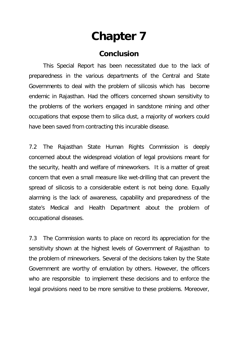# **Chapter 7**

### **Conclusion**

This Special Report has been necessitated due to the lack of preparedness in the various departments of the Central and State Governments to deal with the problem of silicosis which has become endemic in Rajasthan. Had the officers concerned shown sensitivity to the problems of the workers engaged in sandstone mining and other occupations that expose them to silica dust, a majority of workers could have been saved from contracting this incurable disease.

7.2 The Rajasthan State Human Rights Commission is deeply concerned about the widespread violation of legal provisions meant for the security, health and welfare of mineworkers. It is a matter of great concern that even a small measure like wet-drilling that can prevent the spread of silicosis to a considerable extent is not being done. Equally alarming is the lack of awareness, capability and preparedness of the state's Medical and Health Department about the problem of occupational diseases.

7.3 The Commission wants to place on record its appreciation for the sensitivity shown at the highest levels of Government of Rajasthan to the problem of mineworkers. Several of the decisions taken by the State Government are worthy of emulation by others. However, the officers who are responsible to implement these decisions and to enforce the legal provisions need to be more sensitive to these problems. Moreover,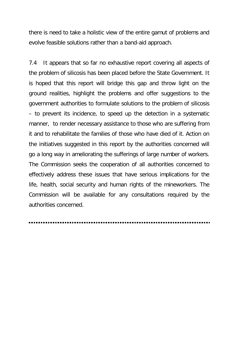there is need to take a holistic view of the entire gamut of problems and evolve feasible solutions rather than a band-aid approach.

7.4 It appears that so far no exhaustive report covering all aspects of the problem of silicosis has been placed before the State Government. It is hoped that this report will bridge this gap and throw light on the ground realities, highlight the problems and offer suggestions to the government authorities to formulate solutions to the problem of silicosis – to prevent its incidence, to speed up the detection in a systematic manner, to render necessary assistance to those who are suffering from it and to rehabilitate the families of those who have died of it. Action on the initiatives suggested in this report by the authorities concerned will go a long way in ameliorating the sufferings of large number of workers. The Commission seeks the cooperation of all authorities concerned to effectively address these issues that have serious implications for the life, health, social security and human rights of the mineworkers. The Commission will be available for any consultations required by the authorities concerned.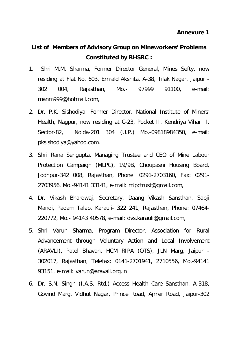### **List of Members of Advisory Group on Mineworkers' Problems Constituted by RHSRC :**

- 1. Shri M.M. Sharma, Former Director General, Mines Sefty, now residing at Flat No. 603, Emrald Akshita, A-38, Tilak Nagar, Jaipur - 302 004, Rajasthan, Mo.- 97999 91100, e-mail: manm999@hotmail.com,
- 2. Dr. P.K. Sishodiya, Former Director, National Institute of Miners' Health, Nagpur, now residing at C-23, Pocket II, Kendriya Vihar II, Sector-82, Noida-201 304 (U.P.) Mo.-09818984350, e-mail: pksishodiya@yahoo.com,
- 3. Shri Rana Sengupta, Managing Trustee and CEO of Mine Labour Protection Campaign (MLPC), 19/9B, Choupasni Housing Board, Jodhpur-342 008, Rajasthan, Phone: 0291-2703160, Fax: 0291- 2703956, Mo.-94141 33141, e-mail: mlpctrust@gmail.com,
- 4. Dr. Vikash Bhardwaj, Secretary, Daang Vikash Sansthan, Sabji Mandi, Padam Talab, Karauli- 322 241, Rajasthan, Phone: 07464- 220772, Mo.- 94143 40578, e-mail: dvs.karauli@gmail.com,
- 5. Shri Varun Sharma, Program Director, Association for Rural Advancement through Voluntary Action and Local Involvement (ARAVLI), Patel Bhavan, HCM RIPA (OTS), JLN Marg, Jaipur - 302017, Rajasthan, Telefax: 0141-2701941, 2710556, Mo.-94141 93151, e-mail: varun@aravali.org.in
- 6. Dr. S.N. Singh (I.A.S. Rtd.) Access Health Care Sansthan, A-318, Govind Marg, Vidhut Nagar, Prince Road, Ajmer Road, Jaipur-302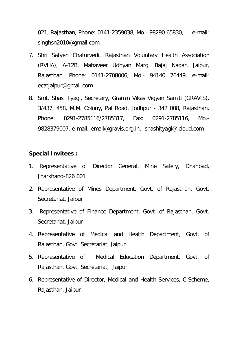021, Rajasthan, Phone: 0141-2359038, Mo.- 98290 65830, e-mail: singhsn2010@gmail.com

- 7. Shri Satyen Chaturvedi, Rajasthan Voluntary Health Association (RVHA), A-12B, Mahaveer Udhyan Marg, Bajaj Nagar, Jaipur, Rajasthan, Phone: 0141-2708006, Mo.- 94140 76449, e-mail: ecatjaipur@gmail.com
- 8. Smt. Shasi Tyagi, Secretary, Gramin Vikas Vigyan Samiti (GRAVIS), 3/437, 458, M.M. Colony, Pal Road, Jodhpur - 342 008, Rajasthan, Phone: 0291-2785116/2785317, Fax: 0291-2785116, Mo.- 9828379007, e-mail: email@gravis.org.in, shashityagi@icloud.com

#### **Special Invitees :**

- 1. Representative of Director General, Mine Safety, Dhanbad, Jharkhand-826 001
- 2. Representative of Mines Department, Govt. of Rajasthan, Govt. Secretariat, Jaipur
- 3. Representative of Finance Department, Govt. of Rajasthan, Govt. Secretariat, Jaipur
- 4. Representative of Medical and Health Department, Govt. of Rajasthan, Govt. Secretariat, Jaipur
- 5. Representative of Medical Education Department, Govt. of Rajasthan, Govt. Secretariat, Jaipur
- 6. Representative of Director, Medical and Health Services, C-Scheme, Rajasthan, Jaipur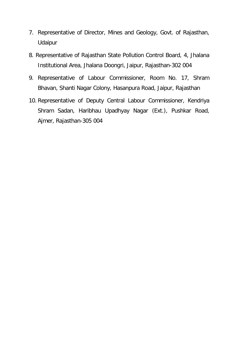- 7. Representative of Director, Mines and Geology, Govt. of Rajasthan, Udaipur
- 8. Representative of Rajasthan State Pollution Control Board, 4, Jhalana Institutional Area, Jhalana Doongri, Jaipur, Rajasthan-302 004
- 9. Representative of Labour Commissioner, Room No. 17, Shram Bhavan, Shanti Nagar Colony, Hasanpura Road, Jaipur, Rajasthan
- 10. Representative of Deputy Central Labour Commissioner, Kendriya Shram Sadan, Haribhau Upadhyay Nagar (Ext.), Pushkar Road, Ajmer, Rajasthan-305 004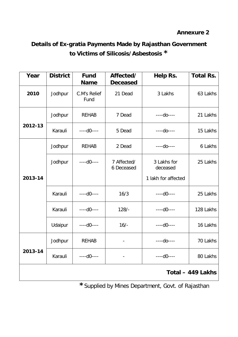### **Annexure 2**

# **Details of Ex-gratia Payments Made by Rajasthan Government to Victims of Silicosis/Asbestosis \***

| Year              | <b>District</b> | <b>Fund</b><br><b>Name</b> | Affected/<br><b>Deceased</b> | Help Rs.                | <b>Total Rs.</b> |
|-------------------|-----------------|----------------------------|------------------------------|-------------------------|------------------|
| 2010              | Jodhpur         | C.M's Relief<br>Fund       | 21 Dead                      | 3 Lakhs                 | 63 Lakhs         |
|                   | Jodhpur         | <b>REHAB</b>               | 7 Dead                       | $---do---$              | 21 Lakhs         |
| 2012-13           | Karauli         | $---d0---$                 | 5 Dead                       | $---do---$              | 15 Lakhs         |
|                   | Jodhpur         | <b>REHAB</b>               | 2 Dead                       | $---do---$              | 6 Lakhs          |
|                   | Jodhpur         | $---d0---$                 | 7 Affected/<br>6 Deceased    | 3 Lakhs for<br>deceased | 25 Lakhs         |
| 2013-14           |                 |                            |                              | 1 lakh for affected     |                  |
|                   | Karauli         | $---d0---$                 | 16/3                         | $---d0---$              | 25 Lakhs         |
|                   | Karauli         | $---d0---$                 | $128/-$                      | $---d0---$              | 128 Lakhs        |
|                   | Udaipur         | $---d0---$                 | $16/-$                       | $---d0---$              | 16 Lakhs         |
|                   | Jodhpur         | <b>REHAB</b>               |                              | $---do---$              | 70 Lakhs         |
| 2013-14           | Karauli         | $---d0---$                 |                              | $---d0---$              | 80 Lakhs         |
| Total - 449 Lakhs |                 |                            |                              |                         |                  |

# **\***Supplied by Mines Department, Govt. of Rajasthan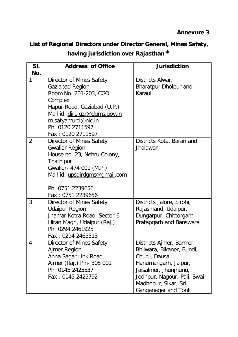# **List of Regional Directors under Director General, Mines Safety, having jurisdiction over Rajasthan \***

| SI. | <b>Address of Office</b>      | <b>Jurisdiction</b>         |
|-----|-------------------------------|-----------------------------|
| No. |                               |                             |
| 1   | Director of Mines Safety      | Districts Alwar,            |
|     | Gaziabad Region               | Bharatpur, Dholpur and      |
|     | Room No. 201-203, CGO         | Karauli                     |
|     | Complex                       |                             |
|     | Hapur Road, Gaziabad (U.P.)   |                             |
|     | Mail id: dir1.gzr@dgms.gov.in |                             |
|     | m.satyamurti@nic.in           |                             |
|     | Ph: 0120 2711597              |                             |
|     | Fax: 0120 2711597             |                             |
| 2   | Director of Mines Safety      | Districts Kota, Baran and   |
|     | <b>Gwalior Region</b>         | Jhalawar                    |
|     | House no. 23, Nehru Colony,   |                             |
|     | Thathipur                     |                             |
|     | Gwalior- 474 001 (M.P.)       |                             |
|     | Mail id: upsdirdgms@gmail.com |                             |
|     |                               |                             |
|     | Ph: 0751 2239656              |                             |
|     | Fax: 0751 2239656             |                             |
| 3   | Director of Mines Safety      | Districts Jalore, Sirohi,   |
|     | <b>Udaipur Region</b>         | Rajasmand, Udaipur,         |
|     | Jhamar Kotra Road, Sector-6   | Dungarpur, Chittorgarh,     |
|     | Hiran Magri, Udaipur (Raj.)   | Pratapgarh and Banswara     |
|     | Ph: 0294 2461925              |                             |
|     | Fax: 0294 2465513             |                             |
| 4   | Director of Mines Safety      | Districts Ajmer, Barmer,    |
|     | Ajmer Region                  | Bhilwara, Bikaner, Bundi,   |
|     | Anna Sagar Link Road,         | Churu, Dausa,               |
|     | Ajmer (Raj.) Pin- 305 001     | Hanumangarh, Jaipur,        |
|     | Ph: 0145 2425537              | Jaisalmer, Jhunjhunu,       |
|     | Fax: 0145 2425792             | Jodhpur, Nagour, Pali, Swai |
|     |                               | Madhopur, Sikar, Sri        |
|     |                               | Ganganagar and Tonk         |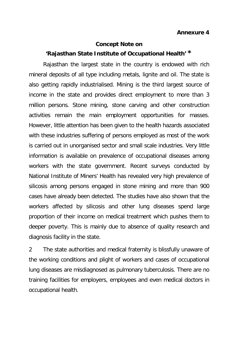### **Concept Note on 'Rajasthan State Institute of Occupational Health' \***

Rajasthan the largest state in the country is endowed with rich mineral deposits of all type including metals, lignite and oil. The state is also getting rapidly industrialised. Mining is the third largest source of income in the state and provides direct employment to more than 3 million persons. Stone mining, stone carving and other construction activities remain the main employment opportunities for masses. However, little attention has been given to the health hazards associated with these industries suffering of persons employed as most of the work is carried out in unorganised sector and small scale industries. Very little information is available on prevalence of occupational diseases among workers with the state government. Recent surveys conducted by National Institute of Miners' Health has revealed very high prevalence of silicosis among persons engaged in stone mining and more than 900 cases have already been detected. The studies have also shown that the workers affected by silicosis and other lung diseases spend large proportion of their income on medical treatment which pushes them to deeper poverty. This is mainly due to absence of quality research and diagnosis facility in the state.

2 The state authorities and medical fraternity is blissfully unaware of the working conditions and plight of workers and cases of occupational lung diseases are misdiagnosed as pulmonary tuberculosis. There are no training facilities for employers, employees and even medical doctors in occupational health.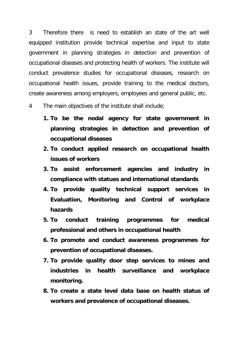3 Therefore there is need to establish an state of the art well equipped institution provide technical expertise and input to state government in planning strategies in detection and prevention of occupational diseases and protecting health of workers. The institute will conduct prevalence studies for occupational diseases, research on occupational health issues, provide training to the medical doctors, create awareness among employers, employees and general public, etc.

4 The main objectives of the institute shall include;

- **1. To be the nodal agency for state government in planning strategies in detection and prevention of occupational diseases**
- **2. To conduct applied research on occupational health issues of workers**
- **3. To assist enforcement agencies and industry in compliance with statues and international standards**
- **4. To provide quality technical support services in Evaluation, Monitoring and Control of workplace hazards**
- **5. To conduct training programmes for medical professional and others in occupational health**
- **6. To promote and conduct awareness programmes for prevention of occupational diseases.**
- **7. To provide quality door step services to mines and industries in health surveillance and workplace monitoring.**
- **8. To create a state level data base on health status of workers and prevalence of occupational diseases.**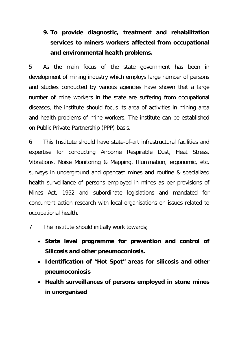# **9. To provide diagnostic, treatment and rehabilitation services to miners workers affected from occupational and environmental health problems.**

5 As the main focus of the state government has been in development of mining industry which employs large number of persons and studies conducted by various agencies have shown that a large number of mine workers in the state are suffering from occupational diseases, the institute should focus its area of activities in mining area and health problems of mine workers. The institute can be established on Public Private Partnership (PPP) basis.

6 This Institute should have state-of-art infrastructural facilities and expertise for conducting Airborne Respirable Dust, Heat Stress, Vibrations, Noise Monitoring & Mapping, Illumination, ergonomic, etc. surveys in underground and opencast mines and routine & specialized health surveillance of persons employed in mines as per provisions of Mines Act, 1952 and subordinate legislations and mandated for concurrent action research with local organisations on issues related to occupational health.

- 7 The institute should initially work towards;
	- **State level programme for prevention and control of Silicosis and other pneumoconiosis.**
	- **Identification of "Hot Spot" areas for silicosis and other pneumoconiosis**
	- **Health surveillances of persons employed in stone mines in unorganised**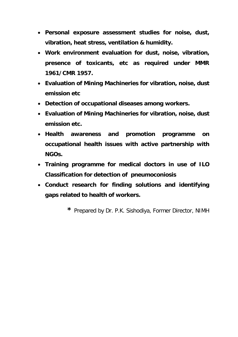- **Personal exposure assessment studies for noise, dust, vibration, heat stress, ventilation & humidity.**
- **Work environment evaluation for dust, noise, vibration, presence of toxicants, etc as required under MMR 1961/CMR 1957.**
- **Evaluation of Mining Machineries for vibration, noise, dust emission etc**
- **Detection of occupational diseases among workers.**
- **Evaluation of Mining Machineries for vibration, noise, dust emission etc.**
- **Health awareness and promotion programme on occupational health issues with active partnership with NGOs.**
- **Training programme for medical doctors in use of ILO Classification for detection of pneumoconiosis**
- **Conduct research for finding solutions and identifying gaps related to health of workers.**
	- **\*** Prepared by Dr. P.K. Sishodiya, Former Director, NIMH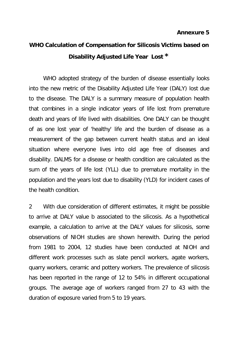# **WHO Calculation of Compensation for Silicosis Victims based on Disability Adjusted Life Year Lost \***

WHO adopted strategy of the burden of disease essentially looks into the new metric of the Disability Adjusted Life Year (DALY) lost due to the disease. The DALY is a summary measure of population health that combines in a single indicator years of life lost from premature death and years of life lived with disabilities. One DALY can be thought of as one lost year of 'healthy' life and the burden of disease as a measurement of the gap between current health status and an ideal situation where everyone lives into old age free of diseases and disability. DALMS for a disease or health condition are calculated as the sum of the years of life lost (YLL) due to premature mortality in the population and the years lost due to disability (YLD) for incident cases of the health condition.

2 With due consideration of different estimates, it might be possible to arrive at DALY value b associated to the silicosis. As a hypothetical example, a calculation to arrive at the DALY values for silicosis, some observations of NIOH studies are shown herewith. During the period from 1981 to 2004, 12 studies have been conducted at NIOH and different work processes such as slate pencil workers, agate workers, quarry workers, ceramic and pottery workers. The prevalence of silicosis has been reported in the range of 12 to 54% in different occupational groups. The average age of workers ranged from 27 to 43 with the duration of exposure varied from 5 to 19 years.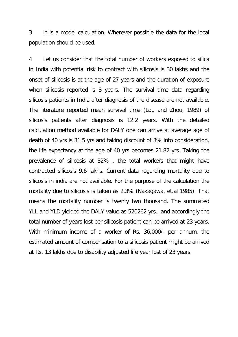3 It is a model calculation. Wherever possible the data for the local population should be used.

4 Let us consider that the total number of workers exposed to silica in India with potential risk to contract with silicosis is 30 lakhs and the onset of silicosis is at the age of 27 years and the duration of exposure when silicosis reported is 8 years. The survival time data regarding silicosis patients in India after diagnosis of the disease are not available. The literature reported mean survival time (Lou and Zhou, 1989) of silicosis patients after diagnosis is 12.2 years. With the detailed calculation method available for DALY one can arrive at average age of death of 40 yrs is 31.5 yrs and taking discount of 3% into consideration, the life expectancy at the age of 40 yrs becomes 21.82 yrs. Taking the prevalence of silicosis at 32% , the total workers that might have contracted silicosis 9.6 lakhs. Current data regarding mortality due to silicosis in india are not available. For the purpose of the calculation the mortality due to silicosis is taken as 2.3% (Nakagawa, et.al 1985). That means the mortality number is twenty two thousand. The summated YLL and YLD yielded the DALY value as 520262 yrs., and accordingly the total number of years lost per silicosis patient can be arrived at 23 years. With minimum income of a worker of Rs. 36,000/- per annum, the estimated amount of compensation to a silicosis patient might be arrived at Rs. 13 lakhs due to disability adjusted life year lost of 23 years.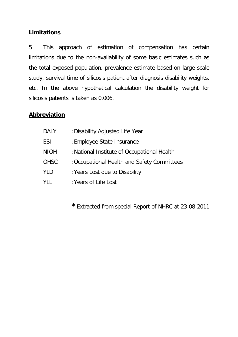### **Limitations**

5 This approach of estimation of compensation has certain limitations due to the non-availability of some basic estimates such as the total exposed population, prevalence estimate based on large scale study, survival time of silicosis patient after diagnosis disability weights, etc. In the above hypothetical calculation the disability weight for silicosis patients is taken as 0.006.

### **Abbreviation**

| <b>DALY</b> | :Disability Adjusted Life Year              |  |  |
|-------------|---------------------------------------------|--|--|
| ESI         | : Employee State Insurance                  |  |  |
| <b>NIOH</b> | :National Institute of Occupational Health  |  |  |
| <b>OHSC</b> | : Occupational Health and Safety Committees |  |  |
| YLD         | : Years Lost due to Disability              |  |  |
| YLL         | : Years of Life Lost                        |  |  |

**\***Extracted from special Report of NHRC at 23-08-2011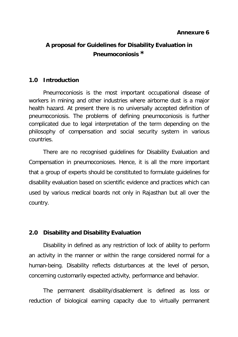## **A proposal for Guidelines for Disability Evaluation in Pneumoconiosis \***

#### **1.0 Introduction**

Pneumoconiosis is the most important occupational disease of workers in mining and other industries where airborne dust is a major health hazard. At present there is no universally accepted definition of pneumoconiosis. The problems of defining pneumoconiosis is further complicated due to legal interpretation of the term depending on the philosophy of compensation and social security system in various countries.

There are no recognised guidelines for Disability Evaluation and Compensation in pneumoconioses. Hence, it is all the more important that a group of experts should be constituted to formulate guidelines for disability evaluation based on scientific evidence and practices which can used by various medical boards not only in Rajasthan but all over the country.

### **2.0 Disability and Disability Evaluation**

Disability in defined as any restriction of lock of ability to perform an activity in the manner or within the range considered normal for a human-being. Disability reflects disturbances at the level of person, concerning customarily expected activity, performance and behavior.

The permanent disability/disablement is defined as loss or reduction of biological earning capacity due to virtually permanent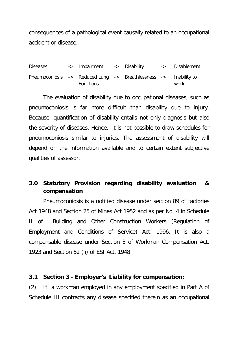consequences of a pathological event causally related to an occupational accident or disease.

Diseases -> Impairment -> Disability -> Disablement Pneumoconiosis -> Reduced Lung -> Breathlessness -> Inability to Functions work

The evaluation of disability due to occupational diseases, such as pneumoconiosis is far more difficult than disability due to injury. Because, quantification of disability entails not only diagnosis but also the severity of diseases. Hence, it is not possible to draw schedules for pneumoconiosis similar to injuries. The assessment of disability will depend on the information available and to certain extent subjective qualities of assessor.

### **3.0 Statutory Provision regarding disability evaluation & compensation**

Pneumoconiosis is a notified disease under section 89 of factories Act 1948 and Section 25 of Mines Act 1952 and as per No. 4 in Schedule II of Building and Other Construction Workers (Regulation of Employment and Conditions of Service) Act, 1996. It is also a compensable disease under Section 3 of Workman Compensation Act. 1923 and Section 52 (ii) of ESI Act, 1948

#### **3.1 Section 3 - Employer's Liability for compensation:**

(2) If a workman employed in any employment specified in Part A of Schedule III contracts any disease specified therein as an occupational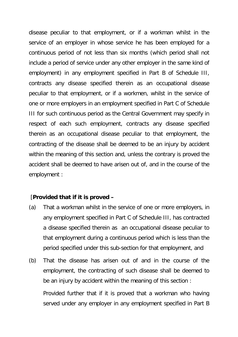disease peculiar to that employment, or if a workman whilst in the service of an employer in whose service he has been employed for a continuous period of not less than six months (which period shall not include a period of service under any other employer in the same kind of employment) in any employment specified in Part B of Schedule III, contracts any disease specified therein as an occupational disease peculiar to that employment, or if a workmen, whilst in the service of one or more employers in an employment specified in Part C of Schedule III for such continuous period as the Central Government may specify in respect of each such employment, contracts any disease specified therein as an occupational disease peculiar to that employment, the contracting of the disease shall be deemed to be an injury by accident within the meaning of this section and, unless the contrary is proved the accident shall be deemed to have arisen out of, and in the course of the employment :

#### [**Provided that if it is proved –**

- (a) That a workman whilst in the service of one or more employers, in any employment specified in Part C of Schedule III, has contracted a disease specified therein as an occupational disease peculiar to that employment during a continuous period which is less than the period specified under this sub-section for that employment, and
- (b) That the disease has arisen out of and in the course of the employment, the contracting of such disease shall be deemed to be an injury by accident within the meaning of this section : Provided further that if it is proved that a workman who having served under any employer in any employment specified in Part B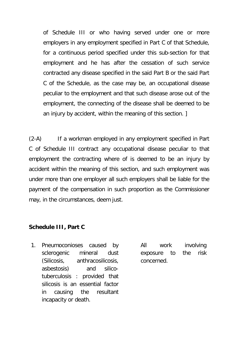of Schedule III or who having served under one or more employers in any employment specified in Part C of that Schedule, for a continuous period specified under this sub-section for that employment and he has after the cessation of such service contracted any disease specified in the said Part B or the said Part C of the Schedule, as the case may be, an occupational disease peculiar to the employment and that such disease arose out of the employment, the connecting of the disease shall be deemed to be an injury by accident, within the meaning of this section. ]

(2-A) If a workman employed in any employment specified in Part C of Schedule III contract any occupational disease peculiar to that employment the contracting where of is deemed to be an injury by accident within the meaning of this section, and such employment was under more than one employer all such employers shall be liable for the payment of the compensation in such proportion as the Commissioner may, in the circumstances, deem just.

#### **Schedule III, Part C**

1. Pneumoconioses caused by sclerogenic mineral dust (Silicosis, anthracosilicosis, asbestosis) and silicotuberculosis : provided that silicosis is an essential factor in causing the resultant incapacity or death.

All work involving exposure to the risk concerned.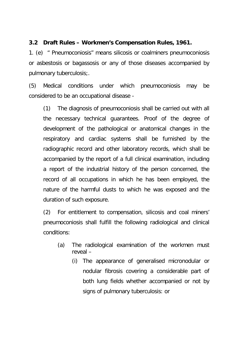#### **3.2 Draft Rules – Workmen's Compensation Rules, 1961.**

1. (e) " Pneumoconiosis" means silicosis or coalminers pneumoconiosis or asbestosis or bagassosis or any of those diseases accompanied by pulmonary tuberculosis;.

(5) Medical conditions under which pneumoconiosis may be considered to be an occupational disease -

(1) The diagnosis of pneumoconiosis shall be carried out with all the necessary technical guarantees. Proof of the degree of development of the pathological or anatomical changes in the respiratory and cardiac systems shall be furnished by the radiographic record and other laboratory records, which shall be accompanied by the report of a full clinical examination, including a report of the industrial history of the person concerned, the record of all occupations in which he has been employed, the nature of the harmful dusts to which he was exposed and the duration of such exposure.

(2) For entitlement to compensation, silicosis and coal miners' pneumoconiosis shall fulfill the following radiological and clinical conditions:

- (a) The radiological examination of the workmen must reveal –
	- (i) The appearance of generalised micronodular or nodular fibrosis covering a considerable part of both lung fields whether accompanied or not by signs of pulmonary tuberculosis: or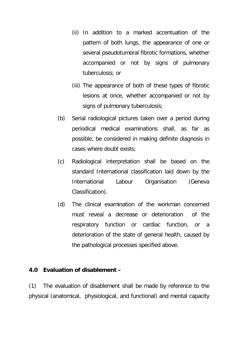- (ii) In addition to a marked accentuation of the pattern of both lungs, the appearance of one or several pseudotumoral fibrotic formations, whether accompanied or not by signs of pulmonary tuberculosis; or
- (iii) The appearance of both of these types of fibrotic lesions at once, whether accompanied or not by signs of pulmonary tuberculosis;
- (b) Serial radiological pictures taken over a period during periodical medical examinations shall, as far as possible, be considered in making definite diagnosis in cases where doubt exists;
- (c) Radiological interpretation shall be based on the standard International classification laid down by the International Labour Organisation (Geneva Classification).
- (d) The clinical examination of the workman concerned must reveal a decrease or deterioration of the respiratory function or cardiac function, or a deterioration of the state of general health, caused by the pathological processes specified above.

#### **4.0 Evaluation of disablement –**

(1) The evaluation of disablement shall be made by reference to the physical (anatomical, physiological, and functional) and mental capacity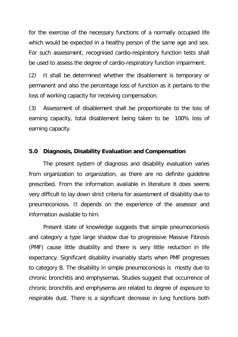for the exercise of the necessary functions of a normally occupied life which would be expected in a healthy person of the same age and sex. For such assessment, recognised cardio-respiratory function tests shall be used to assess the degree of cardio-respiratory function impairment.

(2) It shall be determined whether the disablement is temporary or permanent and also the percentage loss of function as it pertains to the loss of working capacity for receiving compensation.

(3) Assessment of disablement shall be proportionate to the loss of earning capacity, total disablement being taken to be 100% loss of earning capacity.

## **5.0 Diagnosis, Disability Evaluation and Compensation**

The present system of diagnosis and disability evaluation varies from organization to organization, as there are no definite guideline prescribed. From the information available in literature it does seems very difficult to lay down strict criteria for assessment of disability due to pneumoconiosis. It depends on the experience of the assessor and information available to him.

Present state of knowledge suggests that simple pneumoconiosis and category a type large shadow due to progressive Massive Fibrosis (PMF) cause little disability and there is very little reduction in life expectancy. Significant disability invariably starts when PMF progresses to category B. The disability in simple pneumoconiosis is mostly due to chronic bronchitis and emphysemas. Studies suggest that occurrence of chronic bronchitis and emphysema are related to degree of exposure to respirable dust. There is a significant decrease in lung functions both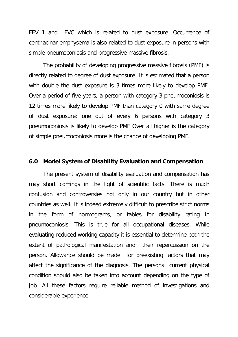FEV 1 and FVC which is related to dust exposure. Occurrence of centriacinar emphysema is also related to dust exposure in persons with simple pneumoconiosis and progressive massive fibrosis.

The probability of developing progressive massive fibrosis (PMF) is directly related to degree of dust exposure. It is estimated that a person with double the dust exposure is 3 times more likely to develop PMF. Over a period of five years, a person with category 3 pneumoconiosis is 12 times more likely to develop PMF than category 0 with same degree of dust exposure; one out of every 6 persons with category 3 pneumoconiosis is likely to develop PMF Over all higher is the category of simple pneumoconiosis more is the chance of developing PMF.

#### **6.0 Model System of Disability Evaluation and Compensation**

The present system of disability evaluation and compensation has may short comings in the light of scientific facts. There is much confusion and controversies not only in our country but in other countries as well. It is indeed extremely difficult to prescribe strict norms in the form of normograms, or tables for disability rating in pneumoconiosis. This is true for all occupational diseases. While evaluating reduced working capacity it is essential to determine both the extent of pathological manifestation and their repercussion on the person. Allowance should be made for preexisting factors that may affect the significance of the diagnosis. The persons current physical condition should also be taken into account depending on the type of job. All these factors require reliable method of investigations and considerable experience.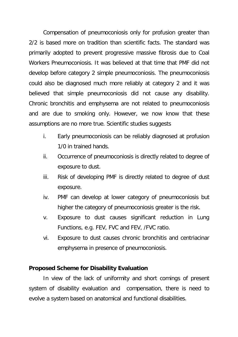Compensation of pneumoconiosis only for profusion greater than 2/2 is based more on tradition than scientific facts. The standard was primarily adopted to prevent progressive massive fibrosis due to Coal Workers Pneumoconiosis. It was believed at that time that PMF did not develop before category 2 simple pneumoconiosis. The pneumoconiosis could also be diagnosed much more reliably at category 2 and it was believed that simple pneumoconiosis did not cause any disability. Chronic bronchitis and emphysema are not related to pneumoconiosis and are due to smoking only. However, we now know that these assumptions are no more true. Scientific studies suggests

- i. Early pneumoconiosis can be reliably diagnosed at profusion 1/0 in trained hands.
- ii. Occurrence of pneumoconiosis is directly related to degree of exposure to dust.
- iii. Risk of developing PMF is directly related to degree of dust exposure.
- iv. PMF can develop at lower category of pneumoconiosis but higher the category of pneumoconiosis greater is the risk.
- v. Exposure to dust causes significant reduction in Lung Functions, e.g. FEV, FVC and FEV, /FVC ratio.
- vi. Exposure to dust causes chronic bronchitis and centriacinar emphysema in presence of pneumoconiosis.

### **Proposed Scheme for Disability Evaluation**

In view of the lack of uniformity and short comings of present system of disability evaluation and compensation, there is need to evolve a system based on anatomical and functional disabilities.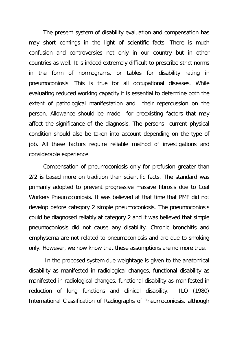The present system of disability evaluation and compensation has may short comings in the light of scientific facts. There is much confusion and controversies not only in our country but in other countries as well. It is indeed extremely difficult to prescribe strict norms in the form of normograms, or tables for disability rating in pneumoconiosis. This is true for all occupational diseases. While evaluating reduced working capacity it is essential to determine both the extent of pathological manifestation and their repercussion on the person. Allowance should be made for preexisting factors that may affect the significance of the diagnosis. The persons current physical condition should also be taken into account depending on the type of job. All these factors require reliable method of investigations and considerable experience.

Compensation of pneumoconiosis only for profusion greater than 2/2 is based more on tradition than scientific facts. The standard was primarily adopted to prevent progressive massive fibrosis due to Coal Workers Pneumoconiosis. It was believed at that time that PMF did not develop before category 2 simple pneumoconiosis. The pneumoconiosis could be diagnosed reliably at category 2 and it was believed that simple pneumoconiosis did not cause any disability. Chronic bronchitis and emphysema are not related to pneumoconiosis and are due to smoking only. However, we now know that these assumptions are no more true.

In the proposed system due weightage is given to the anatomical disability as manifested in radiological changes, functional disability as manifested in radiological changes, functional disability as manifested in reduction of lung functions and clinical disability. ILO (1980) International Classification of Radiographs of Pneumoconiosis, although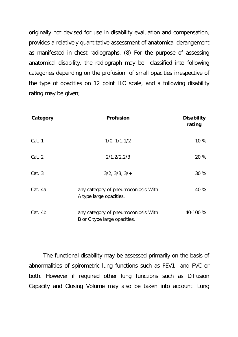originally not devised for use in disability evaluation and compensation, provides a relatively quantitative assessment of anatomical derangement as manifested in chest radiographs. (8) For the purpose of assessing anatomical disability, the radiograph may be classified into following categories depending on the profusion of small opacities irrespective of the type of opacities on 12 point ILO scale, and a following disability rating may be given;

| Category | <b>Profusion</b>                                                    | <b>Disability</b><br>rating |
|----------|---------------------------------------------------------------------|-----------------------------|
| Cat. 1   | 1/0, 1/1, 1/2                                                       | 10 %                        |
| Cat. 2   | 2/1.2/2.2/3                                                         | 20 %                        |
| Cat. 3   | 3/2, 3/3, 3/4                                                       | 30 %                        |
| Cat. 4a  | any category of pneumoconiosis With<br>A type large opacities.      | 40 %                        |
| Cat. 4b  | any category of pneumoconiosis With<br>B or C type large opacities. | 40-100 %                    |

The functional disability may be assessed primarily on the basis of abnormalities of spirometric lung functions such as FEV1 and FVC or both. However if required other lung functions such as Diffusion Capacity and Closing Volume may also be taken into account. Lung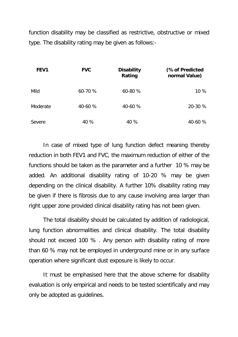function disability may be classified as restrictive, obstructive or mixed type. The disability rating may be given as follows:-

| FEV1     | <b>FVC</b> | <b>Disability</b><br>Rating | (% of Predicted<br>normal Value) |
|----------|------------|-----------------------------|----------------------------------|
| Mild     | 60-70 %    | 60-80 %                     | 10 %                             |
| Moderate | 40-60 %    | 40-60 %                     | 20-30 %                          |
| Severe   | 40 %       | 40 %                        | 40-60 %                          |

In case of mixed type of lung function defect meaning thereby reduction in both FEV1 and FVC, the maximum reduction of either of the functions should be taken as the parameter and a further 10 % may be added. An additional disability rating of 10-20 % may be given depending on the clinical disability. A further 10% disability rating may be given if there is fibrosis due to any cause involving area larger than right upper zone provided clinical disability rating has not been given.

The total disability should be calculated by addition of radiological, lung function abnormalities and clinical disability. The total disability should not exceed 100 % . Any person with disability rating of more than 60 % may not be employed in underground mine or in any surface operation where significant dust exposure is likely to occur.

It must be emphasised here that the above scheme for disability evaluation is only empirical and needs to be tested scientifically and may only be adopted as guidelines.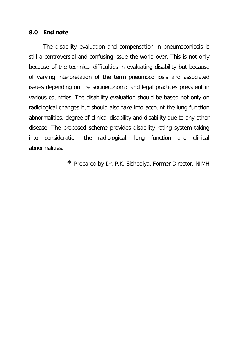### **8.0 End note**

The disability evaluation and compensation in pneumoconiosis is still a controversial and confusing issue the world over. This is not only because of the technical difficulties in evaluating disability but because of varying interpretation of the term pneumoconiosis and associated issues depending on the socioeconomic and legal practices prevalent in various countries. The disability evaluation should be based not only on radiological changes but should also take into account the lung function abnormalities, degree of clinical disability and disability due to any other disease. The proposed scheme provides disability rating system taking into consideration the radiological, lung function and clinical abnormalities.

**\*** Prepared by Dr. P.K. Sishodiya, Former Director, NIMH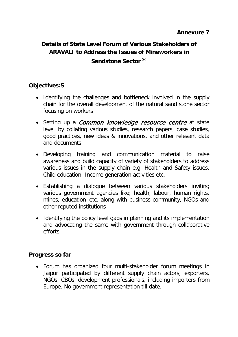# **Details of State Level Forum of Various Stakeholders of ARAVALI to Address the Issues of Mineworkers in Sandstone Sector \***

# **Objectives:S**

- Identifying the challenges and bottleneck involved in the supply chain for the overall development of the natural sand stone sector focusing on workers
- Setting up a *Common knowledge resource centre* at state level by collating various studies, research papers, case studies, good practices, new ideas & innovations, and other relevant data and documents
- Developing training and communication material to raise awareness and build capacity of variety of stakeholders to address various issues in the supply chain e.g. Health and Safety issues, Child education, Income generation activities etc.
- Establishing a dialogue between various stakeholders inviting various government agencies like; health, labour, human rights, mines, education etc. along with business community, NGOs and other reputed institutions
- Identifying the policy level gaps in planning and its implementation and advocating the same with government through collaborative efforts.

### **Progress so far**

• Forum has organized four multi-stakeholder forum meetings in Jaipur participated by different supply chain actors, exporters, NGOs, CBOs, development professionals, including importers from Europe. No government representation till date.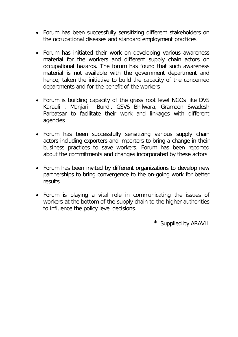- Forum has been successfully sensitizing different stakeholders on the occupational diseases and standard employment practices
- Forum has initiated their work on developing various awareness material for the workers and different supply chain actors on occupational hazards. The forum has found that such awareness material is not available with the government department and hence, taken the initiative to build the capacity of the concerned departments and for the benefit of the workers
- Forum is building capacity of the grass root level NGOs like DVS Karauli , Manjari Bundi, GSVS Bhilwara, Grameen Swadesh Parbatsar to facilitate their work and linkages with different agencies
- Forum has been successfully sensitizing various supply chain actors including exporters and importers to bring a change in their business practices to save workers. Forum has been reported about the commitments and changes incorporated by these actors
- Forum has been invited by different organizations to develop new partnerships to bring convergence to the on-going work for better results
- Forum is playing a vital role in communicating the issues of workers at the bottom of the supply chain to the higher authorities to influence the policy level decisions.

**\*** Supplied by ARAVLI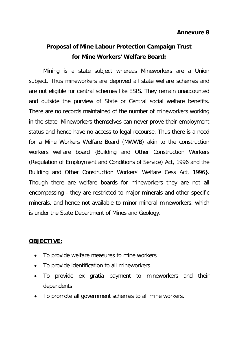# **Proposal of Mine Labour Protection Campaign Trust for Mine Workers' Welfare Board:**

Mining is a state subject whereas Mineworkers are a Union subject. Thus mineworkers are deprived all state welfare schemes and are not eligible for central schemes like ESIS. They remain unaccounted and outside the purview of State or Central social welfare benefits. There are no records maintained of the number of mineworkers working in the state. Mineworkers themselves can never prove their employment status and hence have no access to legal recourse. Thus there is a need for a Mine Workers Welfare Board (MWWB) akin to the construction workers welfare board {Building and Other Construction Workers (Regulation of Employment and Conditions of Service) Act, 1996 and the Building and Other Construction Workers' Welfare Cess Act, 1996}. Though there are welfare boards for mineworkers they are not all encompassing - they are restricted to major minerals and other specific minerals, and hence not available to minor mineral mineworkers, which is under the State Department of Mines and Geology.

### **OBJECTIVE:**

- To provide welfare measures to mine workers
- To provide identification to all mineworkers
- To provide ex gratia payment to mineworkers and their dependents
- To promote all government schemes to all mine workers.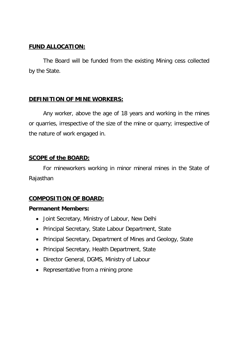# **FUND ALLOCATION:**

The Board will be funded from the existing Mining cess collected by the State.

# **DEFINITION OF MINE WORKERS:**

Any worker, above the age of 18 years and working in the mines or quarries, irrespective of the size of the mine or quarry; irrespective of the nature of work engaged in.

# **SCOPE of the BOARD:**

For mineworkers working in minor mineral mines in the State of Rajasthan

# **COMPOSITION OF BOARD:**

### **Permanent Members:**

- Joint Secretary, Ministry of Labour, New Delhi
- Principal Secretary, State Labour Department, State
- Principal Secretary, Department of Mines and Geology, State
- Principal Secretary, Health Department, State
- Director General, DGMS, Ministry of Labour
- Representative from a mining prone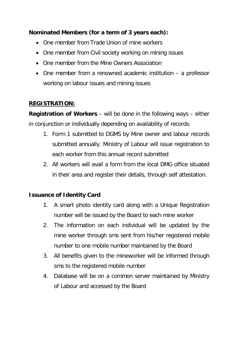# **Nominated Members (for a term of 3 years each):**

- One member from Trade Union of mine workers
- One member from Civil society working on mining issues
- One member from the Mine Owners Association
- One member from a renowned academic institution a professor working on labour issues and mining issues

# **REGISTRATION:**

**Registration of Workers** – will be done in the following ways – either in conjunction or individually depending on availability of records:

- 1. Form 1 submitted to DGMS by Mine owner and labour records submitted annually. Ministry of Labour will issue registration to each worker from this annual record submitted
- 2. All workers will avail a form from the local DMG office situated in their area and register their details, through self attestation.

# **Issuance of Identity Card**

- 1. A smart photo identity card along with a Unique Registration number will be issued by the Board to each mine worker
- 2. The information on each individual will be updated by the mine worker through sms sent from his/her registered mobile number to one mobile number maintained by the Board
- 3. All benefits given to the mineworker will be informed through sms to the registered mobile number
- 4. Database will be on a common server maintained by Ministry of Labour and accessed by the Board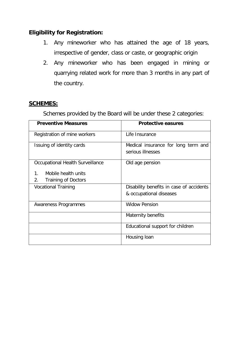# **Eligibility for Registration:**

- 1. Any mineworker who has attained the age of 18 years, irrespective of gender, class or caste, or geographic origin
- 2. Any mineworker who has been engaged in mining or quarrying related work for more than 3 months in any part of the country.

## **SCHEMES:**

Schemes provided by the Board will be under these 2 categories:

| <b>Preventive Measures</b>                                             | <b>Protective easures</b>                                |  |
|------------------------------------------------------------------------|----------------------------------------------------------|--|
| Registration of mine workers                                           | Life Insurance                                           |  |
| Issuing of identity cards                                              | Medical insurance for long term and<br>serious illnesses |  |
| Occupational Health Surveillance                                       | Old age pension                                          |  |
| $1_{\cdot}$<br>Mobile health units<br><b>Training of Doctors</b><br>2. |                                                          |  |
| <b>Vocational Training</b>                                             | Disability benefits in case of accidents                 |  |
|                                                                        | & occupational diseases                                  |  |
| Awareness Programmes                                                   | <b>Widow Pension</b>                                     |  |
|                                                                        | Maternity benefits                                       |  |
|                                                                        | Educational support for children                         |  |
|                                                                        | Housing loan                                             |  |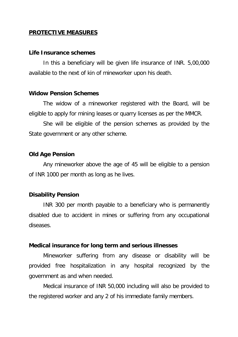### **PROTECTIVE MEASURES**

#### **Life Insurance schemes**

In this a beneficiary will be given life insurance of INR. 5,00,000 available to the next of kin of mineworker upon his death.

#### **Widow Pension Schemes**

The widow of a mineworker registered with the Board, will be eligible to apply for mining leases or quarry licenses as per the MMCR.

She will be eligible of the pension schemes as provided by the State government or any other scheme.

### **Old Age Pension**

Any mineworker above the age of 45 will be eligible to a pension of INR 1000 per month as long as he lives.

### **Disability Pension**

INR 300 per month payable to a beneficiary who is permanently disabled due to accident in mines or suffering from any occupational diseases.

#### **Medical insurance for long term and serious illnesses**

Mineworker suffering from any disease or disability will be provided free hospitalization in any hospital recognized by the government as and when needed.

Medical insurance of INR 50,000 including will also be provided to the registered worker and any 2 of his immediate family members.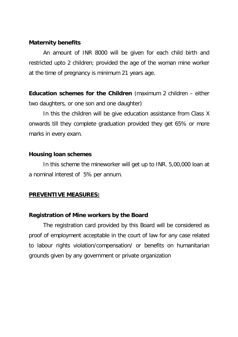### **Maternity benefits**

An amount of INR 8000 will be given for each child birth and restricted upto 2 children; provided the age of the woman mine worker at the time of pregnancy is minimum 21 years age.

**Education schemes for the Children** (maximum 2 children – either two daughters, or one son and one daughter)

In this the children will be give education assistance from Class X onwards till they complete graduation provided they get 65% or more marks in every exam.

### **Housing loan schemes**

In this scheme the mineworker will get up to INR. 5,00,000 loan at a nominal interest of 5% per annum.

### **PREVENTIVE MEASURES:**

#### **Registration of Mine workers by the Board**

The registration card provided by this Board will be considered as proof of employment acceptable in the court of law for any case related to labour rights violation/compensation/ or benefits on humanitarian grounds given by any government or private organization